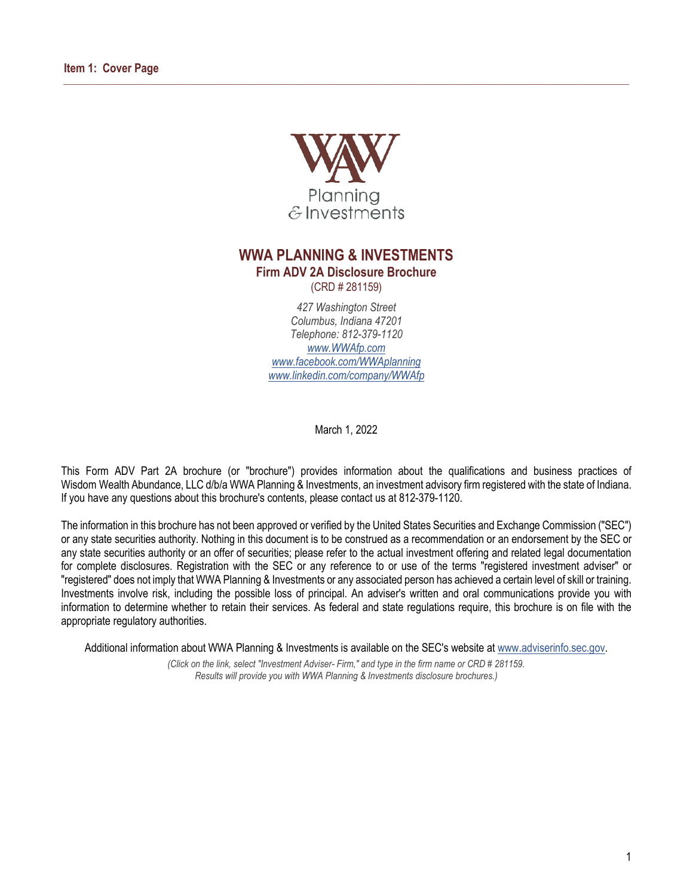

<span id="page-0-0"></span> $\_$  , and the state of the state of the state of the state of the state of the state of the state of the state of the state of the state of the state of the state of the state of the state of the state of the state of the

# **WWA PLANNING & INVESTMENTS**

**Firm ADV 2A Disclosure Brochure**

(CRD # 281159)

*427 Washington Street Columbus, Indiana 47201 Telephone: 812-379-1120 [www.WWAfp.com](http://www.wwafp.com/) [www.facebook.com/WWAplanning](http://www.facebook.com/wwaplanning) [www.linkedin.com/company/WWAfp](http://www.linkedin.com/company/wwafp)*

March 1, 2022

This Form ADV Part 2A brochure (or "brochure") provides information about the qualifications and business practices of Wisdom Wealth Abundance, LLC d/b/a WWA Planning & Investments, an investment advisory firm registered with the state of Indiana. If you have any questions about this brochure's contents, please contact us at 812-379-1120.

The information in this brochure has not been approved or verified by the United States Securities and Exchange Commission ("SEC") or any state securities authority. Nothing in this document is to be construed as a recommendation or an endorsement by the SEC or any state securities authority or an offer of securities; please refer to the actual investment offering and related legal documentation for complete disclosures. Registration with the SEC or any reference to or use of the terms "registered investment adviser" or "registered" does not imply that WWA Planning & Investments or any associated person has achieved a certain level of skill or training. Investments involve risk, including the possible loss of principal. An adviser's written and oral communications provide you with information to determine whether to retain their services. As federal and state regulations require, this brochure is on file with the appropriate regulatory authorities.

Additional information about WWA Planning & Investments is available on the SEC's website at [www.adviserinfo.sec.gov.](http://www.adviserinfo.sec.gov/)

*(Click on the link, select "Investment Adviser- Firm," and type in the firm name or CRD # 281159. Results will provide you with WWA Planning & Investments disclosure brochures.)*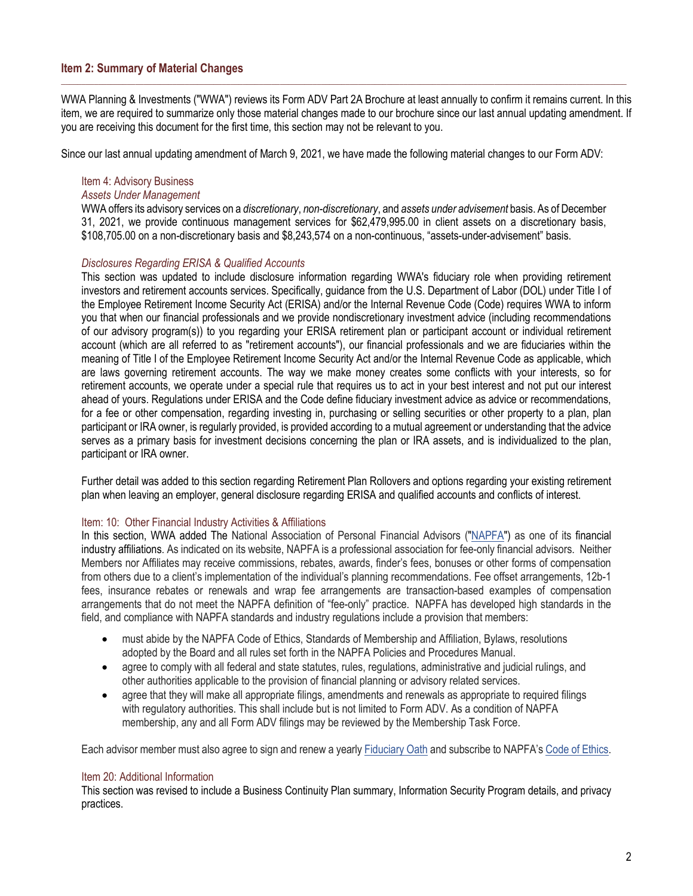# <span id="page-1-0"></span>**Item 2: Summary of Material Changes**

WWA Planning & Investments ("WWA") reviews its Form ADV Part 2A Brochure at least annually to confirm it remains current. In this item, we are required to summarize only those material changes made to our brochure since our last annual updating amendment. If you are receiving this document for the first time, this section may not be relevant to you.

 $\Box$  . The contribution of the contribution of the contribution of the contribution of the contribution of the contribution of the contribution of the contribution of the contribution of the contribution of the contributi

Since our last annual updating amendment of March 9, 2021, we have made the following material changes to our Form ADV:

### Item 4: Advisory Business

#### *Assets Under Management*

WWA offers its advisory services on a *discretionary*, *non-discretionary*, and *assets under advisement* basis. As of December 31, 2021, we provide continuous management services for \$62,479,995.00 in client assets on a discretionary basis, \$108,705.00 on a non-discretionary basis and \$8,243,574 on a non-continuous, "assets-under-advisement" basis.

#### *Disclosures Regarding ERISA & Qualified Accounts*

This section was updated to include disclosure information regarding WWA's fiduciary role when providing retirement investors and retirement accounts services. Specifically, guidance from the U.S. Department of Labor (DOL) under Title I of the Employee Retirement Income Security Act (ERISA) and/or the Internal Revenue Code (Code) requires WWA to inform you that when our financial professionals and we provide nondiscretionary investment advice (including recommendations of our advisory program(s)) to you regarding your ERISA retirement plan or participant account or individual retirement account (which are all referred to as "retirement accounts"), our financial professionals and we are fiduciaries within the meaning of Title I of the Employee Retirement Income Security Act and/or the Internal Revenue Code as applicable, which are laws governing retirement accounts. The way we make money creates some conflicts with your interests, so for retirement accounts, we operate under a special rule that requires us to act in your best interest and not put our interest ahead of yours. Regulations under ERISA and the Code define fiduciary investment advice as advice or recommendations, for a fee or other compensation, regarding investing in, purchasing or selling securities or other property to a plan, plan participant or IRA owner, is regularly provided, is provided according to a mutual agreement or understanding that the advice serves as a primary basis for investment decisions concerning the plan or IRA assets, and is individualized to the plan, participant or IRA owner.

Further detail was added to this section regarding Retirement Plan Rollovers and options regarding your existing retirement plan when leaving an employer, general disclosure regarding ERISA and qualified accounts and conflicts of interest.

#### Item: 10: Other Financial Industry Activities & Affiliations

In this section, WWA added The National Association of Personal Financial Advisors [\("NAPFA"\)](https://www.napfa.org/about-us) as one of its financial industry affiliations. As indicated on its website, NAPFA is a professional association for fee-only financial advisors. Neither Members nor Affiliates may receive commissions, rebates, awards, finder's fees, bonuses or other forms of compensation from others due to a client's implementation of the individual's planning recommendations. Fee offset arrangements, 12b-1 fees, insurance rebates or renewals and wrap fee arrangements are transaction-based examples of compensation arrangements that do not meet the NAPFA definition of "fee-only" practice. NAPFA has developed high standards in the field, and compliance with NAPFA standards and industry regulations include a provision that members:

- must abide by the NAPFA Code of Ethics, Standards of Membership and Affiliation, Bylaws, resolutions adopted by the Board and all rules set forth in the NAPFA Policies and Procedures Manual.
- agree to comply with all federal and state statutes, rules, regulations, administrative and judicial rulings, and other authorities applicable to the provision of financial planning or advisory related services.
- agree that they will make all appropriate filings, amendments and renewals as appropriate to required filings with regulatory authorities. This shall include but is not limited to Form ADV. As a condition of NAPFA membership, any and all Form ADV filings may be reviewed by the Membership Task Force.

Each advisor member must also agree to sign and renew a yearly [Fiduciary Oath](https://www.napfa.org/mission-and-fiduciary-oath) and subscribe to NAPFA's [Code of Ethics.](https://www.napfa.org/mission-and-fiduciary-oath)

#### Item 20: Additional Information

This section was revised to include a Business Continuity Plan summary, Information Security Program details, and privacy practices.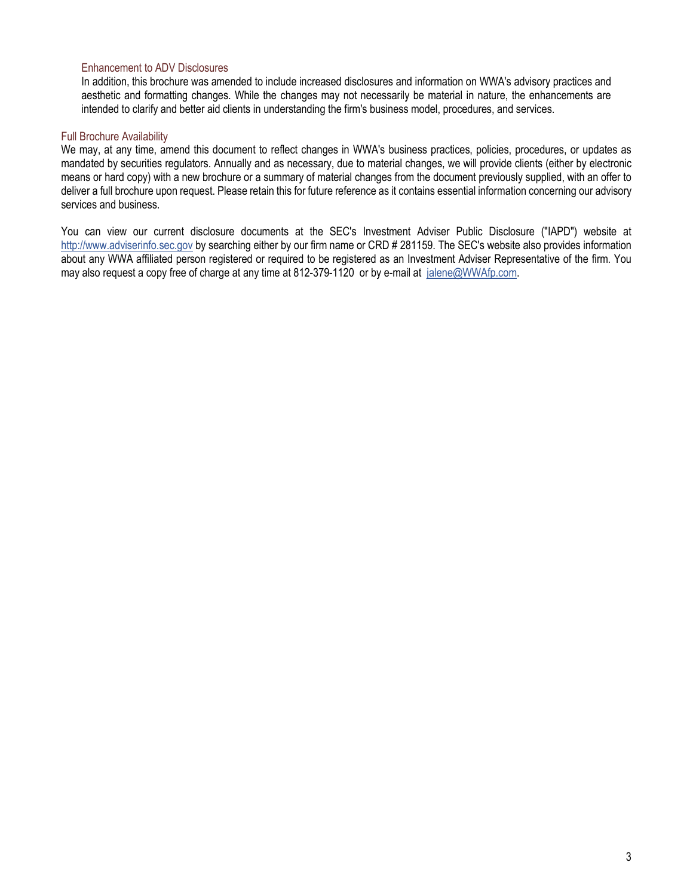# Enhancement to ADV Disclosures

In addition, this brochure was amended to include increased disclosures and information on WWA's advisory practices and aesthetic and formatting changes. While the changes may not necessarily be material in nature, the enhancements are intended to clarify and better aid clients in understanding the firm's business model, procedures, and services.

### Full Brochure Availability

We may, at any time, amend this document to reflect changes in WWA's business practices, policies, procedures, or updates as mandated by securities regulators. Annually and as necessary, due to material changes, we will provide clients (either by electronic means or hard copy) with a new brochure or a summary of material changes from the document previously supplied, with an offer to deliver a full brochure upon request. Please retain this for future reference as it contains essential information concerning our advisory services and business.

You can view our current disclosure documents at the SEC's Investment Adviser Public Disclosure ("IAPD") website at [http://www.adviserinfo.sec.gov](http://www.adviserinfo.sec.gov/) by searching either by our firm name or CRD # 281159. The SEC's website also provides information about any WWA affiliated person registered or required to be registered as an Investment Adviser Representative of the firm. You may also request a copy free of charge at any time at 812-379-1120 or by e-mail at [jalene@WWAfp.com.](mailto:jalene@wwafp.com)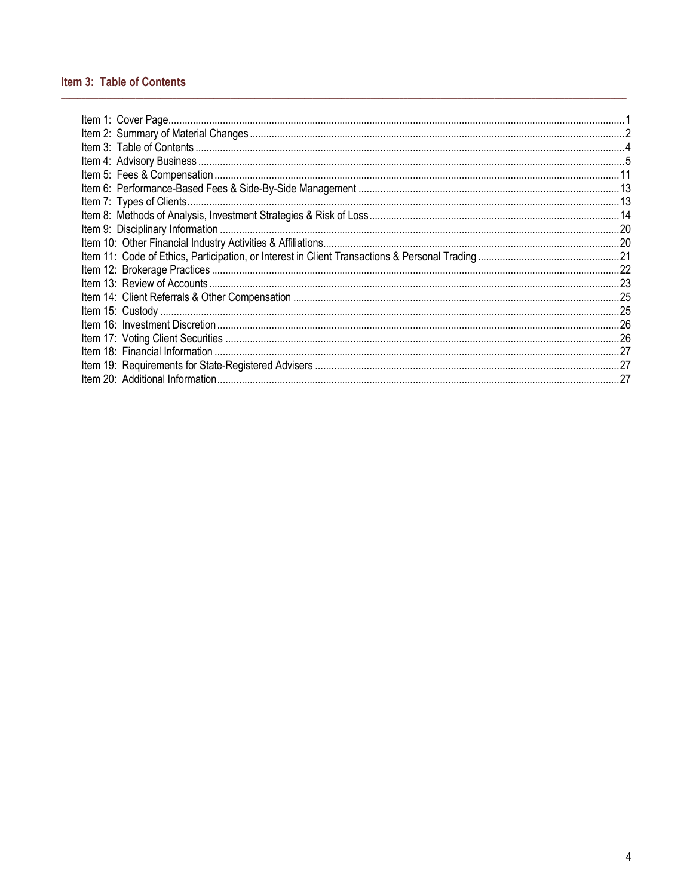# <span id="page-3-0"></span>Item 3: Table of Contents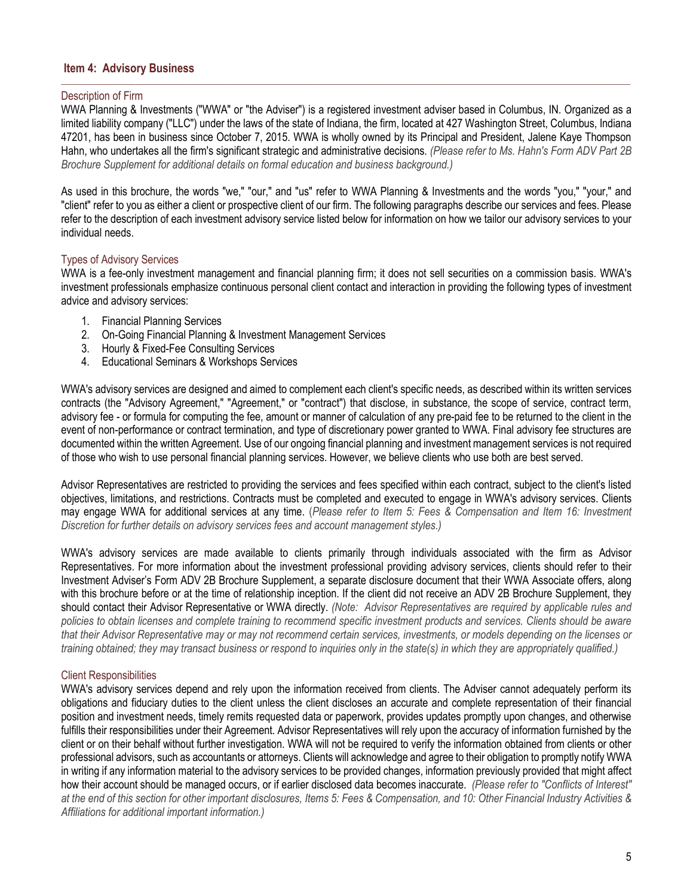# <span id="page-4-0"></span>**Item 4: Advisory Business**

#### Description of Firm

WWA Planning & Investments ("WWA" or "the Adviser") is a registered investment adviser based in Columbus, IN. Organized as a limited liability company ("LLC") under the laws of the state of Indiana, the firm, located at 427 Washington Street, Columbus, Indiana 47201, has been in business since October 7, 2015. WWA is wholly owned by its Principal and President, Jalene Kaye Thompson Hahn, who undertakes all the firm's significant strategic and administrative decisions. *(Please refer to Ms. Hahn's Form ADV Part 2B Brochure Supplement for additional details on formal education and business background.)*

 $\Box$  . The contribution of the contribution of the contribution of the contribution of the contribution of the contribution of the contribution of the contribution of the contribution of the contribution of the contributi

As used in this brochure, the words "we," "our," and "us" refer to WWA Planning & Investments and the words "you," "your," and "client" refer to you as either a client or prospective client of our firm. The following paragraphs describe our services and fees. Please refer to the description of each investment advisory service listed below for information on how we tailor our advisory services to your individual needs.

#### Types of Advisory Services

WWA is a fee-only investment management and financial planning firm; it does not sell securities on a commission basis. WWA's investment professionals emphasize continuous personal client contact and interaction in providing the following types of investment advice and advisory services:

- 1. Financial Planning Services
- 2. On-Going Financial Planning & Investment Management Services
- 3. Hourly & Fixed-Fee Consulting Services
- 4. Educational Seminars & Workshops Services

WWA's advisory services are designed and aimed to complement each client's specific needs, as described within its written services contracts (the "Advisory Agreement," "Agreement," or "contract") that disclose, in substance, the scope of service, contract term, advisory fee - or formula for computing the fee, amount or manner of calculation of any pre-paid fee to be returned to the client in the event of non-performance or contract termination, and type of discretionary power granted to WWA. Final advisory fee structures are documented within the written Agreement. Use of our ongoing financial planning and investment management services is not required of those who wish to use personal financial planning services. However, we believe clients who use both are best served.

Advisor Representatives are restricted to providing the services and fees specified within each contract, subject to the client's listed objectives, limitations, and restrictions. Contracts must be completed and executed to engage in WWA's advisory services. Clients may engage WWA for additional services at any time. (*Please refer to Item 5: Fees & Compensation and Item 16: Investment Discretion for further details on advisory services fees and account management styles.)*

WWA's advisory services are made available to clients primarily through individuals associated with the firm as Advisor Representatives. For more information about the investment professional providing advisory services, clients should refer to their Investment Adviser's Form ADV 2B Brochure Supplement, a separate disclosure document that their WWA Associate offers, along with this brochure before or at the time of relationship inception. If the client did not receive an ADV 2B Brochure Supplement, they should contact their Advisor Representative or WWA directly. *(Note: Advisor Representatives are required by applicable rules and policies to obtain licenses and complete training to recommend specific investment products and services. Clients should be aware that their Advisor Representative may or may not recommend certain services, investments, or models depending on the licenses or training obtained; they may transact business or respond to inquiries only in the state(s) in which they are appropriately qualified.)*

#### Client Responsibilities

WWA's advisory services depend and rely upon the information received from clients. The Adviser cannot adequately perform its obligations and fiduciary duties to the client unless the client discloses an accurate and complete representation of their financial position and investment needs, timely remits requested data or paperwork, provides updates promptly upon changes, and otherwise fulfills their responsibilities under their Agreement. Advisor Representatives will rely upon the accuracy of information furnished by the client or on their behalf without further investigation. WWA will not be required to verify the information obtained from clients or other professional advisors, such as accountants or attorneys. Clients will acknowledge and agree to their obligation to promptly notify WWA in writing if any information material to the advisory services to be provided changes, information previously provided that might affect how their account should be managed occurs, or if earlier disclosed data becomes inaccurate. *(Please refer to "Conflicts of Interest" at the end of this section for other important disclosures, Items 5: Fees & Compensation, and 10: Other Financial Industry Activities & Affiliations for additional important information.)*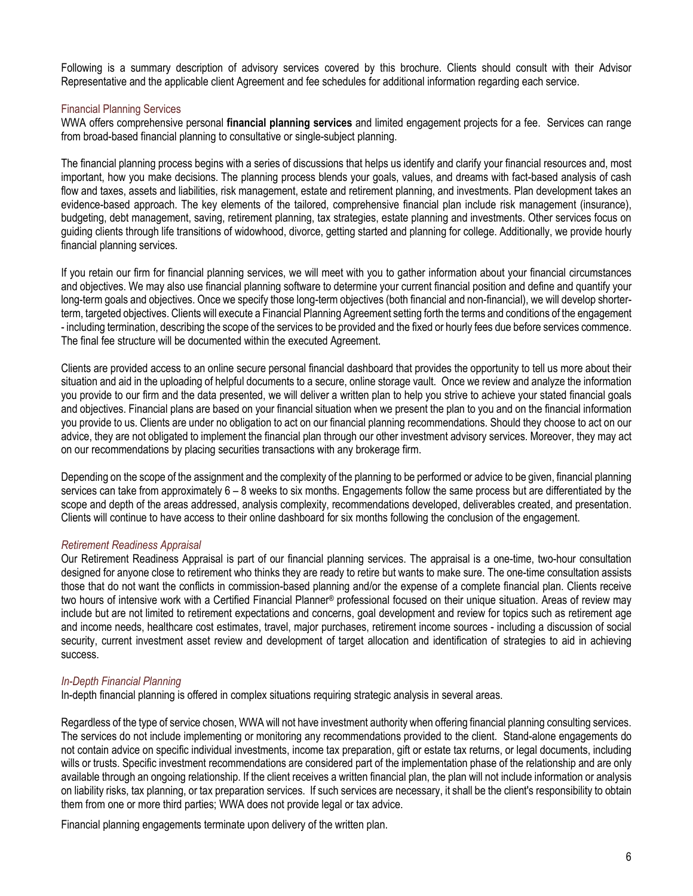Following is a summary description of advisory services covered by this brochure. Clients should consult with their Advisor Representative and the applicable client Agreement and fee schedules for additional information regarding each service.

### Financial Planning Services

WWA offers comprehensive personal **financial planning services** and limited engagement projects for a fee. Services can range from broad-based financial planning to consultative or single-subject planning.

The financial planning process begins with a series of discussions that helps us identify and clarify your financial resources and, most important, how you make decisions. The planning process blends your goals, values, and dreams with fact-based analysis of cash flow and taxes, assets and liabilities, risk management, estate and retirement planning, and investments. Plan development takes an evidence-based approach. The key elements of the tailored, comprehensive financial plan include risk management (insurance), budgeting, debt management, saving, retirement planning, tax strategies, estate planning and investments. Other services focus on guiding clients through life transitions of widowhood, divorce, getting started and planning for college. Additionally, we provide hourly financial planning services.

If you retain our firm for financial planning services, we will meet with you to gather information about your financial circumstances and objectives. We may also use financial planning software to determine your current financial position and define and quantify your long-term goals and objectives. Once we specify those long-term objectives (both financial and non-financial), we will develop shorterterm, targeted objectives. Clients will execute a Financial Planning Agreement setting forth the terms and conditions of the engagement - including termination, describing the scope of the services to be provided and the fixed or hourly fees due before services commence. The final fee structure will be documented within the executed Agreement.

Clients are provided access to an online secure personal financial dashboard that provides the opportunity to tell us more about their situation and aid in the uploading of helpful documents to a secure, online storage vault. Once we review and analyze the information you provide to our firm and the data presented, we will deliver a written plan to help you strive to achieve your stated financial goals and objectives. Financial plans are based on your financial situation when we present the plan to you and on the financial information you provide to us. Clients are under no obligation to act on our financial planning recommendations. Should they choose to act on our advice, they are not obligated to implement the financial plan through our other investment advisory services. Moreover, they may act on our recommendations by placing securities transactions with any brokerage firm.

Depending on the scope of the assignment and the complexity of the planning to be performed or advice to be given, financial planning services can take from approximately 6 – 8 weeks to six months. Engagements follow the same process but are differentiated by the scope and depth of the areas addressed, analysis complexity, recommendations developed, deliverables created, and presentation. Clients will continue to have access to their online dashboard for six months following the conclusion of the engagement.

# *Retirement Readiness Appraisal*

Our Retirement Readiness Appraisal is part of our financial planning services. The appraisal is a one-time, two-hour consultation designed for anyone close to retirement who thinks they are ready to retire but wants to make sure. The one-time consultation assists those that do not want the conflicts in commission-based planning and/or the expense of a complete financial plan. Clients receive two hours of intensive work with a Certified Financial Planner® professional focused on their unique situation. Areas of review may include but are not limited to retirement expectations and concerns, goal development and review for topics such as retirement age and income needs, healthcare cost estimates, travel, major purchases, retirement income sources - including a discussion of social security, current investment asset review and development of target allocation and identification of strategies to aid in achieving success.

# *In-Depth Financial Planning*

In-depth financial planning is offered in complex situations requiring strategic analysis in several areas.

Regardless of the type of service chosen, WWA will not have investment authority when offering financial planning consulting services. The services do not include implementing or monitoring any recommendations provided to the client. Stand-alone engagements do not contain advice on specific individual investments, income tax preparation, gift or estate tax returns, or legal documents, including wills or trusts. Specific investment recommendations are considered part of the implementation phase of the relationship and are only available through an ongoing relationship. If the client receives a written financial plan, the plan will not include information or analysis on liability risks, tax planning, or tax preparation services. If such services are necessary, it shall be the client's responsibility to obtain them from one or more third parties; WWA does not provide legal or tax advice.

Financial planning engagements terminate upon delivery of the written plan.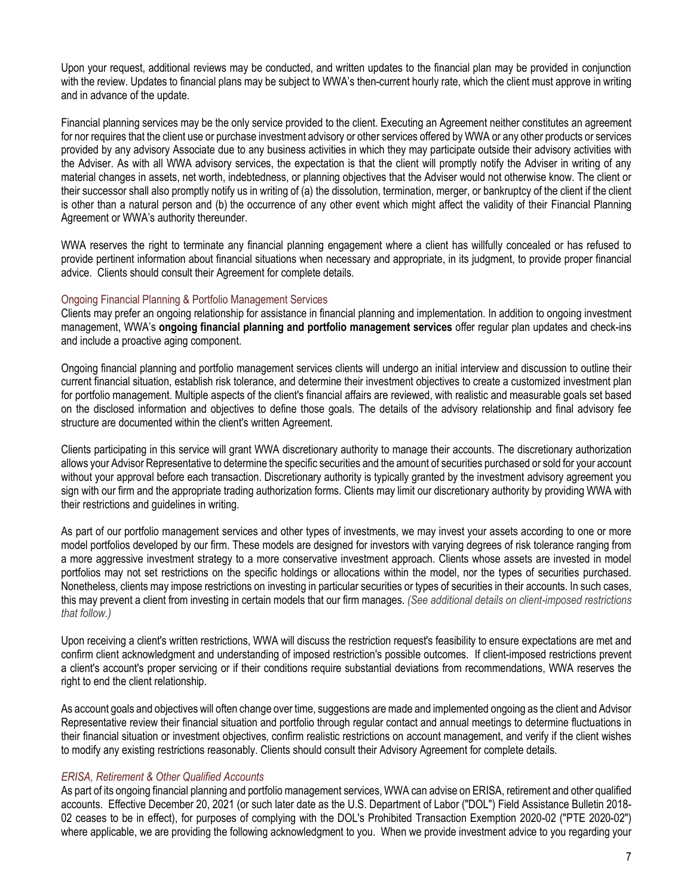Upon your request, additional reviews may be conducted, and written updates to the financial plan may be provided in conjunction with the review. Updates to financial plans may be subject to WWA's then-current hourly rate, which the client must approve in writing and in advance of the update.

Financial planning services may be the only service provided to the client. Executing an Agreement neither constitutes an agreement for nor requires that the client use or purchase investment advisory or other services offered by WWA or any other products or services provided by any advisory Associate due to any business activities in which they may participate outside their advisory activities with the Adviser. As with all WWA advisory services, the expectation is that the client will promptly notify the Adviser in writing of any material changes in assets, net worth, indebtedness, or planning objectives that the Adviser would not otherwise know. The client or their successor shall also promptly notify us in writing of (a) the dissolution, termination, merger, or bankruptcy of the client if the client is other than a natural person and (b) the occurrence of any other event which might affect the validity of their Financial Planning Agreement or WWA's authority thereunder.

WWA reserves the right to terminate any financial planning engagement where a client has willfully concealed or has refused to provide pertinent information about financial situations when necessary and appropriate, in its judgment, to provide proper financial advice. Clients should consult their Agreement for complete details.

#### Ongoing Financial Planning & Portfolio Management Services

Clients may prefer an ongoing relationship for assistance in financial planning and implementation. In addition to ongoing investment management, WWA's **ongoing financial planning and portfolio management services** offer regular plan updates and check-ins and include a proactive aging component.

Ongoing financial planning and portfolio management services clients will undergo an initial interview and discussion to outline their current financial situation, establish risk tolerance, and determine their investment objectives to create a customized investment plan for portfolio management. Multiple aspects of the client's financial affairs are reviewed, with realistic and measurable goals set based on the disclosed information and objectives to define those goals. The details of the advisory relationship and final advisory fee structure are documented within the client's written Agreement.

Clients participating in this service will grant WWA discretionary authority to manage their accounts. The discretionary authorization allows your Advisor Representative to determine the specific securities and the amount of securities purchased or sold for your account without your approval before each transaction. Discretionary authority is typically granted by the investment advisory agreement you sign with our firm and the appropriate trading authorization forms. Clients may limit our discretionary authority by providing WWA with their restrictions and guidelines in writing.

As part of our portfolio management services and other types of investments, we may invest your assets according to one or more model portfolios developed by our firm. These models are designed for investors with varying degrees of risk tolerance ranging from a more aggressive investment strategy to a more conservative investment approach. Clients whose assets are invested in model portfolios may not set restrictions on the specific holdings or allocations within the model, nor the types of securities purchased. Nonetheless, clients may impose restrictions on investing in particular securities or types of securities in their accounts. In such cases, this may prevent a client from investing in certain models that our firm manages. *(See additional details on client-imposed restrictions that follow.)*

Upon receiving a client's written restrictions, WWA will discuss the restriction request's feasibility to ensure expectations are met and confirm client acknowledgment and understanding of imposed restriction's possible outcomes. If client-imposed restrictions prevent a client's account's proper servicing or if their conditions require substantial deviations from recommendations, WWA reserves the right to end the client relationship.

As account goals and objectives will often change over time, suggestions are made and implemented ongoing as the client and Advisor Representative review their financial situation and portfolio through regular contact and annual meetings to determine fluctuations in their financial situation or investment objectives, confirm realistic restrictions on account management, and verify if the client wishes to modify any existing restrictions reasonably. Clients should consult their Advisory Agreement for complete details.

#### *ERISA, Retirement & Other Qualified Accounts*

As part of its ongoing financial planning and portfolio management services, WWA can advise on ERISA, retirement and other qualified accounts. Effective December 20, 2021 (or such later date as the U.S. Department of Labor ("DOL") Field Assistance Bulletin 2018- 02 ceases to be in effect), for purposes of complying with the DOL's Prohibited Transaction Exemption 2020-02 ("PTE 2020-02") where applicable, we are providing the following acknowledgment to you. When we provide investment advice to you regarding your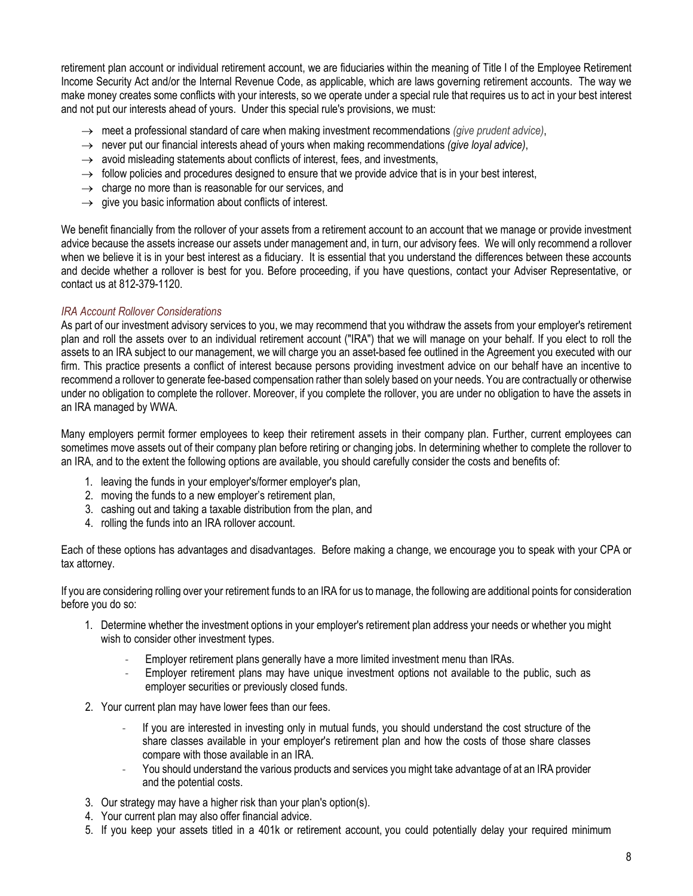retirement plan account or individual retirement account, we are fiduciaries within the meaning of Title I of the Employee Retirement Income Security Act and/or the Internal Revenue Code, as applicable, which are laws governing retirement accounts. The way we make money creates some conflicts with your interests, so we operate under a special rule that requires us to act in your best interest and not put our interests ahead of yours. Under this special rule's provisions, we must:

- → meet a professional standard of care when making investment recommendations *(give prudent advice)*,
- → never put our financial interests ahead of yours when making recommendations *(give loyal advice)*,
- $\rightarrow$  avoid misleading statements about conflicts of interest, fees, and investments,
- $\rightarrow$  follow policies and procedures designed to ensure that we provide advice that is in your best interest,
- $\rightarrow$  charge no more than is reasonable for our services, and
- $\rightarrow$  give you basic information about conflicts of interest.

We benefit financially from the rollover of your assets from a retirement account to an account that we manage or provide investment advice because the assets increase our assets under management and, in turn, our advisory fees. We will only recommend a rollover when we believe it is in your best interest as a fiduciary. It is essential that you understand the differences between these accounts and decide whether a rollover is best for you. Before proceeding, if you have questions, contact your Adviser Representative, or contact us at 812-379-1120.

## *IRA Account Rollover Considerations*

As part of our investment advisory services to you, we may recommend that you withdraw the assets from your employer's retirement plan and roll the assets over to an individual retirement account ("IRA") that we will manage on your behalf. If you elect to roll the assets to an IRA subject to our management, we will charge you an asset-based fee outlined in the Agreement you executed with our firm. This practice presents a conflict of interest because persons providing investment advice on our behalf have an incentive to recommend a rollover to generate fee-based compensation rather than solely based on your needs. You are contractually or otherwise under no obligation to complete the rollover. Moreover, if you complete the rollover, you are under no obligation to have the assets in an IRA managed by WWA.

Many employers permit former employees to keep their retirement assets in their company plan. Further, current employees can sometimes move assets out of their company plan before retiring or changing jobs. In determining whether to complete the rollover to an IRA, and to the extent the following options are available, you should carefully consider the costs and benefits of:

- 1. leaving the funds in your employer's/former employer's plan,
- 2. moving the funds to a new employer's retirement plan,
- 3. cashing out and taking a taxable distribution from the plan, and
- 4. rolling the funds into an IRA rollover account.

Each of these options has advantages and disadvantages. Before making a change, we encourage you to speak with your CPA or tax attorney.

If you are considering rolling over your retirement funds to an IRA for us to manage, the following are additional points for consideration before you do so:

- 1. Determine whether the investment options in your employer's retirement plan address your needs or whether you might wish to consider other investment types.
	- Employer retirement plans generally have a more limited investment menu than IRAs.
	- Employer retirement plans may have unique investment options not available to the public, such as employer securities or previously closed funds.
- 2. Your current plan may have lower fees than our fees.
	- If you are interested in investing only in mutual funds, you should understand the cost structure of the share classes available in your employer's retirement plan and how the costs of those share classes compare with those available in an IRA.
	- You should understand the various products and services you might take advantage of at an IRA provider and the potential costs.
- 3. Our strategy may have a higher risk than your plan's option(s).
- 4. Your current plan may also offer financial advice.
- 5. If you keep your assets titled in a 401k or retirement account, you could potentially delay your required minimum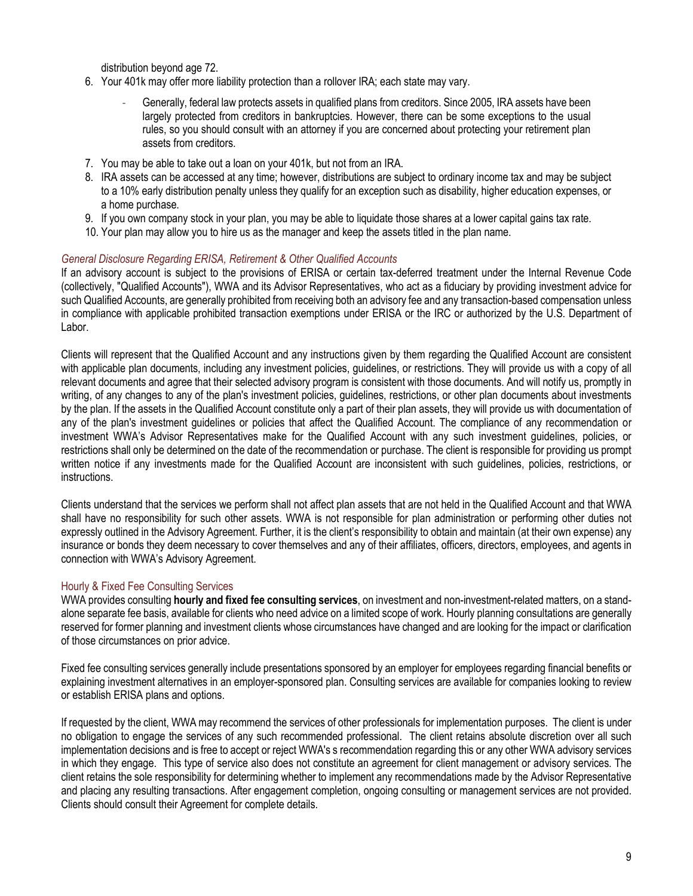distribution beyond age 72.

- 6. Your 401k may offer more liability protection than a rollover IRA; each state may vary.
	- Generally, federal law protects assets in qualified plans from creditors. Since 2005, IRA assets have been largely protected from creditors in bankruptcies. However, there can be some exceptions to the usual rules, so you should consult with an attorney if you are concerned about protecting your retirement plan assets from creditors.
- 7. You may be able to take out a loan on your 401k, but not from an IRA.
- 8. IRA assets can be accessed at any time; however, distributions are subject to ordinary income tax and may be subject to a 10% early distribution penalty unless they qualify for an exception such as disability, higher education expenses, or a home purchase.
- 9. If you own company stock in your plan, you may be able to liquidate those shares at a lower capital gains tax rate.
- 10. Your plan may allow you to hire us as the manager and keep the assets titled in the plan name.

## *General Disclosure Regarding ERISA, Retirement & Other Qualified Accounts*

If an advisory account is subject to the provisions of ERISA or certain tax-deferred treatment under the Internal Revenue Code (collectively, "Qualified Accounts"), WWA and its Advisor Representatives, who act as a fiduciary by providing investment advice for such Qualified Accounts, are generally prohibited from receiving both an advisory fee and any transaction-based compensation unless in compliance with applicable prohibited transaction exemptions under ERISA or the IRC or authorized by the U.S. Department of Labor.

Clients will represent that the Qualified Account and any instructions given by them regarding the Qualified Account are consistent with applicable plan documents, including any investment policies, guidelines, or restrictions. They will provide us with a copy of all relevant documents and agree that their selected advisory program is consistent with those documents. And will notify us, promptly in writing, of any changes to any of the plan's investment policies, guidelines, restrictions, or other plan documents about investments by the plan. If the assets in the Qualified Account constitute only a part of their plan assets, they will provide us with documentation of any of the plan's investment guidelines or policies that affect the Qualified Account. The compliance of any recommendation or investment WWA's Advisor Representatives make for the Qualified Account with any such investment guidelines, policies, or restrictions shall only be determined on the date of the recommendation or purchase. The client is responsible for providing us prompt written notice if any investments made for the Qualified Account are inconsistent with such guidelines, policies, restrictions, or instructions.

Clients understand that the services we perform shall not affect plan assets that are not held in the Qualified Account and that WWA shall have no responsibility for such other assets. WWA is not responsible for plan administration or performing other duties not expressly outlined in the Advisory Agreement. Further, it is the client's responsibility to obtain and maintain (at their own expense) any insurance or bonds they deem necessary to cover themselves and any of their affiliates, officers, directors, employees, and agents in connection with WWA's Advisory Agreement.

# Hourly & Fixed Fee Consulting Services

WWA provides consulting **hourly and fixed fee consulting services**, on investment and non-investment-related matters, on a standalone separate fee basis, available for clients who need advice on a limited scope of work. Hourly planning consultations are generally reserved for former planning and investment clients whose circumstances have changed and are looking for the impact or clarification of those circumstances on prior advice.

Fixed fee consulting services generally include presentations sponsored by an employer for employees regarding financial benefits or explaining investment alternatives in an employer-sponsored plan. Consulting services are available for companies looking to review or establish ERISA plans and options.

If requested by the client, WWA may recommend the services of other professionals for implementation purposes. The client is under no obligation to engage the services of any such recommended professional. The client retains absolute discretion over all such implementation decisions and is free to accept or reject WWA's s recommendation regarding this or any other WWA advisory services in which they engage. This type of service also does not constitute an agreement for client management or advisory services. The client retains the sole responsibility for determining whether to implement any recommendations made by the Advisor Representative and placing any resulting transactions. After engagement completion, ongoing consulting or management services are not provided. Clients should consult their Agreement for complete details.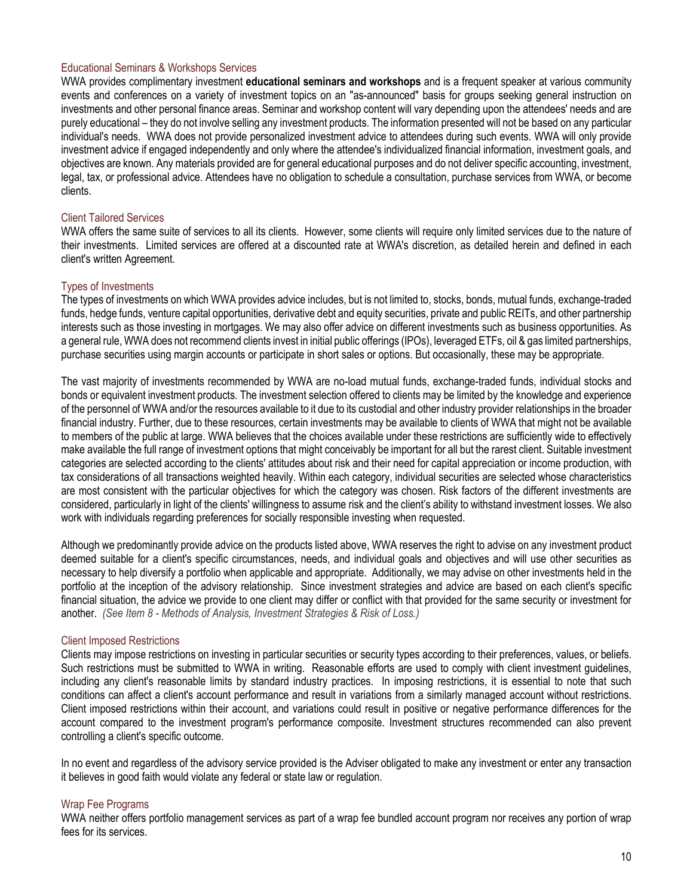### Educational Seminars & Workshops Services

WWA provides complimentary investment **educational seminars and workshops** and is a frequent speaker at various community events and conferences on a variety of investment topics on an "as-announced" basis for groups seeking general instruction on investments and other personal finance areas. Seminar and workshop content will vary depending upon the attendees' needs and are purely educational – they do not involve selling any investment products. The information presented will not be based on any particular individual's needs. WWA does not provide personalized investment advice to attendees during such events. WWA will only provide investment advice if engaged independently and only where the attendee's individualized financial information, investment goals, and objectives are known. Any materials provided are for general educational purposes and do not deliver specific accounting, investment, legal, tax, or professional advice. Attendees have no obligation to schedule a consultation, purchase services from WWA, or become clients.

## Client Tailored Services

WWA offers the same suite of services to all its clients. However, some clients will require only limited services due to the nature of their investments. Limited services are offered at a discounted rate at WWA's discretion, as detailed herein and defined in each client's written Agreement.

## Types of Investments

The types of investments on which WWA provides advice includes, but is not limited to, stocks, bonds, mutual funds, exchange-traded funds, hedge funds, venture capital opportunities, derivative debt and equity securities, private and public REITs, and other partnership interests such as those investing in mortgages. We may also offer advice on different investments such as business opportunities. As a general rule, WWA does not recommend clients invest in initial public offerings (IPOs), leveraged ETFs, oil & gas limited partnerships, purchase securities using margin accounts or participate in short sales or options. But occasionally, these may be appropriate.

The vast majority of investments recommended by WWA are no-load mutual funds, exchange-traded funds, individual stocks and bonds or equivalent investment products. The investment selection offered to clients may be limited by the knowledge and experience of the personnel of WWA and/or the resources available to it due to its custodial and other industry provider relationships in the broader financial industry. Further, due to these resources, certain investments may be available to clients of WWA that might not be available to members of the public at large. WWA believes that the choices available under these restrictions are sufficiently wide to effectively make available the full range of investment options that might conceivably be important for all but the rarest client. Suitable investment categories are selected according to the clients' attitudes about risk and their need for capital appreciation or income production, with tax considerations of all transactions weighted heavily. Within each category, individual securities are selected whose characteristics are most consistent with the particular objectives for which the category was chosen. Risk factors of the different investments are considered, particularly in light of the clients' willingness to assume risk and the client's ability to withstand investment losses. We also work with individuals regarding preferences for socially responsible investing when requested.

Although we predominantly provide advice on the products listed above, WWA reserves the right to advise on any investment product deemed suitable for a client's specific circumstances, needs, and individual goals and objectives and will use other securities as necessary to help diversify a portfolio when applicable and appropriate. Additionally, we may advise on other investments held in the portfolio at the inception of the advisory relationship. Since investment strategies and advice are based on each client's specific financial situation, the advice we provide to one client may differ or conflict with that provided for the same security or investment for another. *(See Item 8 - Methods of Analysis, Investment Strategies & Risk of Loss.)*

#### Client Imposed Restrictions

Clients may impose restrictions on investing in particular securities or security types according to their preferences, values, or beliefs. Such restrictions must be submitted to WWA in writing. Reasonable efforts are used to comply with client investment guidelines, including any client's reasonable limits by standard industry practices. In imposing restrictions, it is essential to note that such conditions can affect a client's account performance and result in variations from a similarly managed account without restrictions. Client imposed restrictions within their account, and variations could result in positive or negative performance differences for the account compared to the investment program's performance composite. Investment structures recommended can also prevent controlling a client's specific outcome.

In no event and regardless of the advisory service provided is the Adviser obligated to make any investment or enter any transaction it believes in good faith would violate any federal or state law or regulation.

#### Wrap Fee Programs

WWA neither offers portfolio management services as part of a wrap fee bundled account program nor receives any portion of wrap fees for its services.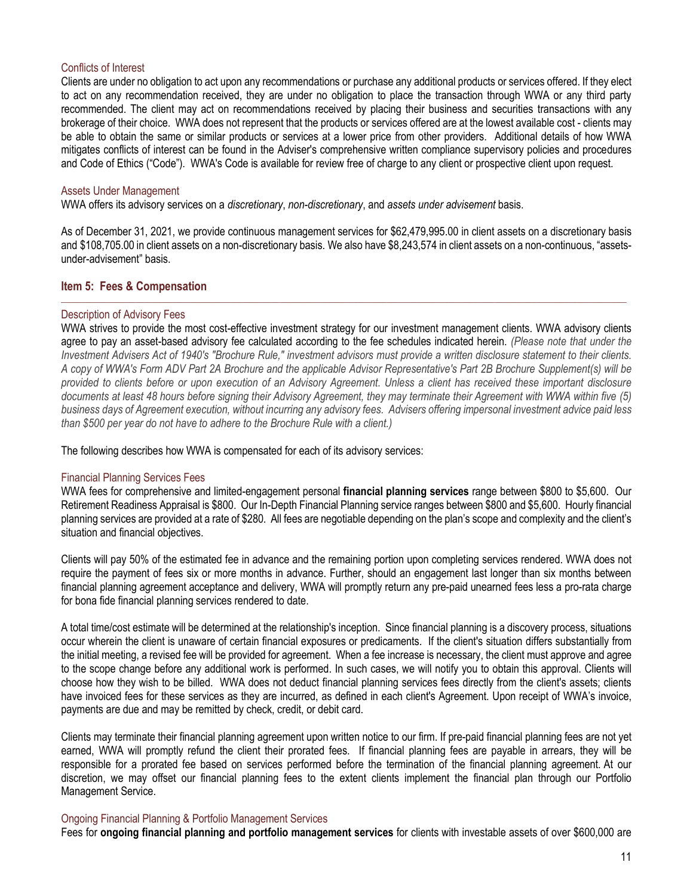#### Conflicts of Interest

Clients are under no obligation to act upon any recommendations or purchase any additional products or services offered. If they elect to act on any recommendation received, they are under no obligation to place the transaction through WWA or any third party recommended. The client may act on recommendations received by placing their business and securities transactions with any brokerage of their choice. WWA does not represent that the products or services offered are at the lowest available cost - clients may be able to obtain the same or similar products or services at a lower price from other providers. Additional details of how WWA mitigates conflicts of interest can be found in the Adviser's comprehensive written compliance supervisory policies and procedures and Code of Ethics ("Code"). WWA's Code is available for review free of charge to any client or prospective client upon request.

#### Assets Under Management

WWA offers its advisory services on a *discretionary*, *non-discretionary*, and *assets under advisement* basis.

As of December 31, 2021, we provide continuous management services for \$62,479,995.00 in client assets on a discretionary basis and \$108,705.00 in client assets on a non-discretionary basis. We also have \$8,243,574 in client assets on a non-continuous, "assetsunder-advisement" basis.

\_\_\_\_\_\_\_\_\_\_\_\_\_\_\_\_\_\_\_\_\_\_\_\_\_\_\_\_\_\_\_\_\_\_\_\_\_\_\_\_\_\_\_\_\_\_\_\_\_\_\_\_\_\_\_\_\_\_\_\_\_\_\_\_\_\_\_\_\_\_\_\_\_\_\_\_\_\_\_\_\_\_\_\_\_\_\_\_\_\_\_\_\_\_\_\_\_\_\_\_\_\_\_\_\_\_\_\_\_\_\_\_\_\_\_\_\_\_\_\_\_\_\_\_\_\_\_\_\_\_\_\_\_\_\_\_\_

## <span id="page-10-0"></span>**Item 5: Fees & Compensation**

#### Description of Advisory Fees

WWA strives to provide the most cost-effective investment strategy for our investment management clients. WWA advisory clients agree to pay an asset-based advisory fee calculated according to the fee schedules indicated herein. *(Please note that under the Investment Advisers Act of 1940's "Brochure Rule," investment advisors must provide a written disclosure statement to their clients. A copy of WWA's Form ADV Part 2A Brochure and the applicable Advisor Representative's Part 2B Brochure Supplement(s) will be provided to clients before or upon execution of an Advisory Agreement. Unless a client has received these important disclosure documents at least 48 hours before signing their Advisory Agreement, they may terminate their Agreement with WWA within five (5) business days of Agreement execution, without incurring any advisory fees. Advisers offering impersonal investment advice paid less than \$500 per year do not have to adhere to the Brochure Rule with a client.)*

The following describes how WWA is compensated for each of its advisory services:

#### Financial Planning Services Fees

WWA fees for comprehensive and limited-engagement personal **financial planning services** range between \$800 to \$5,600. Our Retirement Readiness Appraisal is \$800. Our In-Depth Financial Planning service ranges between \$800 and \$5,600. Hourly financial planning services are provided at a rate of \$280. All fees are negotiable depending on the plan's scope and complexity and the client's situation and financial objectives.

Clients will pay 50% of the estimated fee in advance and the remaining portion upon completing services rendered. WWA does not require the payment of fees six or more months in advance. Further, should an engagement last longer than six months between financial planning agreement acceptance and delivery, WWA will promptly return any pre-paid unearned fees less a pro-rata charge for bona fide financial planning services rendered to date.

A total time/cost estimate will be determined at the relationship's inception. Since financial planning is a discovery process, situations occur wherein the client is unaware of certain financial exposures or predicaments. If the client's situation differs substantially from the initial meeting, a revised fee will be provided for agreement. When a fee increase is necessary, the client must approve and agree to the scope change before any additional work is performed. In such cases, we will notify you to obtain this approval. Clients will choose how they wish to be billed. WWA does not deduct financial planning services fees directly from the client's assets; clients have invoiced fees for these services as they are incurred, as defined in each client's Agreement. Upon receipt of WWA's invoice, payments are due and may be remitted by check, credit, or debit card.

Clients may terminate their financial planning agreement upon written notice to our firm. If pre-paid financial planning fees are not yet earned, WWA will promptly refund the client their prorated fees. If financial planning fees are payable in arrears, they will be responsible for a prorated fee based on services performed before the termination of the financial planning agreement. At our discretion, we may offset our financial planning fees to the extent clients implement the financial plan through our Portfolio Management Service.

#### Ongoing Financial Planning & Portfolio Management Services

Fees for **ongoing financial planning and portfolio management services** for clients with investable assets of over \$600,000 are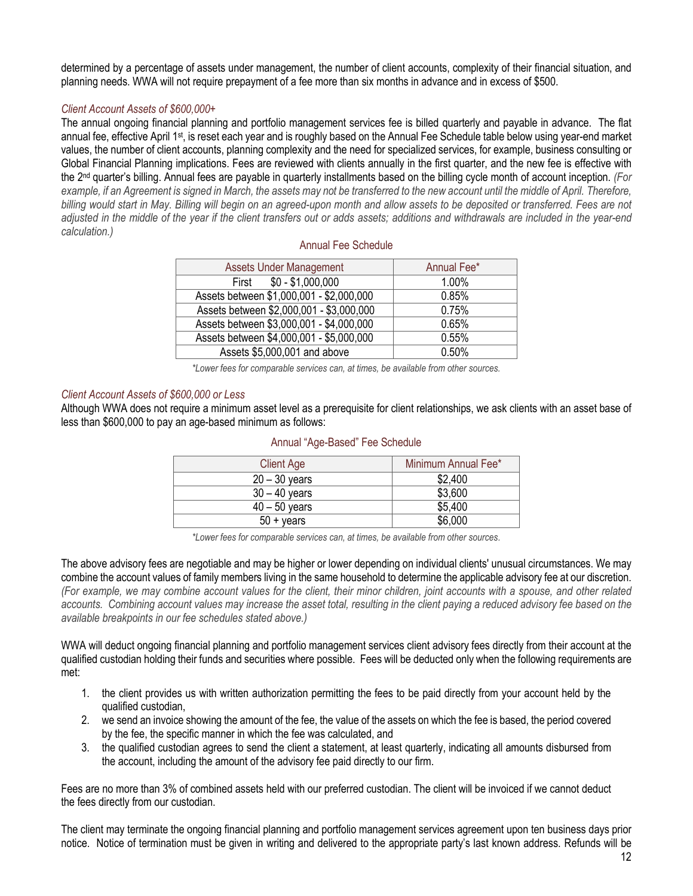determined by a percentage of assets under management, the number of client accounts, complexity of their financial situation, and planning needs. WWA will not require prepayment of a fee more than six months in advance and in excess of \$500.

# *Client Account Assets of \$600,000+*

The annual ongoing financial planning and portfolio management services fee is billed quarterly and payable in advance. The flat annual fee, effective April 1<sup>st</sup>, is reset each year and is roughly based on the Annual Fee Schedule table below using year-end market values, the number of client accounts, planning complexity and the need for specialized services, for example, business consulting or Global Financial Planning implications. Fees are reviewed with clients annually in the first quarter, and the new fee is effective with the 2<sup>nd</sup> quarter's billing. Annual fees are payable in quarterly installments based on the billing cycle month of account inception. (For *example, if an Agreement is signed in March, the assets may not be transferred to the new account until the middle of April. Therefore, billing would start in May. Billing will begin on an agreed-upon month and allow assets to be deposited or transferred. Fees are not adjusted in the middle of the year if the client transfers out or adds assets; additions and withdrawals are included in the year-end calculation.)*

| Annual Fee Schedule |  |  |
|---------------------|--|--|
|---------------------|--|--|

| <b>Assets Under Management</b>           | Annual Fee* |
|------------------------------------------|-------------|
| $$0 - $1,000,000$<br>First               | 1.00%       |
| Assets between \$1,000,001 - \$2,000,000 | 0.85%       |
| Assets between \$2,000,001 - \$3,000,000 | 0.75%       |
| Assets between \$3,000,001 - \$4,000,000 | 0.65%       |
| Assets between \$4,000,001 - \$5,000,000 | 0.55%       |
| Assets \$5,000,001 and above             | 0.50%       |
|                                          |             |

*\*Lower fees for comparable services can, at times, be available from other sources.*

#### *Client Account Assets of \$600,000 or Less*

Although WWA does not require a minimum asset level as a prerequisite for client relationships, we ask clients with an asset base of less than \$600,000 to pay an age-based minimum as follows:

| <b>Client Age</b>   | Minimum Annual Fee* |
|---------------------|---------------------|
| $20 - 30$ years     | \$2,400             |
| $30 - 40$ years     | \$3,600             |
| $40 - 50$ years     | \$5,400             |
| $50 + \text{years}$ | \$6,000             |

#### Annual "Age-Based" Fee Schedule

*\*Lower fees for comparable services can, at times, be available from other sources.*

The above advisory fees are negotiable and may be higher or lower depending on individual clients' unusual circumstances. We may combine the account values of family members living in the same household to determine the applicable advisory fee at our discretion. *(For example, we may combine account values for the client, their minor children, joint accounts with a spouse, and other related accounts. Combining account values may increase the asset total, resulting in the client paying a reduced advisory fee based on the available breakpoints in our fee schedules stated above.)*

WWA will deduct ongoing financial planning and portfolio management services client advisory fees directly from their account at the qualified custodian holding their funds and securities where possible. Fees will be deducted only when the following requirements are met:

- 1. the client provides us with written authorization permitting the fees to be paid directly from your account held by the qualified custodian,
- 2. we send an invoice showing the amount of the fee, the value of the assets on which the fee is based, the period covered by the fee, the specific manner in which the fee was calculated, and
- 3. the qualified custodian agrees to send the client a statement, at least quarterly, indicating all amounts disbursed from the account, including the amount of the advisory fee paid directly to our firm.

Fees are no more than 3% of combined assets held with our preferred custodian. The client will be invoiced if we cannot deduct the fees directly from our custodian.

The client may terminate the ongoing financial planning and portfolio management services agreement upon ten business days prior notice. Notice of termination must be given in writing and delivered to the appropriate party's last known address. Refunds will be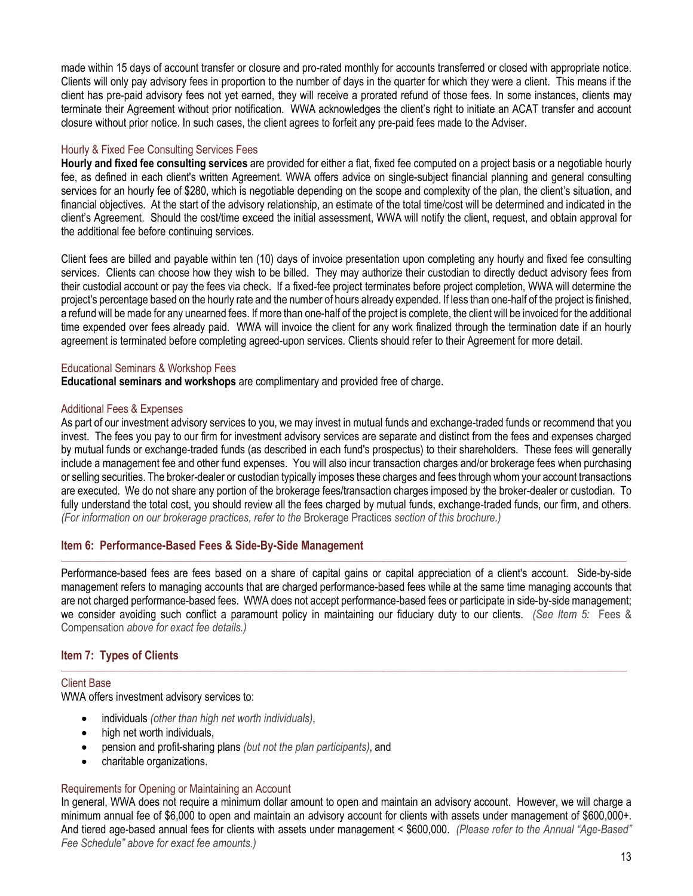made within 15 days of account transfer or closure and pro-rated monthly for accounts transferred or closed with appropriate notice. Clients will only pay advisory fees in proportion to the number of days in the quarter for which they were a client. This means if the client has pre-paid advisory fees not yet earned, they will receive a prorated refund of those fees. In some instances, clients may terminate their Agreement without prior notification. WWA acknowledges the client's right to initiate an ACAT transfer and account closure without prior notice. In such cases, the client agrees to forfeit any pre-paid fees made to the Adviser.

#### Hourly & Fixed Fee Consulting Services Fees

**Hourly and fixed fee consulting services** are provided for either a flat, fixed fee computed on a project basis or a negotiable hourly fee, as defined in each client's written Agreement. WWA offers advice on single-subject financial planning and general consulting services for an hourly fee of \$280, which is negotiable depending on the scope and complexity of the plan, the client's situation, and financial objectives. At the start of the advisory relationship, an estimate of the total time/cost will be determined and indicated in the client's Agreement. Should the cost/time exceed the initial assessment, WWA will notify the client, request, and obtain approval for the additional fee before continuing services.

Client fees are billed and payable within ten (10) days of invoice presentation upon completing any hourly and fixed fee consulting services. Clients can choose how they wish to be billed. They may authorize their custodian to directly deduct advisory fees from their custodial account or pay the fees via check. If a fixed-fee project terminates before project completion, WWA will determine the project's percentage based on the hourly rate and the number of hours already expended. If less than one-half of the project is finished, a refund will be made for any unearned fees. If more than one-half of the project is complete, the client will be invoiced for the additional time expended over fees already paid. WWA will invoice the client for any work finalized through the termination date if an hourly agreement is terminated before completing agreed-upon services. Clients should refer to their Agreement for more detail.

## Educational Seminars & Workshop Fees

**Educational seminars and workshops** are complimentary and provided free of charge.

#### Additional Fees & Expenses

As part of our investment advisory services to you, we may invest in mutual funds and exchange-traded funds or recommend that you invest. The fees you pay to our firm for investment advisory services are separate and distinct from the fees and expenses charged by mutual funds or exchange-traded funds (as described in each fund's prospectus) to their shareholders. These fees will generally include a management fee and other fund expenses. You will also incur transaction charges and/or brokerage fees when purchasing or selling securities. The broker-dealer or custodian typically imposes these charges and fees through whom your account transactions are executed. We do not share any portion of the brokerage fees/transaction charges imposed by the broker-dealer or custodian. To fully understand the total cost, you should review all the fees charged by mutual funds, exchange-traded funds, our firm, and others. *(For information on our brokerage practices, refer to the* Brokerage Practices *section of this brochure.)*

#### <span id="page-12-0"></span>**Item 6: Performance-Based Fees & Side-By-Side Management**

Performance-based fees are fees based on a share of capital gains or capital appreciation of a client's account. Side-by-side management refers to managing accounts that are charged performance-based fees while at the same time managing accounts that are not charged performance-based fees. WWA does not accept performance-based fees or participate in side-by-side management; we consider avoiding such conflict a paramount policy in maintaining our fiduciary duty to our clients. *(See Item 5:* Fees & Compensation *above for exact fee details.)*

\_\_\_\_\_\_\_\_\_\_\_\_\_\_\_\_\_\_\_\_\_\_\_\_\_\_\_\_\_\_\_\_\_\_\_\_\_\_\_\_\_\_\_\_\_\_\_\_\_\_\_\_\_\_\_\_\_\_\_\_\_\_\_\_\_\_\_\_\_\_\_\_\_\_\_\_\_\_\_\_\_\_\_\_\_\_\_\_\_\_\_\_\_\_\_\_\_\_\_\_\_\_\_\_\_\_\_\_\_\_\_\_\_\_\_\_\_\_\_\_\_\_\_\_\_\_\_\_\_\_\_\_\_\_\_\_\_

 $\Box$  . The contribution of the contribution of the contribution of the contribution of the contribution of the contribution of the contribution of the contribution of the contribution of the contribution of the contributi

# <span id="page-12-1"></span>**Item 7: Types of Clients**

#### Client Base

WWA offers investment advisory services to:

- individuals *(other than high net worth individuals)*,
- high net worth individuals,
- pension and profit-sharing plans *(but not the plan participants)*, and
- charitable organizations.

#### Requirements for Opening or Maintaining an Account

In general, WWA does not require a minimum dollar amount to open and maintain an advisory account. However, we will charge a minimum annual fee of \$6,000 to open and maintain an advisory account for clients with assets under management of \$600,000+. And tiered age-based annual fees for clients with assets under management < \$600,000. *(Please refer to the Annual "Age-Based" Fee Schedule" above for exact fee amounts.)*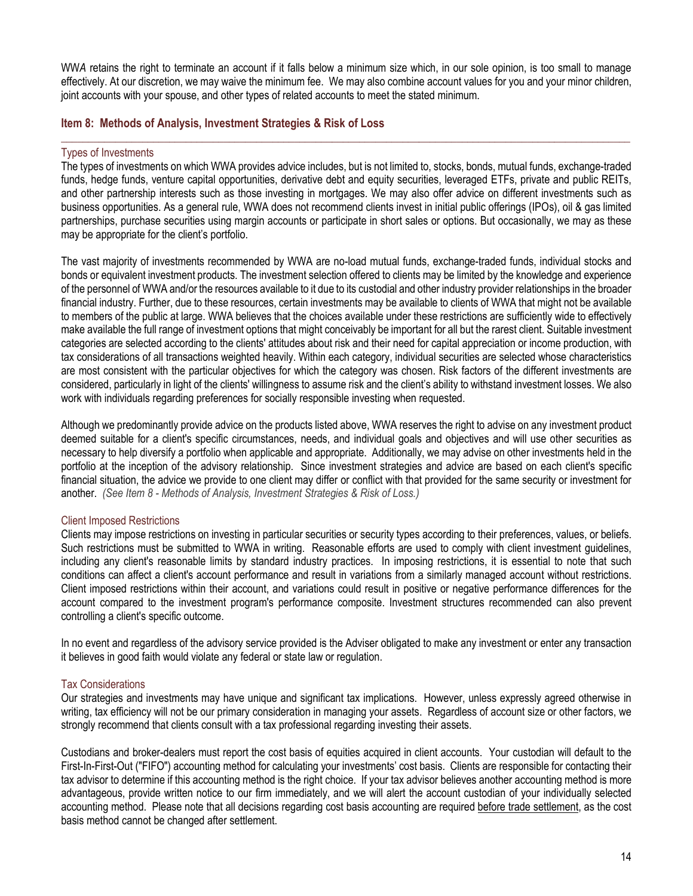WW*A* retains the right to terminate an account if it falls below a minimum size which, in our sole opinion, is too small to manage effectively. At our discretion, we may waive the minimum fee. We may also combine account values for you and your minor children, joint accounts with your spouse, and other types of related accounts to meet the stated minimum.

\_\_\_\_\_\_\_\_\_\_\_\_\_\_\_\_\_\_\_\_\_\_\_\_\_\_\_\_\_\_\_\_\_\_\_\_\_\_\_\_\_\_\_\_\_\_\_\_\_\_\_\_\_\_\_\_\_\_\_\_\_\_\_\_\_\_\_\_\_\_\_\_\_\_\_\_\_\_\_\_\_\_\_\_\_\_\_\_\_\_\_\_\_\_\_\_\_\_\_\_\_\_\_\_\_

### <span id="page-13-0"></span>**Item 8: Methods of Analysis, Investment Strategies & Risk of Loss**

#### Types of Investments

The types of investments on which WWA provides advice includes, but is not limited to, stocks, bonds, mutual funds, exchange-traded funds, hedge funds, venture capital opportunities, derivative debt and equity securities, leveraged ETFs, private and public REITs, and other partnership interests such as those investing in mortgages. We may also offer advice on different investments such as business opportunities. As a general rule, WWA does not recommend clients invest in initial public offerings (IPOs), oil & gas limited partnerships, purchase securities using margin accounts or participate in short sales or options. But occasionally, we may as these may be appropriate for the client's portfolio.

The vast majority of investments recommended by WWA are no-load mutual funds, exchange-traded funds, individual stocks and bonds or equivalent investment products. The investment selection offered to clients may be limited by the knowledge and experience of the personnel of WWA and/or the resources available to it due to its custodial and other industry provider relationships in the broader financial industry. Further, due to these resources, certain investments may be available to clients of WWA that might not be available to members of the public at large. WWA believes that the choices available under these restrictions are sufficiently wide to effectively make available the full range of investment options that might conceivably be important for all but the rarest client. Suitable investment categories are selected according to the clients' attitudes about risk and their need for capital appreciation or income production, with tax considerations of all transactions weighted heavily. Within each category, individual securities are selected whose characteristics are most consistent with the particular objectives for which the category was chosen. Risk factors of the different investments are considered, particularly in light of the clients' willingness to assume risk and the client's ability to withstand investment losses. We also work with individuals regarding preferences for socially responsible investing when requested.

Although we predominantly provide advice on the products listed above, WWA reserves the right to advise on any investment product deemed suitable for a client's specific circumstances, needs, and individual goals and objectives and will use other securities as necessary to help diversify a portfolio when applicable and appropriate. Additionally, we may advise on other investments held in the portfolio at the inception of the advisory relationship. Since investment strategies and advice are based on each client's specific financial situation, the advice we provide to one client may differ or conflict with that provided for the same security or investment for another. *(See Item 8 - Methods of Analysis, Investment Strategies & Risk of Loss.)*

#### Client Imposed Restrictions

Clients may impose restrictions on investing in particular securities or security types according to their preferences, values, or beliefs. Such restrictions must be submitted to WWA in writing. Reasonable efforts are used to comply with client investment guidelines, including any client's reasonable limits by standard industry practices. In imposing restrictions, it is essential to note that such conditions can affect a client's account performance and result in variations from a similarly managed account without restrictions. Client imposed restrictions within their account, and variations could result in positive or negative performance differences for the account compared to the investment program's performance composite. Investment structures recommended can also prevent controlling a client's specific outcome.

In no event and regardless of the advisory service provided is the Adviser obligated to make any investment or enter any transaction it believes in good faith would violate any federal or state law or regulation.

#### Tax Considerations

Our strategies and investments may have unique and significant tax implications. However, unless expressly agreed otherwise in writing, tax efficiency will not be our primary consideration in managing your assets. Regardless of account size or other factors, we strongly recommend that clients consult with a tax professional regarding investing their assets.

Custodians and broker-dealers must report the cost basis of equities acquired in client accounts. Your custodian will default to the First-In-First-Out ("FIFO") accounting method for calculating your investments' cost basis. Clients are responsible for contacting their tax advisor to determine if this accounting method is the right choice. If your tax advisor believes another accounting method is more advantageous, provide written notice to our firm immediately, and we will alert the account custodian of your individually selected accounting method. Please note that all decisions regarding cost basis accounting are required before trade settlement, as the cost basis method cannot be changed after settlement.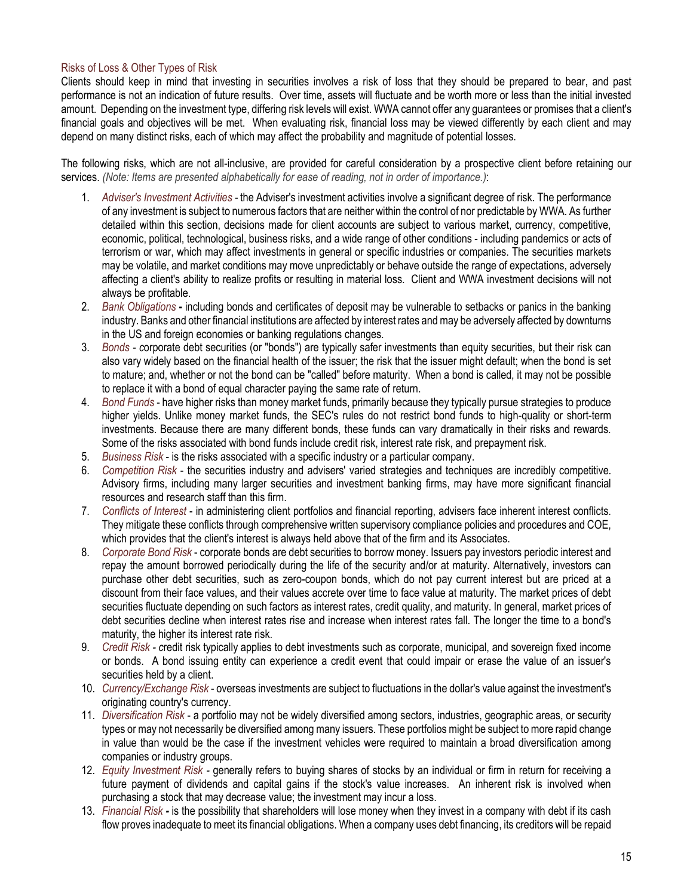# Risks of Loss & Other Types of Risk

Clients should keep in mind that investing in securities involves a risk of loss that they should be prepared to bear, and past performance is not an indication of future results. Over time, assets will fluctuate and be worth more or less than the initial invested amount. Depending on the investment type, differing risk levels will exist. WWA cannot offer any guarantees or promises that a client's financial goals and objectives will be met. When evaluating risk, financial loss may be viewed differently by each client and may depend on many distinct risks, each of which may affect the probability and magnitude of potential losses.

The following risks, which are not all-inclusive, are provided for careful consideration by a prospective client before retaining our services. *(Note: Items are presented alphabetically for ease of reading, not in order of importance.)*:

- 1. *Adviser's Investment Activities -* the Adviser's investment activities involve a significant degree of risk. The performance of any investment is subject to numerous factors that are neither within the control of nor predictable by WWA. As further detailed within this section, decisions made for client accounts are subject to various market, currency, competitive, economic, political, technological, business risks, and a wide range of other conditions - including pandemics or acts of terrorism or war, which may affect investments in general or specific industries or companies. The securities markets may be volatile, and market conditions may move unpredictably or behave outside the range of expectations, adversely affecting a client's ability to realize profits or resulting in material loss. Client and WWA investment decisions will not always be profitable.
- 2. *Bank Obligations* **-** including bonds and certificates of deposit may be vulnerable to setbacks or panics in the banking industry. Banks and other financial institutions are affected by interest rates and may be adversely affected by downturns in the US and foreign economies or banking regulations changes.
- 3. *Bonds - c*orporate debt securities (or "bonds") are typically safer investments than equity securities, but their risk can also vary widely based on the financial health of the issuer; the risk that the issuer might default; when the bond is set to mature; and, whether or not the bond can be "called" before maturity. When a bond is called, it may not be possible to replace it with a bond of equal character paying the same rate of return.
- 4. *Bond Funds* have higher risks than money market funds, primarily because they typically pursue strategies to produce higher yields. Unlike money market funds, the SEC's rules do not restrict bond funds to high-quality or short-term investments. Because there are many different bonds, these funds can vary dramatically in their risks and rewards. Some of the risks associated with bond funds include credit risk, interest rate risk, and prepayment risk.
- 5. *Business Risk* is the risks associated with a specific industry or a particular company.
- 6. *Competition Risk*  the securities industry and advisers' varied strategies and techniques are incredibly competitive. Advisory firms, including many larger securities and investment banking firms, may have more significant financial resources and research staff than this firm.
- 7. *Conflicts of Interest*  in administering client portfolios and financial reporting, advisers face inherent interest conflicts. They mitigate these conflicts through comprehensive written supervisory compliance policies and procedures and COE, which provides that the client's interest is always held above that of the firm and its Associates.
- 8. *Corporate Bond Risk* corporate bonds are debt securities to borrow money. Issuers pay investors periodic interest and repay the amount borrowed periodically during the life of the security and/or at maturity. Alternatively, investors can purchase other debt securities, such as zero-coupon bonds, which do not pay current interest but are priced at a discount from their face values, and their values accrete over time to face value at maturity. The market prices of debt securities fluctuate depending on such factors as interest rates, credit quality, and maturity. In general, market prices of debt securities decline when interest rates rise and increase when interest rates fall. The longer the time to a bond's maturity, the higher its interest rate risk.
- 9. *Credit Risk - c*redit risk typically applies to debt investments such as corporate, municipal, and sovereign fixed income or bonds. A bond issuing entity can experience a credit event that could impair or erase the value of an issuer's securities held by a client.
- 10. *Currency/Exchange Risk*  overseas investments are subject to fluctuations in the dollar's value against the investment's originating country's currency.
- 11. *Diversification Risk*  a portfolio may not be widely diversified among sectors, industries, geographic areas, or security types or may not necessarily be diversified among many issuers. These portfolios might be subject to more rapid change in value than would be the case if the investment vehicles were required to maintain a broad diversification among companies or industry groups.
- 12. *Equity Investment Risk -* generally refers to buying shares of stocks by an individual or firm in return for receiving a future payment of dividends and capital gains if the stock's value increases. An inherent risk is involved when purchasing a stock that may decrease value; the investment may incur a loss.
- 13. *Financial Risk -* is the possibility that shareholders will lose money when they invest in a company with debt if its cash flow proves inadequate to meet its financial obligations. When a company uses debt financing, its creditors will be repaid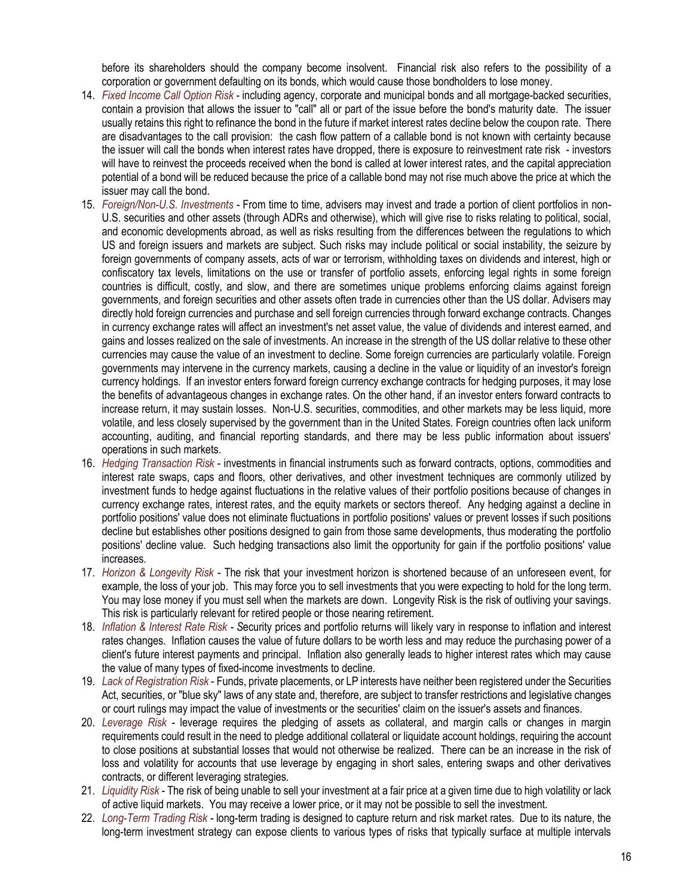before its shareholders should the company become insolvent. Financial risk also refers to the possibility of a corporation or government defaulting on its bonds, which would cause those bondholders to lose money.

- 14. *Fixed Income Call Option Risk* including agency, corporate and municipal bonds and all mortgage-backed securities, contain a provision that allows the issuer to "call" all or part of the issue before the bond's maturity date. The issuer usually retains this right to refinance the bond in the future if market interest rates decline below the coupon rate. There are disadvantages to the call provision: the cash flow pattern of a callable bond is not known with certainty because the issuer will call the bonds when interest rates have dropped, there is exposure to reinvestment rate risk - investors will have to reinvest the proceeds received when the bond is called at lower interest rates, and the capital appreciation potential of a bond will be reduced because the price of a callable bond may not rise much above the price at which the issuer may call the bond.
- 15. *Foreign/Non-U.S. Investments* From time to time, advisers may invest and trade a portion of client portfolios in non-U.S. securities and other assets (through ADRs and otherwise), which will give rise to risks relating to political, social, and economic developments abroad, as well as risks resulting from the differences between the regulations to which US and foreign issuers and markets are subject. Such risks may include political or social instability, the seizure by foreign governments of company assets, acts of war or terrorism, withholding taxes on dividends and interest, high or confiscatory tax levels, limitations on the use or transfer of portfolio assets, enforcing legal rights in some foreign countries is difficult, costly, and slow, and there are sometimes unique problems enforcing claims against foreign governments, and foreign securities and other assets often trade in currencies other than the US dollar. Advisers may directly hold foreign currencies and purchase and sell foreign currencies through forward exchange contracts. Changes in currency exchange rates will affect an investment's net asset value, the value of dividends and interest earned, and gains and losses realized on the sale of investments. An increase in the strength of the US dollar relative to these other currencies may cause the value of an investment to decline. Some foreign currencies are particularly volatile. Foreign governments may intervene in the currency markets, causing a decline in the value or liquidity of an investor's foreign currency holdings. If an investor enters forward foreign currency exchange contracts for hedging purposes, it may lose the benefits of advantageous changes in exchange rates. On the other hand, if an investor enters forward contracts to increase return, it may sustain losses. Non-U.S. securities, commodities, and other markets may be less liquid, more volatile, and less closely supervised by the government than in the United States. Foreign countries often lack uniform accounting, auditing, and financial reporting standards, and there may be less public information about issuers' operations in such markets.
- 16. *Hedging Transaction Risk* investments in financial instruments such as forward contracts, options, commodities and interest rate swaps, caps and floors, other derivatives, and other investment techniques are commonly utilized by investment funds to hedge against fluctuations in the relative values of their portfolio positions because of changes in currency exchange rates, interest rates, and the equity markets or sectors thereof. Any hedging against a decline in portfolio positions' value does not eliminate fluctuations in portfolio positions' values or prevent losses if such positions decline but establishes other positions designed to gain from those same developments, thus moderating the portfolio positions' decline value. Such hedging transactions also limit the opportunity for gain if the portfolio positions' value increases.
- 17. *Horizon & Longevity Risk -* The risk that your investment horizon is shortened because of an unforeseen event, for example, the loss of your job. This may force you to sell investments that you were expecting to hold for the long term. You may lose money if you must sell when the markets are down. Longevity Risk is the risk of outliving your savings. This risk is particularly relevant for retired people or those nearing retirement.
- 18. *Inflation & Interest Rate Risk - S*ecurity prices and portfolio returns will likely vary in response to inflation and interest rates changes. Inflation causes the value of future dollars to be worth less and may reduce the purchasing power of a client's future interest payments and principal. Inflation also generally leads to higher interest rates which may cause the value of many types of fixed-income investments to decline.
- 19. *Lack of Registration Risk*  Funds, private placements, or LP interests have neither been registered under the Securities Act, securities, or "blue sky" laws of any state and, therefore, are subject to transfer restrictions and legislative changes or court rulings may impact the value of investments or the securities' claim on the issuer's assets and finances.
- 20. *Leverage Risk* leverage requires the pledging of assets as collateral, and margin calls or changes in margin requirements could result in the need to pledge additional collateral or liquidate account holdings, requiring the account to close positions at substantial losses that would not otherwise be realized. There can be an increase in the risk of loss and volatility for accounts that use leverage by engaging in short sales, entering swaps and other derivatives contracts, or different leveraging strategies.
- 21. *Liquidity Risk -* The risk of being unable to sell your investment at a fair price at a given time due to high volatility or lack of active liquid markets. You may receive a lower price, or it may not be possible to sell the investment.
- 22. *Long-Term Trading Risk -* long-term trading is designed to capture return and risk market rates. Due to its nature, the long-term investment strategy can expose clients to various types of risks that typically surface at multiple intervals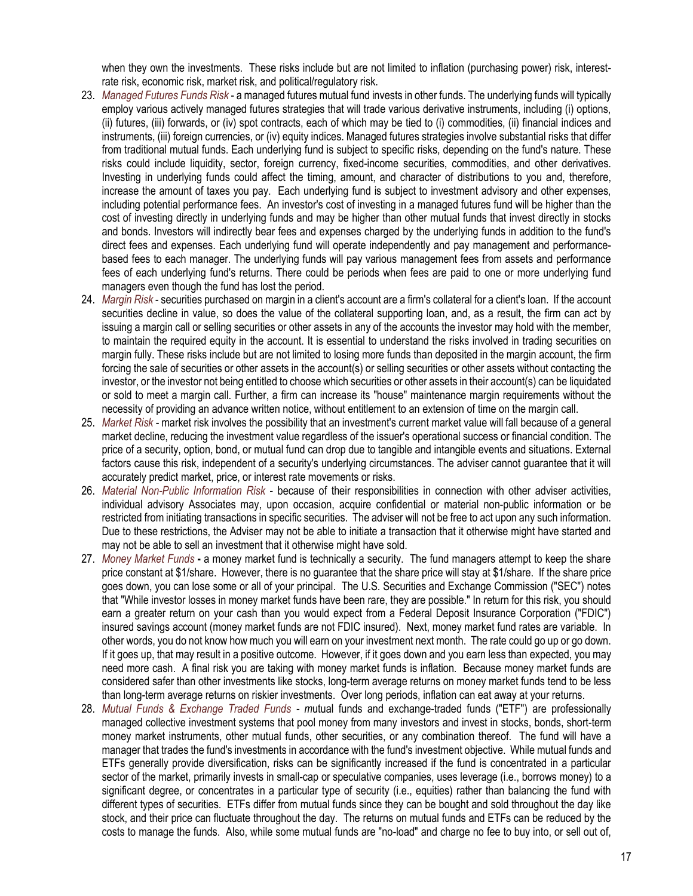when they own the investments. These risks include but are not limited to inflation (purchasing power) risk, interestrate risk, economic risk, market risk, and political/regulatory risk.

- 23. *Managed Futures Funds Risk* a managed futures mutual fund invests in other funds. The underlying funds will typically employ various actively managed futures strategies that will trade various derivative instruments, including (i) options, (ii) futures, (iii) forwards, or (iv) spot contracts, each of which may be tied to (i) commodities, (ii) financial indices and instruments, (iii) foreign currencies, or (iv) equity indices. Managed futures strategies involve substantial risks that differ from traditional mutual funds. Each underlying fund is subject to specific risks, depending on the fund's nature. These risks could include liquidity, sector, foreign currency, fixed-income securities, commodities, and other derivatives. Investing in underlying funds could affect the timing, amount, and character of distributions to you and, therefore, increase the amount of taxes you pay. Each underlying fund is subject to investment advisory and other expenses, including potential performance fees. An investor's cost of investing in a managed futures fund will be higher than the cost of investing directly in underlying funds and may be higher than other mutual funds that invest directly in stocks and bonds. Investors will indirectly bear fees and expenses charged by the underlying funds in addition to the fund's direct fees and expenses. Each underlying fund will operate independently and pay management and performancebased fees to each manager. The underlying funds will pay various management fees from assets and performance fees of each underlying fund's returns. There could be periods when fees are paid to one or more underlying fund managers even though the fund has lost the period.
- 24. *Margin Risk* securities purchased on margin in a client's account are a firm's collateral for a client's loan. If the account securities decline in value, so does the value of the collateral supporting loan, and, as a result, the firm can act by issuing a margin call or selling securities or other assets in any of the accounts the investor may hold with the member, to maintain the required equity in the account. It is essential to understand the risks involved in trading securities on margin fully. These risks include but are not limited to losing more funds than deposited in the margin account, the firm forcing the sale of securities or other assets in the account(s) or selling securities or other assets without contacting the investor, or the investor not being entitled to choose which securities or other assets in their account(s) can be liquidated or sold to meet a margin call. Further, a firm can increase its "house" maintenance margin requirements without the necessity of providing an advance written notice, without entitlement to an extension of time on the margin call.
- 25. *Market Risk -* market risk involves the possibility that an investment's current market value will fall because of a general market decline, reducing the investment value regardless of the issuer's operational success or financial condition. The price of a security, option, bond, or mutual fund can drop due to tangible and intangible events and situations. External factors cause this risk, independent of a security's underlying circumstances. The adviser cannot guarantee that it will accurately predict market, price, or interest rate movements or risks.
- 26. *Material Non-Public Information Risk* because of their responsibilities in connection with other adviser activities, individual advisory Associates may, upon occasion, acquire confidential or material non-public information or be restricted from initiating transactions in specific securities. The adviser will not be free to act upon any such information. Due to these restrictions, the Adviser may not be able to initiate a transaction that it otherwise might have started and may not be able to sell an investment that it otherwise might have sold.
- 27. *Money Market Funds* **-** a money market fund is technically a security. The fund managers attempt to keep the share price constant at \$1/share. However, there is no guarantee that the share price will stay at \$1/share. If the share price goes down, you can lose some or all of your principal. The U.S. Securities and Exchange Commission ("SEC") notes that "While investor losses in money market funds have been rare, they are possible." In return for this risk, you should earn a greater return on your cash than you would expect from a Federal Deposit Insurance Corporation ("FDIC") insured savings account (money market funds are not FDIC insured). Next, money market fund rates are variable. In other words, you do not know how much you will earn on your investment next month. The rate could go up or go down. If it goes up, that may result in a positive outcome. However, if it goes down and you earn less than expected, you may need more cash. A final risk you are taking with money market funds is inflation. Because money market funds are considered safer than other investments like stocks, long-term average returns on money market funds tend to be less than long-term average returns on riskier investments. Over long periods, inflation can eat away at your returns.
- 28. *Mutual Funds & Exchange Traded Funds - m*utual funds and exchange-traded funds ("ETF") are professionally managed collective investment systems that pool money from many investors and invest in stocks, bonds, short-term money market instruments, other mutual funds, other securities, or any combination thereof. The fund will have a manager that trades the fund's investments in accordance with the fund's investment objective. While mutual funds and ETFs generally provide diversification, risks can be significantly increased if the fund is concentrated in a particular sector of the market, primarily invests in small-cap or speculative companies, uses leverage (i.e., borrows money) to a significant degree, or concentrates in a particular type of security (i.e., equities) rather than balancing the fund with different types of securities. ETFs differ from mutual funds since they can be bought and sold throughout the day like stock, and their price can fluctuate throughout the day. The returns on mutual funds and ETFs can be reduced by the costs to manage the funds. Also, while some mutual funds are "no-load" and charge no fee to buy into, or sell out of,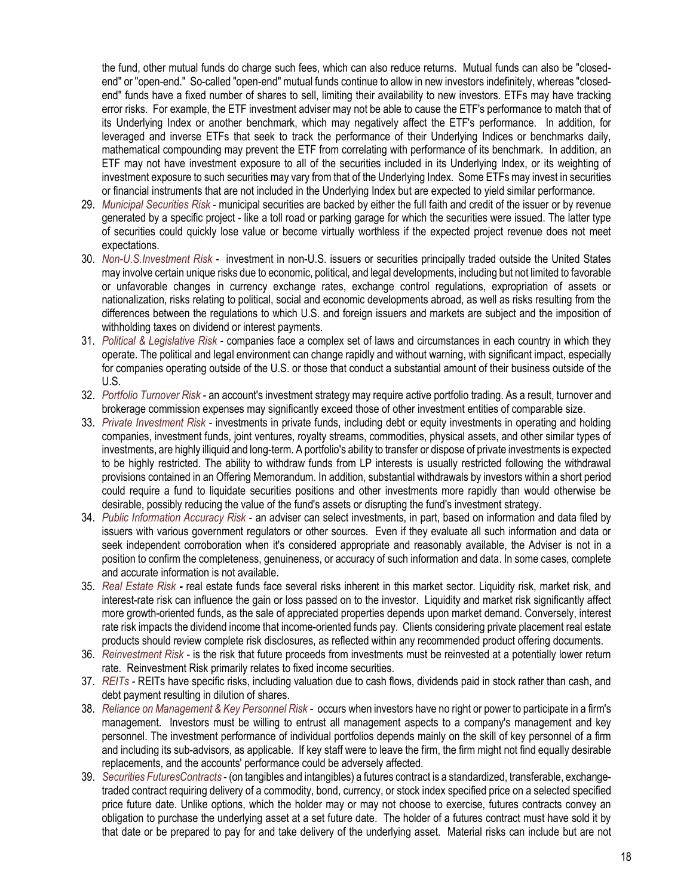the fund, other mutual funds do charge such fees, which can also reduce returns. Mutual funds can also be "closedend" or "open-end." So-called "open-end" mutual funds continue to allow in new investors indefinitely, whereas "closedend" funds have a fixed number of shares to sell, limiting their availability to new investors. ETFs may have tracking error risks. For example, the ETF investment adviser may not be able to cause the ETF's performance to match that of its Underlying Index or another benchmark, which may negatively affect the ETF's performance. In addition, for leveraged and inverse ETFs that seek to track the performance of their Underlying Indices or benchmarks daily, mathematical compounding may prevent the ETF from correlating with performance of its benchmark. In addition, an ETF may not have investment exposure to all of the securities included in its Underlying Index, or its weighting of investment exposure to such securities may vary from that of the Underlying Index. Some ETFs may invest in securities or financial instruments that are not included in the Underlying Index but are expected to yield similar performance.

- 29. *Municipal Securities Risk* municipal securities are backed by either the full faith and credit of the issuer or by revenue generated by a specific project - like a toll road or parking garage for which the securities were issued. The latter type of securities could quickly lose value or become virtually worthless if the expected project revenue does not meet expectations.
- 30. *Non-U.S.Investment Risk -* investment in non-U.S. issuers or securities principally traded outside the United States may involve certain unique risks due to economic, political, and legal developments, including but not limited to favorable or unfavorable changes in currency exchange rates, exchange control regulations, expropriation of assets or nationalization, risks relating to political, social and economic developments abroad, as well as risks resulting from the differences between the regulations to which U.S. and foreign issuers and markets are subject and the imposition of withholding taxes on dividend or interest payments.
- 31. *Political & Legislative Risk*  companies face a complex set of laws and circumstances in each country in which they operate. The political and legal environment can change rapidly and without warning, with significant impact, especially for companies operating outside of the U.S. or those that conduct a substantial amount of their business outside of the U.S.
- 32. *Portfolio Turnover Risk*  an account's investment strategy may require active portfolio trading. As a result, turnover and brokerage commission expenses may significantly exceed those of other investment entities of comparable size.
- 33. *Private Investment Risk* investments in private funds, including debt or equity investments in operating and holding companies, investment funds, joint ventures, royalty streams, commodities, physical assets, and other similar types of investments, are highly illiquid and long-term. A portfolio's ability to transfer or dispose of private investments is expected to be highly restricted. The ability to withdraw funds from LP interests is usually restricted following the withdrawal provisions contained in an Offering Memorandum. In addition, substantial withdrawals by investors within a short period could require a fund to liquidate securities positions and other investments more rapidly than would otherwise be desirable, possibly reducing the value of the fund's assets or disrupting the fund's investment strategy.
- 34. *Public Information Accuracy Risk*  an adviser can select investments, in part, based on information and data filed by issuers with various government regulators or other sources. Even if they evaluate all such information and data or seek independent corroboration when it's considered appropriate and reasonably available, the Adviser is not in a position to confirm the completeness, genuineness, or accuracy of such information and data. In some cases, complete and accurate information is not available.
- 35. *Real Estate Risk -* real estate funds face several risks inherent in this market sector. Liquidity risk, market risk, and interest-rate risk can influence the gain or loss passed on to the investor. Liquidity and market risk significantly affect more growth-oriented funds, as the sale of appreciated properties depends upon market demand. Conversely, interest rate risk impacts the dividend income that income-oriented funds pay. Clients considering private placement real estate products should review complete risk disclosures, as reflected within any recommended product offering documents.
- 36. *Reinvestment Risk*  is the risk that future proceeds from investments must be reinvested at a potentially lower return rate. Reinvestment Risk primarily relates to fixed income securities.
- 37. *REITs -* REITs have specific risks, including valuation due to cash flows, dividends paid in stock rather than cash, and debt payment resulting in dilution of shares.
- 38. *Reliance on Management & Key Personnel Risk -* occurs when investors have no right or power to participate in a firm's management. Investors must be willing to entrust all management aspects to a company's management and key personnel. The investment performance of individual portfolios depends mainly on the skill of key personnel of a firm and including its sub-advisors, as applicable. If key staff were to leave the firm, the firm might not find equally desirable replacements, and the accounts' performance could be adversely affected.
- 39. *Securities FuturesContracts* (on tangibles and intangibles) a futures contract is a standardized, transferable, exchangetraded contract requiring delivery of a commodity, bond, currency, or stock index specified price on a selected specified price future date. Unlike options, which the holder may or may not choose to exercise, futures contracts convey an obligation to purchase the underlying asset at a set future date. The holder of a futures contract must have sold it by that date or be prepared to pay for and take delivery of the underlying asset. Material risks can include but are not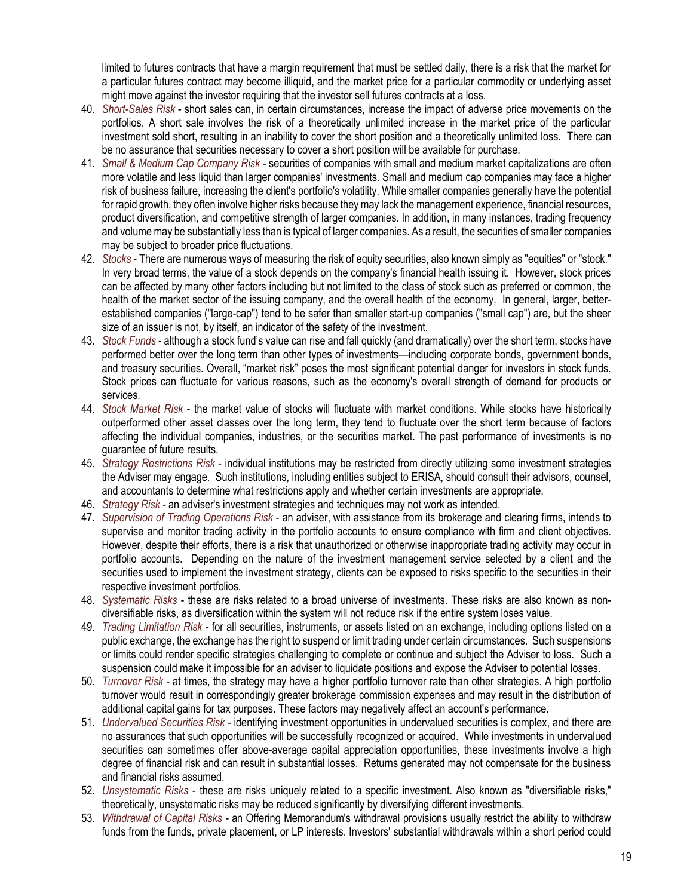limited to futures contracts that have a margin requirement that must be settled daily, there is a risk that the market for a particular futures contract may become illiquid, and the market price for a particular commodity or underlying asset might move against the investor requiring that the investor sell futures contracts at a loss.

- 40. *Short-Sales Risk*  short sales can, in certain circumstances, increase the impact of adverse price movements on the portfolios. A short sale involves the risk of a theoretically unlimited increase in the market price of the particular investment sold short, resulting in an inability to cover the short position and a theoretically unlimited loss. There can be no assurance that securities necessary to cover a short position will be available for purchase.
- 41. *Small & Medium Cap Company Risk -* securities of companies with small and medium market capitalizations are often more volatile and less liquid than larger companies' investments. Small and medium cap companies may face a higher risk of business failure, increasing the client's portfolio's volatility. While smaller companies generally have the potential for rapid growth, they often involve higher risks because they may lack the management experience, financial resources, product diversification, and competitive strength of larger companies. In addition, in many instances, trading frequency and volume may be substantially less than is typical of larger companies. As a result, the securities of smaller companies may be subject to broader price fluctuations.
- 42. *Stocks* There are numerous ways of measuring the risk of equity securities, also known simply as "equities" or "stock." In very broad terms, the value of a stock depends on the company's financial health issuing it. However, stock prices can be affected by many other factors including but not limited to the class of stock such as preferred or common, the health of the market sector of the issuing company, and the overall health of the economy. In general, larger, betterestablished companies ("large-cap") tend to be safer than smaller start-up companies ("small cap") are, but the sheer size of an issuer is not, by itself, an indicator of the safety of the investment.
- 43. *Stock Funds* although a stock fund's value can rise and fall quickly (and dramatically) over the short term, stocks have performed better over the long term than other types of investments—including corporate bonds, government bonds, and treasury securities. Overall, "market risk" poses the most significant potential danger for investors in stock funds. Stock prices can fluctuate for various reasons, such as the economy's overall strength of demand for products or services.
- 44. *Stock Market Risk*  the market value of stocks will fluctuate with market conditions. While stocks have historically outperformed other asset classes over the long term, they tend to fluctuate over the short term because of factors affecting the individual companies, industries, or the securities market. The past performance of investments is no guarantee of future results.
- 45. *Strategy Restrictions Risk*  individual institutions may be restricted from directly utilizing some investment strategies the Adviser may engage. Such institutions, including entities subject to ERISA, should consult their advisors, counsel, and accountants to determine what restrictions apply and whether certain investments are appropriate.
- 46. *Strategy Risk -* an adviser's investment strategies and techniques may not work as intended.
- 47. *Supervision of Trading Operations Risk* an adviser, with assistance from its brokerage and clearing firms, intends to supervise and monitor trading activity in the portfolio accounts to ensure compliance with firm and client objectives. However, despite their efforts, there is a risk that unauthorized or otherwise inappropriate trading activity may occur in portfolio accounts. Depending on the nature of the investment management service selected by a client and the securities used to implement the investment strategy, clients can be exposed to risks specific to the securities in their respective investment portfolios.
- 48. *Systematic Risks*  these are risks related to a broad universe of investments. These risks are also known as nondiversifiable risks, as diversification within the system will not reduce risk if the entire system loses value.
- 49. *Trading Limitation Risk -* for all securities, instruments, or assets listed on an exchange, including options listed on a public exchange, the exchange has the right to suspend or limit trading under certain circumstances. Such suspensions or limits could render specific strategies challenging to complete or continue and subject the Adviser to loss. Such a suspension could make it impossible for an adviser to liquidate positions and expose the Adviser to potential losses.
- 50. *Turnover Risk -* at times, the strategy may have a higher portfolio turnover rate than other strategies. A high portfolio turnover would result in correspondingly greater brokerage commission expenses and may result in the distribution of additional capital gains for tax purposes. These factors may negatively affect an account's performance.
- 51. *Undervalued Securities Risk* identifying investment opportunities in undervalued securities is complex, and there are no assurances that such opportunities will be successfully recognized or acquired. While investments in undervalued securities can sometimes offer above-average capital appreciation opportunities, these investments involve a high degree of financial risk and can result in substantial losses. Returns generated may not compensate for the business and financial risks assumed.
- 52. *Unsystematic Risks* these are risks uniquely related to a specific investment. Also known as "diversifiable risks," theoretically, unsystematic risks may be reduced significantly by diversifying different investments.
- 53. *Withdrawal of Capital Risks -* an Offering Memorandum's withdrawal provisions usually restrict the ability to withdraw funds from the funds, private placement, or LP interests. Investors' substantial withdrawals within a short period could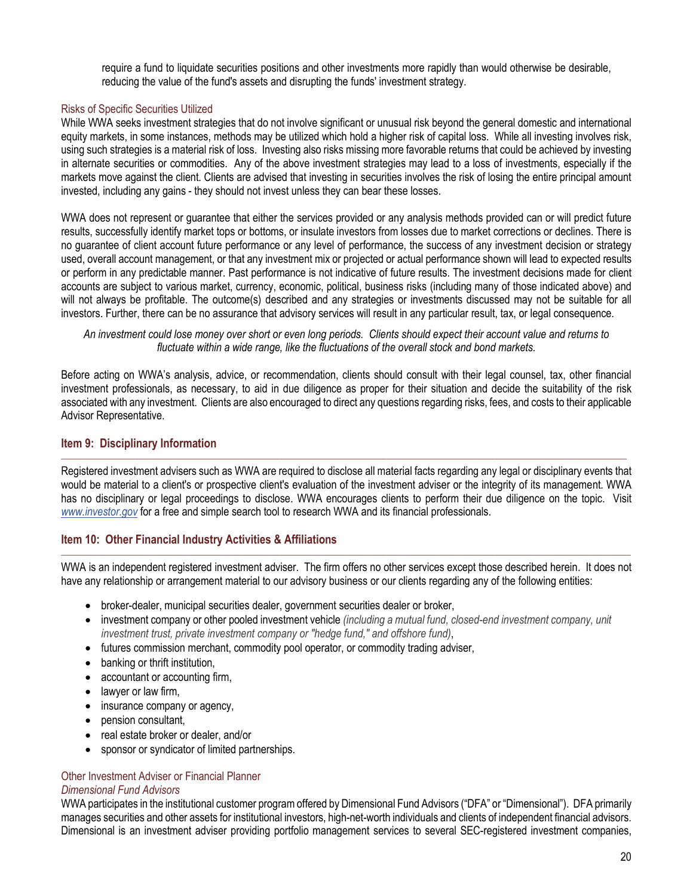require a fund to liquidate securities positions and other investments more rapidly than would otherwise be desirable, reducing the value of the fund's assets and disrupting the funds' investment strategy.

# Risks of Specific Securities Utilized

While WWA seeks investment strategies that do not involve significant or unusual risk beyond the general domestic and international equity markets, in some instances, methods may be utilized which hold a higher risk of capital loss. While all investing involves risk, using such strategies is a material risk of loss. Investing also risks missing more favorable returns that could be achieved by investing in alternate securities or commodities. Any of the above investment strategies may lead to a loss of investments, especially if the markets move against the client. Clients are advised that investing in securities involves the risk of losing the entire principal amount invested, including any gains - they should not invest unless they can bear these losses.

WWA does not represent or guarantee that either the services provided or any analysis methods provided can or will predict future results, successfully identify market tops or bottoms, or insulate investors from losses due to market corrections or declines. There is no guarantee of client account future performance or any level of performance, the success of any investment decision or strategy used, overall account management, or that any investment mix or projected or actual performance shown will lead to expected results or perform in any predictable manner. Past performance is not indicative of future results. The investment decisions made for client accounts are subject to various market, currency, economic, political, business risks (including many of those indicated above) and will not always be profitable. The outcome(s) described and any strategies or investments discussed may not be suitable for all investors. Further, there can be no assurance that advisory services will result in any particular result, tax, or legal consequence.

*An investment could lose money over short or even long periods. Clients should expect their account value and returns to fluctuate within a wide range, like the fluctuations of the overall stock and bond markets.*

Before acting on WWA's analysis, advice, or recommendation, clients should consult with their legal counsel, tax, other financial investment professionals, as necessary, to aid in due diligence as proper for their situation and decide the suitability of the risk associated with any investment. Clients are also encouraged to direct any questions regarding risks, fees, and costs to their applicable Advisor Representative.

# <span id="page-19-0"></span>**Item 9: Disciplinary Information**

Registered investment advisers such as WWA are required to disclose all material facts regarding any legal or disciplinary events that would be material to a client's or prospective client's evaluation of the investment adviser or the integrity of its management. WWA has no disciplinary or legal proceedings to disclose. WWA encourages clients to perform their due diligence on the topic. Visit *[www.investor.gov](http://www.investor.gov/)* for a free and simple search tool to research WWA and its financial professionals.

 $\Box$  . The contribution of the contribution of the contribution of the contribution of the contribution of the contribution of the contribution of the contribution of the contribution of the contribution of the contributi

# <span id="page-19-1"></span>**Item 10: Other Financial Industry Activities & Affiliations**

\_\_\_\_\_\_\_\_\_\_\_\_\_\_\_\_\_\_\_\_\_\_\_\_\_\_\_\_\_\_\_\_\_\_\_\_\_\_\_\_\_\_\_\_\_\_\_\_\_\_\_\_\_\_\_\_\_\_\_\_\_\_\_\_\_\_\_\_\_\_\_\_\_\_\_\_\_\_\_\_\_\_\_\_\_\_\_\_\_\_\_\_\_\_\_\_\_\_\_\_\_\_\_\_\_\_\_\_\_\_\_\_\_\_\_\_\_\_\_\_\_\_\_\_\_\_\_\_\_\_\_\_\_\_\_\_\_\_ WWA is an independent registered investment adviser. The firm offers no other services except those described herein. It does not have any relationship or arrangement material to our advisory business or our clients regarding any of the following entities:

- broker-dealer, municipal securities dealer, government securities dealer or broker,
- investment company or other pooled investment vehicle *(including a mutual fund, closed-end investment company, unit investment trust, private investment company or "hedge fund," and offshore fund)*,
- futures commission merchant, commodity pool operator, or commodity trading adviser,
- banking or thrift institution,
- accountant or accounting firm,
- lawyer or law firm,
- insurance company or agency,
- pension consultant,
- real estate broker or dealer, and/or
- sponsor or syndicator of limited partnerships.

#### Other Investment Adviser or Financial Planner *Dimensional Fund Advisors*

WWA participates in the institutional customer program offered by Dimensional Fund Advisors ("DFA" or "Dimensional"). DFA primarily manages securities and other assets for institutional investors, high-net-worth individuals and clients of independent financial advisors. Dimensional is an investment adviser providing portfolio management services to several SEC-registered investment companies,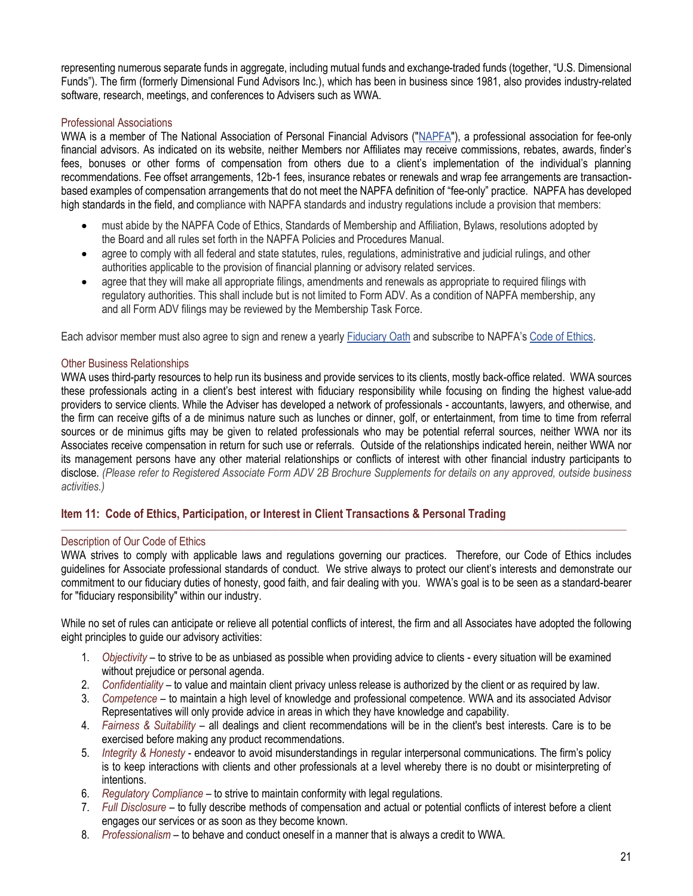representing numerous separate funds in aggregate, including mutual funds and exchange-traded funds (together, "U.S. Dimensional Funds"). The firm (formerly Dimensional Fund Advisors Inc.), which has been in business since 1981, also provides industry-related software, research, meetings, and conferences to Advisers such as WWA.

# Professional Associations

WWA is a member of The National Association of Personal Financial Advisors [\("NAPFA"\)](https://www.napfa.org/about-us), a professional association for fee-only financial advisors. As indicated on its website, neither Members nor Affiliates may receive commissions, rebates, awards, finder's fees, bonuses or other forms of compensation from others due to a client's implementation of the individual's planning recommendations. Fee offset arrangements, 12b-1 fees, insurance rebates or renewals and wrap fee arrangements are transactionbased examples of compensation arrangements that do not meet the NAPFA definition of "fee-only" practice. NAPFA has developed high standards in the field, and compliance with NAPFA standards and industry regulations include a provision that members:

- must abide by the NAPFA Code of Ethics, Standards of Membership and Affiliation, Bylaws, resolutions adopted by the Board and all rules set forth in the NAPFA Policies and Procedures Manual.
- agree to comply with all federal and state statutes, rules, regulations, administrative and judicial rulings, and other authorities applicable to the provision of financial planning or advisory related services.
- agree that they will make all appropriate filings, amendments and renewals as appropriate to required filings with regulatory authorities. This shall include but is not limited to Form ADV. As a condition of NAPFA membership, any and all Form ADV filings may be reviewed by the Membership Task Force.

Each advisor member must also agree to sign and renew a yearl[y Fiduciary Oath](https://www.napfa.org/mission-and-fiduciary-oath) and subscribe to NAPFA's [Code of Ethics.](https://www.napfa.org/mission-and-fiduciary-oath)

## Other Business Relationships

WWA uses third-party resources to help run its business and provide services to its clients, mostly back-office related. WWA sources these professionals acting in a client's best interest with fiduciary responsibility while focusing on finding the highest value-add providers to service clients. While the Adviser has developed a network of professionals - accountants, lawyers, and otherwise, and the firm can receive gifts of a de minimus nature such as lunches or dinner, golf, or entertainment, from time to time from referral sources or de minimus gifts may be given to related professionals who may be potential referral sources, neither WWA nor its Associates receive compensation in return for such use or referrals. Outside of the relationships indicated herein, neither WWA nor its management persons have any other material relationships or conflicts of interest with other financial industry participants to disclose. *(Please refer to Registered Associate Form ADV 2B Brochure Supplements for details on any approved, outside business activities.)*

# <span id="page-20-0"></span>**Item 11: Code of Ethics, Participation, or Interest in Client Transactions & Personal Trading**

#### Description of Our Code of Ethics

WWA strives to comply with applicable laws and regulations governing our practices. Therefore, our Code of Ethics includes guidelines for Associate professional standards of conduct. We strive always to protect our client's interests and demonstrate our commitment to our fiduciary duties of honesty, good faith, and fair dealing with you. WWA's goal is to be seen as a standard-bearer for "fiduciary responsibility" within our industry.

\_\_\_\_\_\_\_\_\_\_\_\_\_\_\_\_\_\_\_\_\_\_\_\_\_\_\_\_\_\_\_\_\_\_\_\_\_\_\_\_\_\_\_\_\_\_\_\_\_\_\_\_\_\_\_\_\_\_\_\_\_\_\_\_\_\_\_\_\_\_\_\_\_\_\_\_\_\_\_\_\_\_\_\_\_\_\_\_\_\_\_\_\_\_\_\_\_\_\_\_\_\_\_\_\_\_\_\_\_\_\_\_\_\_\_\_\_\_\_\_\_\_\_\_\_\_\_\_\_\_\_\_\_\_\_\_\_

While no set of rules can anticipate or relieve all potential conflicts of interest, the firm and all Associates have adopted the following eight principles to guide our advisory activities:

- 1. *Objectivity* to strive to be as unbiased as possible when providing advice to clients every situation will be examined without prejudice or personal agenda.
- 2. *Confidentiality* to value and maintain client privacy unless release is authorized by the client or as required by law.
- 3. *Competence* to maintain a high level of knowledge and professional competence. WWA and its associated Advisor Representatives will only provide advice in areas in which they have knowledge and capability.
- 4. *Fairness & Suitability* all dealings and client recommendations will be in the client's best interests. Care is to be exercised before making any product recommendations.
- 5. *Integrity & Honesty* endeavor to avoid misunderstandings in regular interpersonal communications. The firm's policy is to keep interactions with clients and other professionals at a level whereby there is no doubt or misinterpreting of intentions.
- 6. *Regulatory Compliance* to strive to maintain conformity with legal regulations.
- 7. *Full Disclosure* to fully describe methods of compensation and actual or potential conflicts of interest before a client engages our services or as soon as they become known.
- 8. *Professionalism* to behave and conduct oneself in a manner that is always a credit to WWA.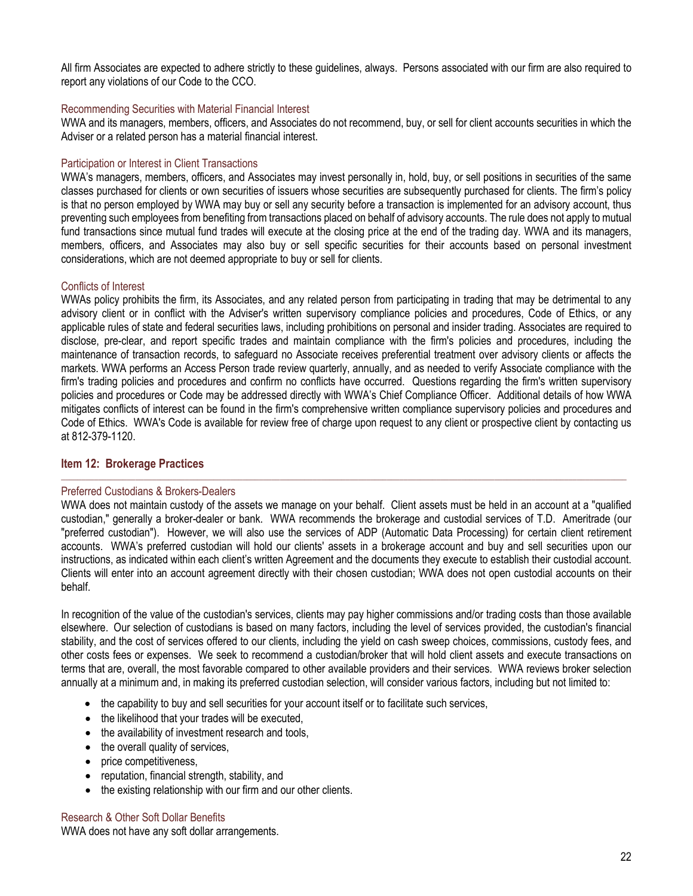All firm Associates are expected to adhere strictly to these guidelines, always. Persons associated with our firm are also required to report any violations of our Code to the CCO.

## Recommending Securities with Material Financial Interest

WWA and its managers, members, officers, and Associates do not recommend, buy, or sell for client accounts securities in which the Adviser or a related person has a material financial interest.

## Participation or Interest in Client Transactions

WWA's managers, members, officers, and Associates may invest personally in, hold, buy, or sell positions in securities of the same classes purchased for clients or own securities of issuers whose securities are subsequently purchased for clients. The firm's policy is that no person employed by WWA may buy or sell any security before a transaction is implemented for an advisory account, thus preventing such employees from benefiting from transactions placed on behalf of advisory accounts. The rule does not apply to mutual fund transactions since mutual fund trades will execute at the closing price at the end of the trading day. WWA and its managers, members, officers, and Associates may also buy or sell specific securities for their accounts based on personal investment considerations, which are not deemed appropriate to buy or sell for clients.

#### Conflicts of Interest

WWAs policy prohibits the firm, its Associates, and any related person from participating in trading that may be detrimental to any advisory client or in conflict with the Adviser's written supervisory compliance policies and procedures, Code of Ethics, or any applicable rules of state and federal securities laws, including prohibitions on personal and insider trading. Associates are required to disclose, pre-clear, and report specific trades and maintain compliance with the firm's policies and procedures, including the maintenance of transaction records, to safeguard no Associate receives preferential treatment over advisory clients or affects the markets. WWA performs an Access Person trade review quarterly, annually, and as needed to verify Associate compliance with the firm's trading policies and procedures and confirm no conflicts have occurred. Questions regarding the firm's written supervisory policies and procedures or Code may be addressed directly with WWA's Chief Compliance Officer. Additional details of how WWA mitigates conflicts of interest can be found in the firm's comprehensive written compliance supervisory policies and procedures and Code of Ethics. WWA's Code is available for review free of charge upon request to any client or prospective client by contacting us at 812-379-1120.

# <span id="page-21-0"></span>**Item 12: Brokerage Practices**

#### Preferred Custodians & Brokers-Dealers

WWA does not maintain custody of the assets we manage on your behalf. Client assets must be held in an account at a "qualified" custodian," generally a broker-dealer or bank. WWA recommends the brokerage and custodial services of T.D. Ameritrade (our "preferred custodian"). However, we will also use the services of ADP (Automatic Data Processing) for certain client retirement accounts. WWA's preferred custodian will hold our clients' assets in a brokerage account and buy and sell securities upon our instructions, as indicated within each client's written Agreement and the documents they execute to establish their custodial account. Clients will enter into an account agreement directly with their chosen custodian; WWA does not open custodial accounts on their behalf.

 $\Box$  . The contribution of the contribution of the contribution of the contribution of the contribution of the contribution of the contribution of the contribution of the contribution of the contribution of the contributi

In recognition of the value of the custodian's services, clients may pay higher commissions and/or trading costs than those available elsewhere. Our selection of custodians is based on many factors, including the level of services provided, the custodian's financial stability, and the cost of services offered to our clients, including the yield on cash sweep choices, commissions, custody fees, and other costs fees or expenses. We seek to recommend a custodian/broker that will hold client assets and execute transactions on terms that are, overall, the most favorable compared to other available providers and their services. WWA reviews broker selection annually at a minimum and, in making its preferred custodian selection, will consider various factors, including but not limited to:

- the capability to buy and sell securities for your account itself or to facilitate such services,
- the likelihood that your trades will be executed,
- the availability of investment research and tools,
- the overall quality of services,
- price competitiveness,
- reputation, financial strength, stability, and
- the existing relationship with our firm and our other clients.

## Research & Other Soft Dollar Benefits

WWA does not have any soft dollar arrangements.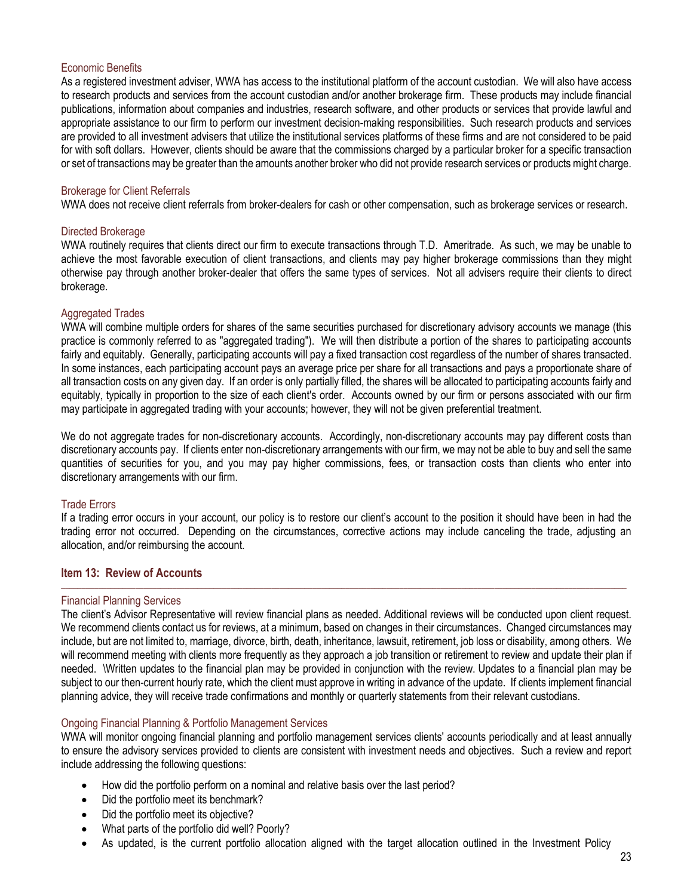## Economic Benefits

As a registered investment adviser, WWA has access to the institutional platform of the account custodian. We will also have access to research products and services from the account custodian and/or another brokerage firm. These products may include financial publications, information about companies and industries, research software, and other products or services that provide lawful and appropriate assistance to our firm to perform our investment decision-making responsibilities. Such research products and services are provided to all investment advisers that utilize the institutional services platforms of these firms and are not considered to be paid for with soft dollars. However, clients should be aware that the commissions charged by a particular broker for a specific transaction or set of transactions may be greater than the amounts another broker who did not provide research services or products might charge.

### Brokerage for Client Referrals

WWA does not receive client referrals from broker-dealers for cash or other compensation, such as brokerage services or research.

#### Directed Brokerage

WWA routinely requires that clients direct our firm to execute transactions through T.D. Ameritrade. As such, we may be unable to achieve the most favorable execution of client transactions, and clients may pay higher brokerage commissions than they might otherwise pay through another broker-dealer that offers the same types of services. Not all advisers require their clients to direct brokerage.

## Aggregated Trades

WWA will combine multiple orders for shares of the same securities purchased for discretionary advisory accounts we manage (this practice is commonly referred to as "aggregated trading"). We will then distribute a portion of the shares to participating accounts fairly and equitably. Generally, participating accounts will pay a fixed transaction cost regardless of the number of shares transacted. In some instances, each participating account pays an average price per share for all transactions and pays a proportionate share of all transaction costs on any given day. If an order is only partially filled, the shares will be allocated to participating accounts fairly and equitably, typically in proportion to the size of each client's order. Accounts owned by our firm or persons associated with our firm may participate in aggregated trading with your accounts; however, they will not be given preferential treatment.

We do not aggregate trades for non-discretionary accounts. Accordingly, non-discretionary accounts may pay different costs than discretionary accounts pay. If clients enter non-discretionary arrangements with our firm, we may not be able to buy and sell the same quantities of securities for you, and you may pay higher commissions, fees, or transaction costs than clients who enter into discretionary arrangements with our firm.

# Trade Errors

If a trading error occurs in your account, our policy is to restore our client's account to the position it should have been in had the trading error not occurred. Depending on the circumstances, corrective actions may include canceling the trade, adjusting an allocation, and/or reimbursing the account.

 $\Box$  . The contribution of the contribution of the contribution of the contribution of the contribution of the contribution of the contribution of the contribution of the contribution of the contribution of the contributi

# <span id="page-22-0"></span>**Item 13: Review of Accounts**

#### Financial Planning Services

The client's Advisor Representative will review financial plans as needed. Additional reviews will be conducted upon client request. We recommend clients contact us for reviews, at a minimum, based on changes in their circumstances. Changed circumstances may include, but are not limited to, marriage, divorce, birth, death, inheritance, lawsuit, retirement, job loss or disability, among others. We will recommend meeting with clients more frequently as they approach a job transition or retirement to review and update their plan if needed. \Written updates to the financial plan may be provided in conjunction with the review. Updates to a financial plan may be subject to our then-current hourly rate, which the client must approve in writing in advance of the update. If clients implement financial planning advice, they will receive trade confirmations and monthly or quarterly statements from their relevant custodians.

#### Ongoing Financial Planning & Portfolio Management Services

WWA will monitor ongoing financial planning and portfolio management services clients' accounts periodically and at least annually to ensure the advisory services provided to clients are consistent with investment needs and objectives. Such a review and report include addressing the following questions:

- How did the portfolio perform on a nominal and relative basis over the last period?
- Did the portfolio meet its benchmark?
- Did the portfolio meet its objective?
- What parts of the portfolio did well? Poorly?
- As updated, is the current portfolio allocation aligned with the target allocation outlined in the Investment Policy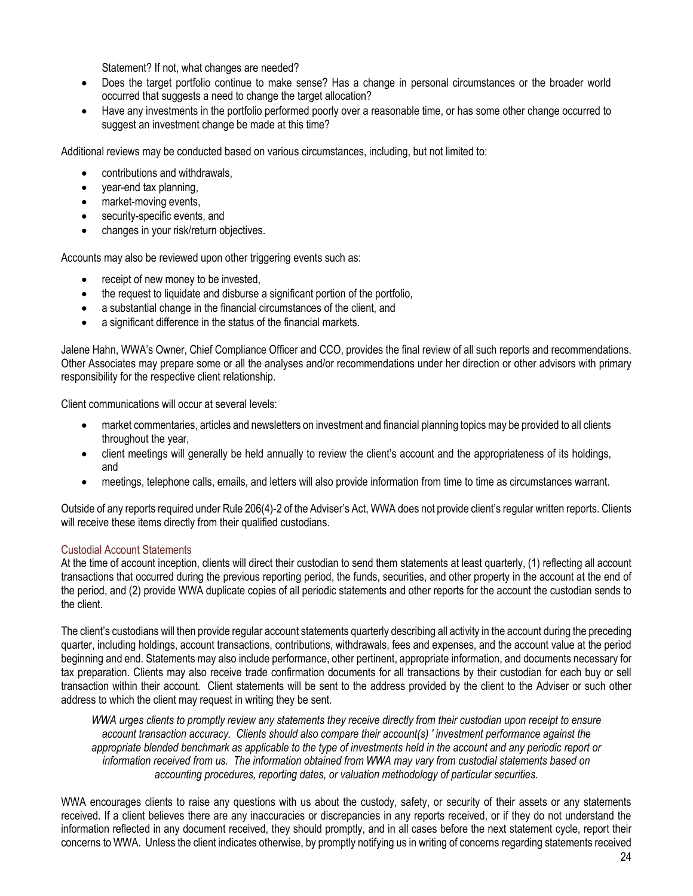Statement? If not, what changes are needed?

- Does the target portfolio continue to make sense? Has a change in personal circumstances or the broader world occurred that suggests a need to change the target allocation?
- Have any investments in the portfolio performed poorly over a reasonable time, or has some other change occurred to suggest an investment change be made at this time?

Additional reviews may be conducted based on various circumstances, including, but not limited to:

- contributions and withdrawals,
- year-end tax planning,
- market-moving events,
- security-specific events, and
- changes in your risk/return objectives.

Accounts may also be reviewed upon other triggering events such as:

- receipt of new money to be invested,
- the request to liquidate and disburse a significant portion of the portfolio,
- a substantial change in the financial circumstances of the client, and
- a significant difference in the status of the financial markets.

Jalene Hahn, WWA's Owner, Chief Compliance Officer and CCO, provides the final review of all such reports and recommendations. Other Associates may prepare some or all the analyses and/or recommendations under her direction or other advisors with primary responsibility for the respective client relationship.

Client communications will occur at several levels:

- market commentaries, articles and newsletters on investment and financial planning topics may be provided to all clients throughout the year,
- client meetings will generally be held annually to review the client's account and the appropriateness of its holdings, and
- meetings, telephone calls, emails, and letters will also provide information from time to time as circumstances warrant.

Outside of any reports required under Rule 206(4)-2 of the Adviser's Act, WWA does not provide client's regular written reports. Clients will receive these items directly from their qualified custodians.

# Custodial Account Statements

At the time of account inception, clients will direct their custodian to send them statements at least quarterly, (1) reflecting all account transactions that occurred during the previous reporting period, the funds, securities, and other property in the account at the end of the period, and (2) provide WWA duplicate copies of all periodic statements and other reports for the account the custodian sends to the client.

The client's custodians will then provide regular account statements quarterly describing all activity in the account during the preceding quarter, including holdings, account transactions, contributions, withdrawals, fees and expenses, and the account value at the period beginning and end. Statements may also include performance, other pertinent, appropriate information, and documents necessary for tax preparation. Clients may also receive trade confirmation documents for all transactions by their custodian for each buy or sell transaction within their account. Client statements will be sent to the address provided by the client to the Adviser or such other address to which the client may request in writing they be sent.

*WWA urges clients to promptly review any statements they receive directly from their custodian upon receipt to ensure account transaction accuracy. Clients should also compare their account(s) ' investment performance against the appropriate blended benchmark as applicable to the type of investments held in the account and any periodic report or information received from us. The information obtained from WWA may vary from custodial statements based on accounting procedures, reporting dates, or valuation methodology of particular securities.*

WWA encourages clients to raise any questions with us about the custody, safety, or security of their assets or any statements received. If a client believes there are any inaccuracies or discrepancies in any reports received, or if they do not understand the information reflected in any document received, they should promptly, and in all cases before the next statement cycle, report their concerns to WWA. Unless the client indicates otherwise, by promptly notifying us in writing of concerns regarding statements received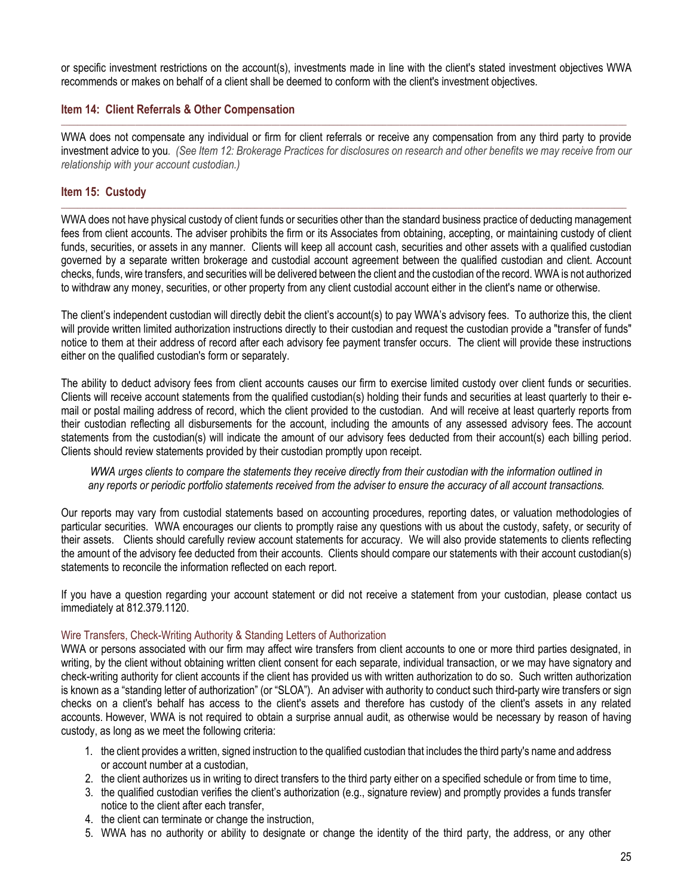or specific investment restrictions on the account(s), investments made in line with the client's stated investment objectives WWA recommends or makes on behalf of a client shall be deemed to conform with the client's investment objectives.

# <span id="page-24-0"></span>**Item 14: Client Referrals & Other Compensation**

WWA does not compensate any individual or firm for client referrals or receive any compensation from any third party to provide investment advice to you*. (See Item 12: Brokerage Practices for disclosures on research and other benefits we may receive from our relationship with your account custodian.)*

\_\_\_\_\_\_\_\_\_\_\_\_\_\_\_\_\_\_\_\_\_\_\_\_\_\_\_\_\_\_\_\_\_\_\_\_\_\_\_\_\_\_\_\_\_\_\_\_\_\_\_\_\_\_\_\_\_\_\_\_\_\_\_\_\_\_\_\_\_\_\_\_\_\_\_\_\_\_\_\_\_\_\_\_\_\_\_\_\_\_\_\_\_\_\_\_\_\_\_\_\_\_\_\_\_\_\_\_\_\_\_\_\_\_\_\_\_\_\_\_\_\_\_\_\_\_\_\_\_\_\_\_\_\_\_\_\_

# <span id="page-24-1"></span>**Item 15: Custody**

WWA does not have physical custody of client funds or securities other than the standard business practice of deducting management fees from client accounts. The adviser prohibits the firm or its Associates from obtaining, accepting, or maintaining custody of client funds, securities, or assets in any manner. Clients will keep all account cash, securities and other assets with a qualified custodian governed by a separate written brokerage and custodial account agreement between the qualified custodian and client. Account checks, funds, wire transfers, and securities will be delivered between the client and the custodian of the record. WWA is not authorized to withdraw any money, securities, or other property from any client custodial account either in the client's name or otherwise.

\_\_\_\_\_\_\_\_\_\_\_\_\_\_\_\_\_\_\_\_\_\_\_\_\_\_\_\_\_\_\_\_\_\_\_\_\_\_\_\_\_\_\_\_\_\_\_\_\_\_\_\_\_\_\_\_\_\_\_\_\_\_\_\_\_\_\_\_\_\_\_\_\_\_\_\_\_\_\_\_\_\_\_\_\_\_\_\_\_\_\_\_\_\_\_\_\_\_\_\_\_\_\_\_\_\_\_\_\_\_\_\_\_\_\_\_\_\_\_\_\_\_\_\_\_\_\_\_\_\_\_\_\_\_\_\_\_

The client's independent custodian will directly debit the client's account(s) to pay WWA's advisory fees. To authorize this, the client will provide written limited authorization instructions directly to their custodian and request the custodian provide a "transfer of funds" notice to them at their address of record after each advisory fee payment transfer occurs. The client will provide these instructions either on the qualified custodian's form or separately.

The ability to deduct advisory fees from client accounts causes our firm to exercise limited custody over client funds or securities. Clients will receive account statements from the qualified custodian(s) holding their funds and securities at least quarterly to their email or postal mailing address of record, which the client provided to the custodian. And will receive at least quarterly reports from their custodian reflecting all disbursements for the account, including the amounts of any assessed advisory fees. The account statements from the custodian(s) will indicate the amount of our advisory fees deducted from their account(s) each billing period. Clients should review statements provided by their custodian promptly upon receipt.

*WWA urges clients to compare the statements they receive directly from their custodian with the information outlined in any reports or periodic portfolio statements received from the adviser to ensure the accuracy of all account transactions.*

Our reports may vary from custodial statements based on accounting procedures, reporting dates, or valuation methodologies of particular securities. WWA encourages our clients to promptly raise any questions with us about the custody, safety, or security of their assets. Clients should carefully review account statements for accuracy. We will also provide statements to clients reflecting the amount of the advisory fee deducted from their accounts. Clients should compare our statements with their account custodian(s) statements to reconcile the information reflected on each report.

If you have a question regarding your account statement or did not receive a statement from your custodian, please contact us immediately at 812.379.1120.

#### Wire Transfers, Check-Writing Authority & Standing Letters of Authorization

WWA or persons associated with our firm may affect wire transfers from client accounts to one or more third parties designated, in writing, by the client without obtaining written client consent for each separate, individual transaction, or we may have signatory and check-writing authority for client accounts if the client has provided us with written authorization to do so. Such written authorization is known as a "standing letter of authorization" (or "SLOA"). An adviser with authority to conduct such third-party wire transfers or sign checks on a client's behalf has access to the client's assets and therefore has custody of the client's assets in any related accounts. However, WWA is not required to obtain a surprise annual audit, as otherwise would be necessary by reason of having custody, as long as we meet the following criteria:

- 1. the client provides a written, signed instruction to the qualified custodian that includes the third party's name and address or account number at a custodian,
- 2. the client authorizes us in writing to direct transfers to the third party either on a specified schedule or from time to time,
- 3. the qualified custodian verifies the client's authorization (e.g., signature review) and promptly provides a funds transfer notice to the client after each transfer,
- 4. the client can terminate or change the instruction,
- 5. WWA has no authority or ability to designate or change the identity of the third party, the address, or any other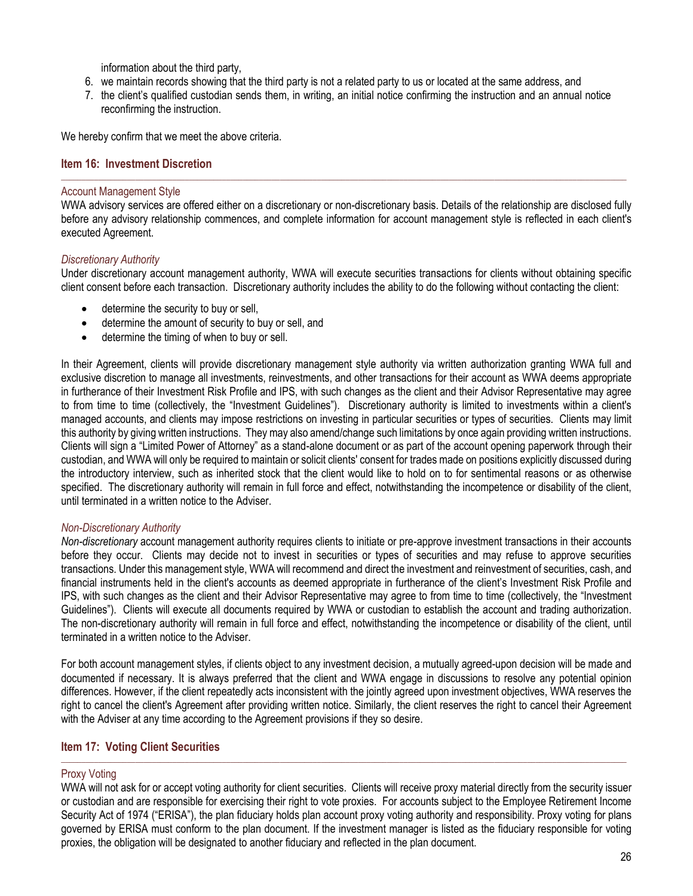information about the third party,

- 6. we maintain records showing that the third party is not a related party to us or located at the same address, and
- 7. the client's qualified custodian sends them, in writing, an initial notice confirming the instruction and an annual notice reconfirming the instruction.

We hereby confirm that we meet the above criteria.

## <span id="page-25-0"></span>**Item 16: Investment Discretion**

### Account Management Style

WWA advisory services are offered either on a discretionary or non-discretionary basis. Details of the relationship are disclosed fully before any advisory relationship commences, and complete information for account management style is reflected in each client's executed Agreement.

 $\Box$  . The contribution of the contribution of the contribution of the contribution of the contribution of the contribution of the contribution of the contribution of the contribution of the contribution of the contributi

## *Discretionary Authority*

Under discretionary account management authority, WWA will execute securities transactions for clients without obtaining specific client consent before each transaction. Discretionary authority includes the ability to do the following without contacting the client:

- determine the security to buy or sell,
- determine the amount of security to buy or sell, and
- determine the timing of when to buy or sell.

In their Agreement, clients will provide discretionary management style authority via written authorization granting WWA full and exclusive discretion to manage all investments, reinvestments, and other transactions for their account as WWA deems appropriate in furtherance of their Investment Risk Profile and IPS, with such changes as the client and their Advisor Representative may agree to from time to time (collectively, the "Investment Guidelines"). Discretionary authority is limited to investments within a client's managed accounts, and clients may impose restrictions on investing in particular securities or types of securities. Clients may limit this authority by giving written instructions. They may also amend/change such limitations by once again providing written instructions. Clients will sign a "Limited Power of Attorney" as a stand-alone document or as part of the account opening paperwork through their custodian, and WWA will only be required to maintain or solicit clients' consent for trades made on positions explicitly discussed during the introductory interview, such as inherited stock that the client would like to hold on to for sentimental reasons or as otherwise specified. The discretionary authority will remain in full force and effect, notwithstanding the incompetence or disability of the client, until terminated in a written notice to the Adviser.

# *Non-Discretionary Authority*

*Non-discretionary* account management authority requires clients to initiate or pre-approve investment transactions in their accounts before they occur. Clients may decide not to invest in securities or types of securities and may refuse to approve securities transactions. Under this management style, WWA will recommend and direct the investment and reinvestment of securities, cash, and financial instruments held in the client's accounts as deemed appropriate in furtherance of the client's Investment Risk Profile and IPS, with such changes as the client and their Advisor Representative may agree to from time to time (collectively, the "Investment Guidelines"). Clients will execute all documents required by WWA or custodian to establish the account and trading authorization. The non-discretionary authority will remain in full force and effect, notwithstanding the incompetence or disability of the client, until terminated in a written notice to the Adviser.

For both account management styles, if clients object to any investment decision, a mutually agreed-upon decision will be made and documented if necessary. It is always preferred that the client and WWA engage in discussions to resolve any potential opinion differences. However, if the client repeatedly acts inconsistent with the jointly agreed upon investment objectives, WWA reserves the right to cancel the client's Agreement after providing written notice. Similarly, the client reserves the right to cancel their Agreement with the Adviser at any time according to the Agreement provisions if they so desire.

#### <span id="page-25-1"></span>**Item 17: Voting Client Securities** \_\_\_\_\_\_\_\_\_\_\_\_\_\_\_\_\_\_\_\_\_\_\_\_\_\_\_\_\_\_\_\_\_\_\_\_\_\_\_\_\_\_\_\_\_\_\_\_\_\_\_\_\_\_\_\_\_\_\_\_\_\_\_\_\_\_\_\_\_\_\_\_\_\_\_\_\_\_\_\_\_\_\_\_\_\_\_\_\_\_\_\_\_\_\_\_\_\_\_\_\_\_\_\_\_\_\_\_\_\_\_\_\_\_\_\_\_\_\_\_\_\_\_\_\_\_\_\_\_\_\_\_\_\_\_\_\_

#### Proxy Voting

WWA will not ask for or accept voting authority for client securities. Clients will receive proxy material directly from the security issuer or custodian and are responsible for exercising their right to vote proxies. For accounts subject to the Employee Retirement Income Security Act of 1974 ("ERISA"), the plan fiduciary holds plan account proxy voting authority and responsibility. Proxy voting for plans governed by ERISA must conform to the plan document. If the investment manager is listed as the fiduciary responsible for voting proxies, the obligation will be designated to another fiduciary and reflected in the plan document.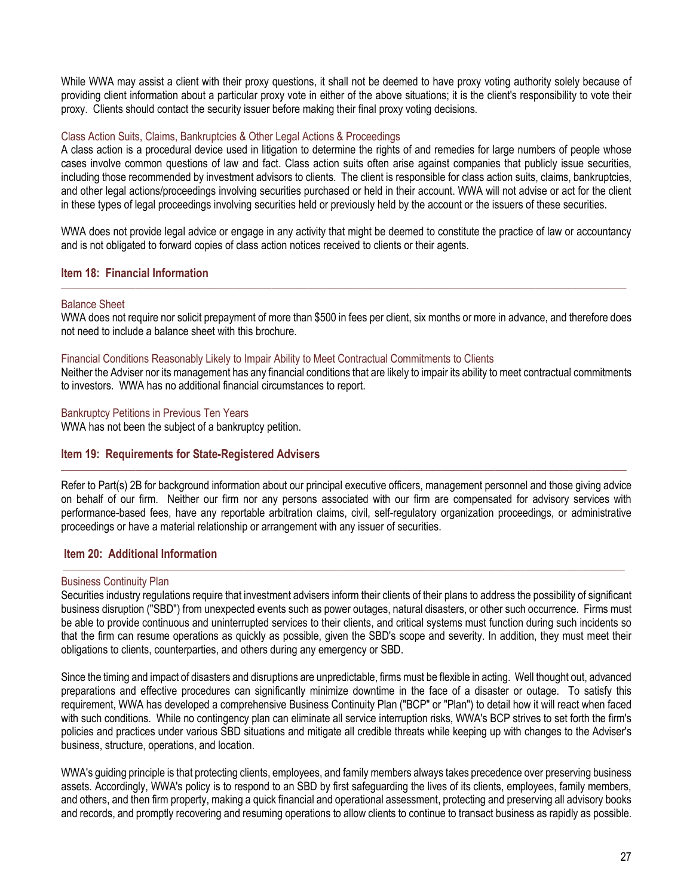While WWA may assist a client with their proxy questions, it shall not be deemed to have proxy voting authority solely because of providing client information about a particular proxy vote in either of the above situations; it is the client's responsibility to vote their proxy. Clients should contact the security issuer before making their final proxy voting decisions.

## Class Action Suits, Claims, Bankruptcies & Other Legal Actions & Proceedings

A class action is a procedural device used in litigation to determine the rights of and remedies for large numbers of people whose cases involve common questions of law and fact. Class action suits often arise against companies that publicly issue securities, including those recommended by investment advisors to clients. The client is responsible for class action suits, claims, bankruptcies, and other legal actions/proceedings involving securities purchased or held in their account. WWA will not advise or act for the client in these types of legal proceedings involving securities held or previously held by the account or the issuers of these securities.

WWA does not provide legal advice or engage in any activity that might be deemed to constitute the practice of law or accountancy and is not obligated to forward copies of class action notices received to clients or their agents.

## <span id="page-26-0"></span>**Item 18: Financial Information**

#### Balance Sheet

WWA does not require nor solicit prepayment of more than \$500 in fees per client, six months or more in advance, and therefore does not need to include a balance sheet with this brochure.

 $\Box$  . The contribution of the contribution of the contribution of the contribution of the contribution of the contribution of the contribution of the contribution of the contribution of the contribution of the contributi

## Financial Conditions Reasonably Likely to Impair Ability to Meet Contractual Commitments to Clients

Neither the Adviser nor its management has any financial conditions that are likely to impair its ability to meet contractual commitments to investors. WWA has no additional financial circumstances to report.

#### Bankruptcy Petitions in Previous Ten Years

WWA has not been the subject of a bankruptcy petition.

# <span id="page-26-1"></span>**Item 19: Requirements for State-Registered Advisers**

Refer to Part(s) 2B for background information about our principal executive officers, management personnel and those giving advice on behalf of our firm. Neither our firm nor any persons associated with our firm are compensated for advisory services with performance-based fees, have any reportable arbitration claims, civil, self-regulatory organization proceedings, or administrative proceedings or have a material relationship or arrangement with any issuer of securities.

# <span id="page-26-2"></span>**Item 20: Additional Information**

#### Business Continuity Plan

Securities industry regulations require that investment advisers inform their clients of their plans to address the possibility of significant business disruption ("SBD") from unexpected events such as power outages, natural disasters, or other such occurrence. Firms must be able to provide continuous and uninterrupted services to their clients, and critical systems must function during such incidents so that the firm can resume operations as quickly as possible, given the SBD's scope and severity. In addition, they must meet their obligations to clients, counterparties, and others during any emergency or SBD.

 $\_$  , and the state of the state of the state of the state of the state of the state of the state of the state of the state of the state of the state of the state of the state of the state of the state of the state of the

Since the timing and impact of disasters and disruptions are unpredictable, firms must be flexible in acting. Well thought out, advanced preparations and effective procedures can significantly minimize downtime in the face of a disaster or outage. To satisfy this requirement, WWA has developed a comprehensive Business Continuity Plan ("BCP" or "Plan") to detail how it will react when faced with such conditions. While no contingency plan can eliminate all service interruption risks, WWA's BCP strives to set forth the firm's policies and practices under various SBD situations and mitigate all credible threats while keeping up with changes to the Adviser's business, structure, operations, and location.

WWA's guiding principle is that protecting clients, employees, and family members always takes precedence over preserving business assets. Accordingly, WWA's policy is to respond to an SBD by first safeguarding the lives of its clients, employees, family members, and others, and then firm property, making a quick financial and operational assessment, protecting and preserving all advisory books and records, and promptly recovering and resuming operations to allow clients to continue to transact business as rapidly as possible.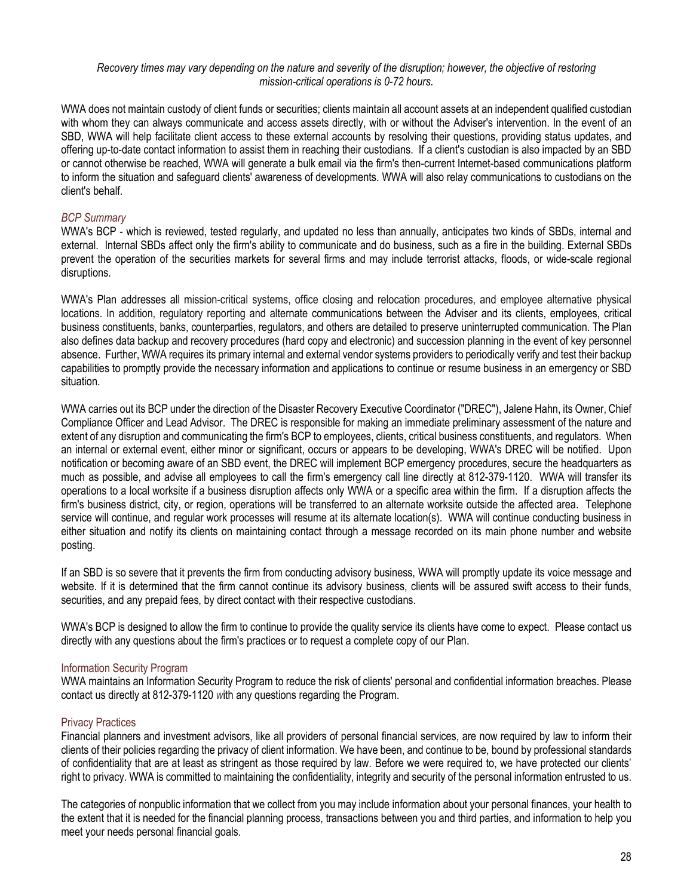## *Recovery times may vary depending on the nature and severity of the disruption; however, the objective of restoring mission-critical operations is 0-72 hours.*

WWA does not maintain custody of client funds or securities; clients maintain all account assets at an independent qualified custodian with whom they can always communicate and access assets directly, with or without the Adviser's intervention. In the event of an SBD, WWA will help facilitate client access to these external accounts by resolving their questions, providing status updates, and offering up-to-date contact information to assist them in reaching their custodians. If a client's custodian is also impacted by an SBD or cannot otherwise be reached, WWA will generate a bulk email via the firm's then-current Internet-based communications platform to inform the situation and safeguard clients' awareness of developments. WWA will also relay communications to custodians on the client's behalf.

# *BCP Summary*

WWA's BCP - which is reviewed, tested regularly, and updated no less than annually, anticipates two kinds of SBDs, internal and external. Internal SBDs affect only the firm's ability to communicate and do business, such as a fire in the building. External SBDs prevent the operation of the securities markets for several firms and may include terrorist attacks, floods, or wide-scale regional disruptions.

WWA's Plan addresses all mission-critical systems, office closing and relocation procedures, and employee alternative physical locations. In addition, regulatory reporting and alternate communications between the Adviser and its clients, employees, critical business constituents, banks, counterparties, regulators, and others are detailed to preserve uninterrupted communication. The Plan also defines data backup and recovery procedures (hard copy and electronic) and succession planning in the event of key personnel absence. Further, WWA requires its primary internal and external vendor systems providers to periodically verify and test their backup capabilities to promptly provide the necessary information and applications to continue or resume business in an emergency or SBD situation.

WWA carries out its BCP under the direction of the Disaster Recovery Executive Coordinator ("DREC"), Jalene Hahn, its Owner, Chief Compliance Officer and Lead Advisor. The DREC is responsible for making an immediate preliminary assessment of the nature and extent of any disruption and communicating the firm's BCP to employees, clients, critical business constituents, and regulators. When an internal or external event, either minor or significant, occurs or appears to be developing, WWA's DREC will be notified. Upon notification or becoming aware of an SBD event, the DREC will implement BCP emergency procedures, secure the headquarters as much as possible, and advise all employees to call the firm's emergency call line directly at 812-379-1120. WWA will transfer its operations to a local worksite if a business disruption affects only WWA or a specific area within the firm. If a disruption affects the firm's business district, city, or region, operations will be transferred to an alternate worksite outside the affected area. Telephone service will continue, and regular work processes will resume at its alternate location(s). WWA will continue conducting business in either situation and notify its clients on maintaining contact through a message recorded on its main phone number and website posting.

If an SBD is so severe that it prevents the firm from conducting advisory business, WWA will promptly update its voice message and website. If it is determined that the firm cannot continue its advisory business, clients will be assured swift access to their funds, securities, and any prepaid fees, by direct contact with their respective custodians.

WWA's BCP is designed to allow the firm to continue to provide the quality service its clients have come to expect. Please contact us directly with any questions about the firm's practices or to request a complete copy of our Plan.

# Information Security Program

WWA maintains an Information Security Program to reduce the risk of clients' personal and confidential information breaches. Please contact us directly at 812-379-1120 *w*ith any questions regarding the Program.

# Privacy Practices

Financial planners and investment advisors, like all providers of personal financial services, are now required by law to inform their clients of their policies regarding the privacy of client information. We have been, and continue to be, bound by professional standards of confidentiality that are at least as stringent as those required by law. Before we were required to, we have protected our clients' right to privacy. WWA is committed to maintaining the confidentiality, integrity and security of the personal information entrusted to us.

The categories of nonpublic information that we collect from you may include information about your personal finances, your health to the extent that it is needed for the financial planning process, transactions between you and third parties, and information to help you meet your needs personal financial goals.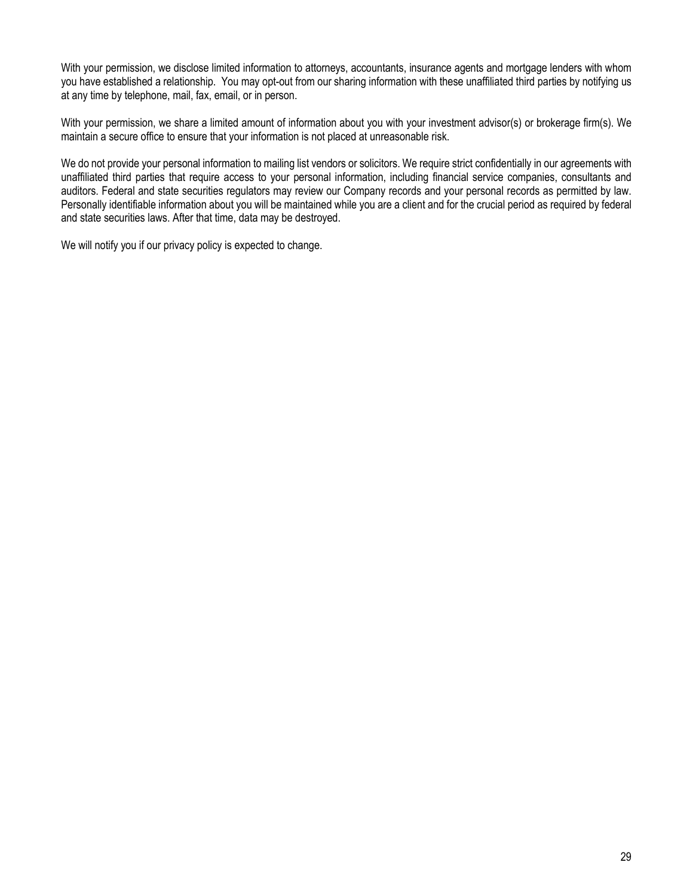With your permission, we disclose limited information to attorneys, accountants, insurance agents and mortgage lenders with whom you have established a relationship. You may opt-out from our sharing information with these unaffiliated third parties by notifying us at any time by telephone, mail, fax, email, or in person.

With your permission, we share a limited amount of information about you with your investment advisor(s) or brokerage firm(s). We maintain a secure office to ensure that your information is not placed at unreasonable risk.

We do not provide your personal information to mailing list vendors or solicitors. We require strict confidentially in our agreements with unaffiliated third parties that require access to your personal information, including financial service companies, consultants and auditors. Federal and state securities regulators may review our Company records and your personal records as permitted by law. Personally identifiable information about you will be maintained while you are a client and for the crucial period as required by federal and state securities laws. After that time, data may be destroyed.

We will notify you if our privacy policy is expected to change.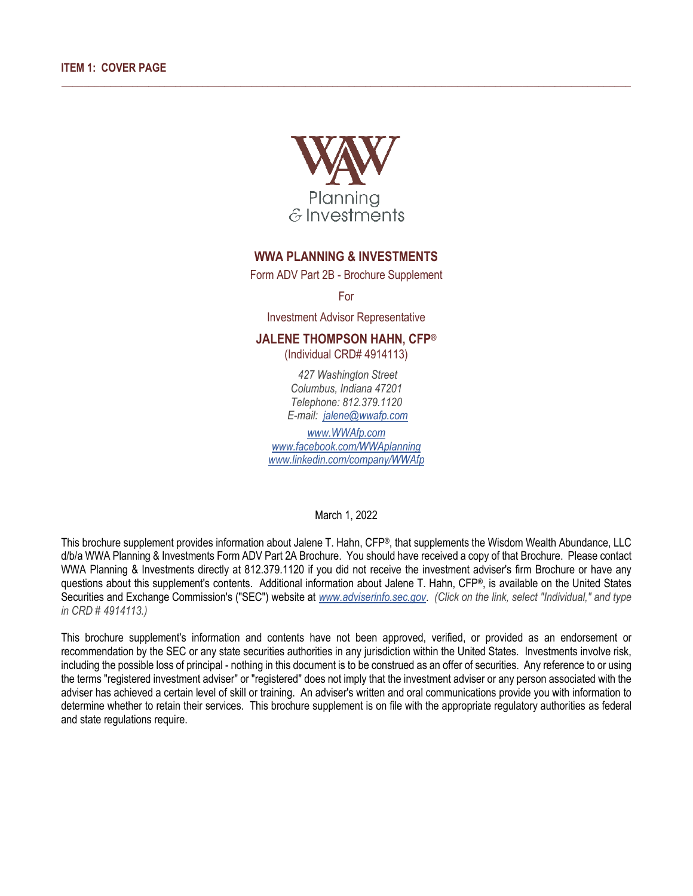

 $\_$  ,  $\_$  ,  $\_$  ,  $\_$  ,  $\_$  ,  $\_$  ,  $\_$  ,  $\_$  ,  $\_$  ,  $\_$  ,  $\_$  ,  $\_$  ,  $\_$  ,  $\_$  ,  $\_$  ,  $\_$  ,  $\_$  ,  $\_$  ,  $\_$  ,  $\_$  ,  $\_$  ,  $\_$  ,  $\_$  ,  $\_$  ,  $\_$  ,  $\_$  ,  $\_$  ,  $\_$  ,  $\_$  ,  $\_$  ,  $\_$  ,  $\_$  ,  $\_$  ,  $\_$  ,  $\_$  ,  $\_$  ,  $\_$  ,

# **WWA PLANNING & INVESTMENTS**

Form ADV Part 2B - Brochure Supplement

For

Investment Advisor Representative

### **JALENE THOMPSON HAHN, CFP®**

(Individual CRD# 4914113)

*427 Washington Street Columbus, Indiana 47201 Telephone: 812.379.1120 E-mail: [jalene@wwafp.com](mailto:jalene@wwafp.com)*

*[www.WWAfp.com](http://www.wwafp.com/) [www.facebook.com/WWAplanning](http://www.facebook.com/wwaplanning) [www.linkedin.com/company/WWAfp](http://www.linkedin.com/company/wwafp)*

March 1, 2022

This brochure supplement provides information about Jalene T. Hahn, CFP®, that supplements the Wisdom Wealth Abundance, LLC d/b/a WWA Planning & Investments Form ADV Part 2A Brochure. You should have received a copy of that Brochure. Please contact WWA Planning & Investments directly at 812.379.1120 if you did not receive the investment adviser's firm Brochure or have any questions about this supplement's contents. Additional information about Jalene T. Hahn, CFP®, is available on the United States Securities and Exchange Commission's ("SEC") website at *[www.adviserinfo.sec.gov](http://www.adviserinfo.sec.gov/)*. *(Click on the link, select "Individual," and type in CRD # 4914113.)*

This brochure supplement's information and contents have not been approved, verified, or provided as an endorsement or recommendation by the SEC or any state securities authorities in any jurisdiction within the United States. Investments involve risk, including the possible loss of principal - nothing in this document is to be construed as an offer of securities. Any reference to or using the terms "registered investment adviser" or "registered" does not imply that the investment adviser or any person associated with the adviser has achieved a certain level of skill or training. An adviser's written and oral communications provide you with information to determine whether to retain their services. This brochure supplement is on file with the appropriate regulatory authorities as federal and state regulations require.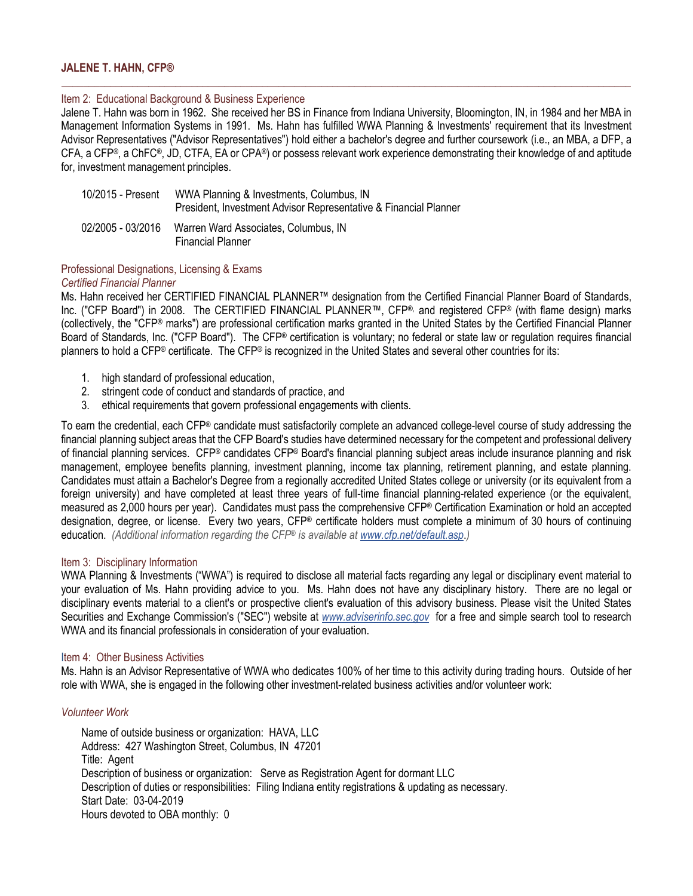### **JALENE T. HAHN, CFP®**

#### Item 2: Educational Background & Business Experience

Jalene T. Hahn was born in 1962. She received her BS in Finance from Indiana University, Bloomington, IN, in 1984 and her MBA in Management Information Systems in 1991. Ms. Hahn has fulfilled WWA Planning & Investments' requirement that its Investment Advisor Representatives ("Advisor Representatives") hold either a bachelor's degree and further coursework (i.e., an MBA, a DFP, a CFA, a CFP®, a ChFC®, JD, CTFA, EA or CPA®) or possess relevant work experience demonstrating their knowledge of and aptitude for, investment management principles.

 $\_$  ,  $\_$  ,  $\_$  ,  $\_$  ,  $\_$  ,  $\_$  ,  $\_$  ,  $\_$  ,  $\_$  ,  $\_$  ,  $\_$  ,  $\_$  ,  $\_$  ,  $\_$  ,  $\_$  ,  $\_$  ,  $\_$  ,  $\_$  ,  $\_$  ,  $\_$  ,  $\_$  ,  $\_$  ,  $\_$  ,  $\_$  ,  $\_$  ,  $\_$  ,  $\_$  ,  $\_$  ,  $\_$  ,  $\_$  ,  $\_$  ,  $\_$  ,  $\_$  ,  $\_$  ,  $\_$  ,  $\_$  ,  $\_$  ,

| 10/2015 - Present | WWA Planning & Investments, Columbus, IN<br>President, Investment Advisor Representative & Financial Planner |
|-------------------|--------------------------------------------------------------------------------------------------------------|
| 02/2005 - 03/2016 | Warren Ward Associates, Columbus, IN<br><b>Financial Planner</b>                                             |

#### Professional Designations, Licensing & Exams *Certified Financial Planner*

Ms. Hahn received her CERTIFIED FINANCIAL PLANNER™ designation from the Certified Financial Planner Board of Standards, Inc. ("CFP Board") in 2008. The CERTIFIED FINANCIAL PLANNER™, CFP®, and registered CFP® (with flame design) marks (collectively, the "CFP® marks") are professional certification marks granted in the United States by the Certified Financial Planner Board of Standards, Inc. ("CFP Board"). The CFP® certification is voluntary; no federal or state law or regulation requires financial planners to hold a CFP® certificate. The CFP® is recognized in the United States and several other countries for its:

- 1. high standard of professional education,
- 2. stringent code of conduct and standards of practice, and
- 3. ethical requirements that govern professional engagements with clients.

To earn the credential, each CFP® candidate must satisfactorily complete an advanced college-level course of study addressing the financial planning subject areas that the CFP Board's studies have determined necessary for the competent and professional delivery of financial planning services. CFP® candidates CFP® Board's financial planning subject areas include insurance planning and risk management, employee benefits planning, investment planning, income tax planning, retirement planning, and estate planning. Candidates must attain a Bachelor's Degree from a regionally accredited United States college or university (or its equivalent from a foreign university) and have completed at least three years of full-time financial planning-related experience (or the equivalent, measured as 2,000 hours per year). Candidates must pass the comprehensive CFP® Certification Examination or hold an accepted designation, degree, or license. Every two years, CFP® certificate holders must complete a minimum of 30 hours of continuing education. *(Additional information regarding the CFP® is available at [www.cfp.net/default.asp](http://www.cfp.net/default.asp)*.*)*

#### Item 3: Disciplinary Information

WWA Planning & Investments ("WWA") is required to disclose all material facts regarding any legal or disciplinary event material to your evaluation of Ms. Hahn providing advice to you. Ms. Hahn does not have any disciplinary history. There are no legal or disciplinary events material to a client's or prospective client's evaluation of this advisory business. Please visit the United States Securities and Exchange Commission's ("SEC") website at *[www.adviserinfo.sec.gov](http://www.adviserinfo.sec.gov/)* for a free and simple search tool to research WWA and its financial professionals in consideration of your evaluation.

#### Item 4: Other Business Activities

Ms. Hahn is an Advisor Representative of WWA who dedicates 100% of her time to this activity during trading hours. Outside of her role with WWA, she is engaged in the following other investment-related business activities and/or volunteer work:

#### *Volunteer Work*

Name of outside business or organization: HAVA, LLC Address: 427 Washington Street, Columbus, IN 47201 Title: Agent Description of business or organization: Serve as Registration Agent for dormant LLC Description of duties or responsibilities: Filing Indiana entity registrations & updating as necessary. Start Date: 03-04-2019 Hours devoted to OBA monthly: 0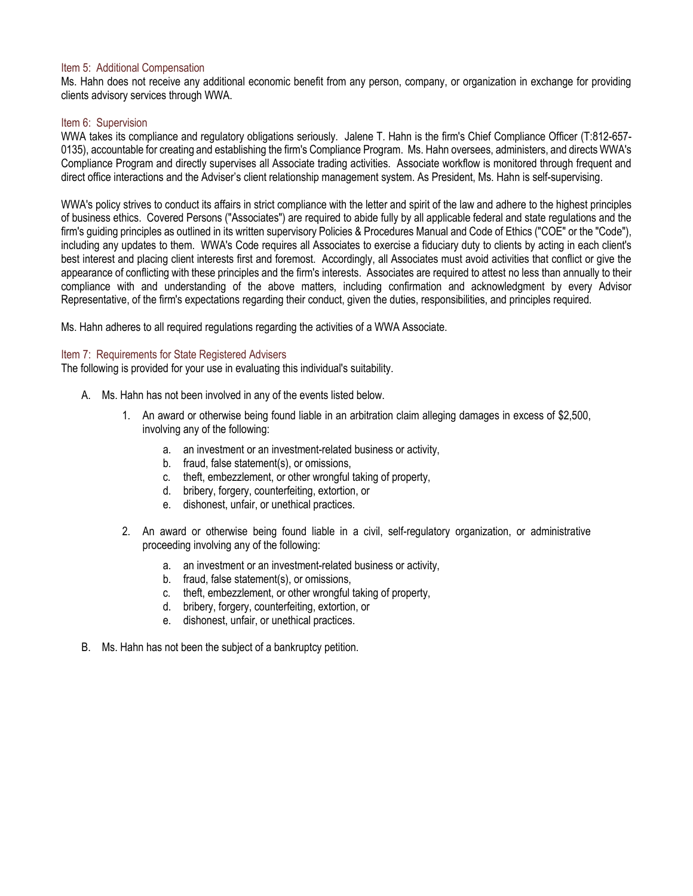#### Item 5: Additional Compensation

Ms. Hahn does not receive any additional economic benefit from any person, company, or organization in exchange for providing clients advisory services through WWA.

#### Item 6: Supervision

WWA takes its compliance and regulatory obligations seriously. Jalene T. Hahn is the firm's Chief Compliance Officer (T:812-657- 0135), accountable for creating and establishing the firm's Compliance Program. Ms. Hahn oversees, administers, and directs WWA's Compliance Program and directly supervises all Associate trading activities. Associate workflow is monitored through frequent and direct office interactions and the Adviser's client relationship management system. As President, Ms. Hahn is self-supervising.

WWA's policy strives to conduct its affairs in strict compliance with the letter and spirit of the law and adhere to the highest principles of business ethics. Covered Persons ("Associates") are required to abide fully by all applicable federal and state regulations and the firm's guiding principles as outlined in its written supervisory Policies & Procedures Manual and Code of Ethics ("COE" or the "Code"), including any updates to them. WWA's Code requires all Associates to exercise a fiduciary duty to clients by acting in each client's best interest and placing client interests first and foremost. Accordingly, all Associates must avoid activities that conflict or give the appearance of conflicting with these principles and the firm's interests. Associates are required to attest no less than annually to their compliance with and understanding of the above matters, including confirmation and acknowledgment by every Advisor Representative, of the firm's expectations regarding their conduct, given the duties, responsibilities, and principles required.

Ms. Hahn adheres to all required regulations regarding the activities of a WWA Associate.

#### Item 7: Requirements for State Registered Advisers

The following is provided for your use in evaluating this individual's suitability.

- A. Ms. Hahn has not been involved in any of the events listed below.
	- 1. An award or otherwise being found liable in an arbitration claim alleging damages in excess of \$2,500, involving any of the following:
		- a. an investment or an investment-related business or activity,
		- b. fraud, false statement(s), or omissions,
		- c. theft, embezzlement, or other wrongful taking of property,
		- d. bribery, forgery, counterfeiting, extortion, or
		- e. dishonest, unfair, or unethical practices.
	- 2. An award or otherwise being found liable in a civil, self-regulatory organization, or administrative proceeding involving any of the following:
		- a. an investment or an investment-related business or activity,
		- b. fraud, false statement(s), or omissions,
		- c. theft, embezzlement, or other wrongful taking of property,
		- d. bribery, forgery, counterfeiting, extortion, or
		- e. dishonest, unfair, or unethical practices.
- B. Ms. Hahn has not been the subject of a bankruptcy petition.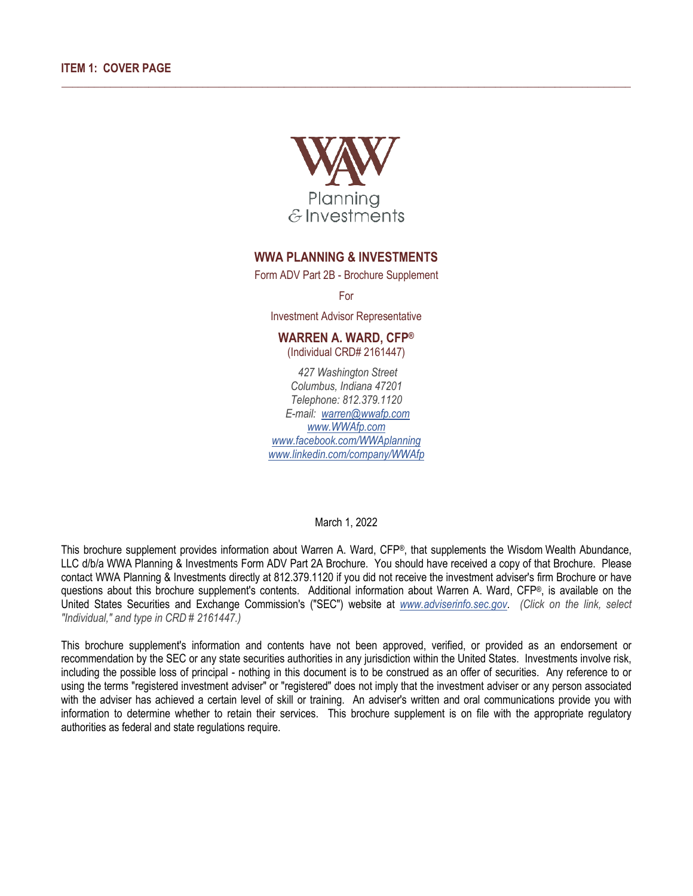

\_\_\_\_\_\_\_\_\_\_\_\_\_\_\_\_\_\_\_\_\_\_\_\_\_\_\_\_\_\_\_\_\_\_\_\_\_\_\_\_\_\_\_\_\_\_\_\_\_\_\_\_\_\_\_\_\_\_\_\_\_\_\_\_\_\_\_\_\_\_\_\_\_\_\_\_\_\_\_\_\_\_\_\_\_\_\_\_\_\_\_\_\_\_\_\_\_\_\_\_\_\_\_\_\_

# **WWA PLANNING & INVESTMENTS**

Form ADV Part 2B - Brochure Supplement

For

Investment Advisor Representative

# **WARREN A. WARD, CFP®**

(Individual CRD# 2161447)

*427 Washington Street Columbus, Indiana 47201 Telephone: 812.379.1120 E-mail: [warren@wwafp.com](mailto:warren@wwafp.com) [www.WWAfp.com](http://www.wwafp.com/) [www.facebook.com/WWAplanning](http://www.facebook.com/wwaplanning) [www.linkedin.com/company/WWAfp](http://www.linkedin.com/company/wwafp)*

March 1, 2022

This brochure supplement provides information about Warren A. Ward, CFP®, that supplements the Wisdom Wealth Abundance, LLC d/b/a WWA Planning & Investments Form ADV Part 2A Brochure. You should have received a copy of that Brochure. Please contact WWA Planning & Investments directly at 812.379.1120 if you did not receive the investment adviser's firm Brochure or have questions about this brochure supplement's contents. Additional information about Warren A. Ward,  $CFP^{\circledast}$ , is available on the United States Securities and Exchange Commission's ("SEC") website at *[www.adviserinfo.sec.gov](http://www.adviserinfo.sec.gov/)*. *(Click on the link, select "Individual," and type in CRD # 2161447.)*

This brochure supplement's information and contents have not been approved, verified, or provided as an endorsement or recommendation by the SEC or any state securities authorities in any jurisdiction within the United States. Investments involve risk, including the possible loss of principal - nothing in this document is to be construed as an offer of securities. Any reference to or using the terms "registered investment adviser" or "registered" does not imply that the investment adviser or any person associated with the adviser has achieved a certain level of skill or training. An adviser's written and oral communications provide you with information to determine whether to retain their services. This brochure supplement is on file with the appropriate regulatory authorities as federal and state regulations require.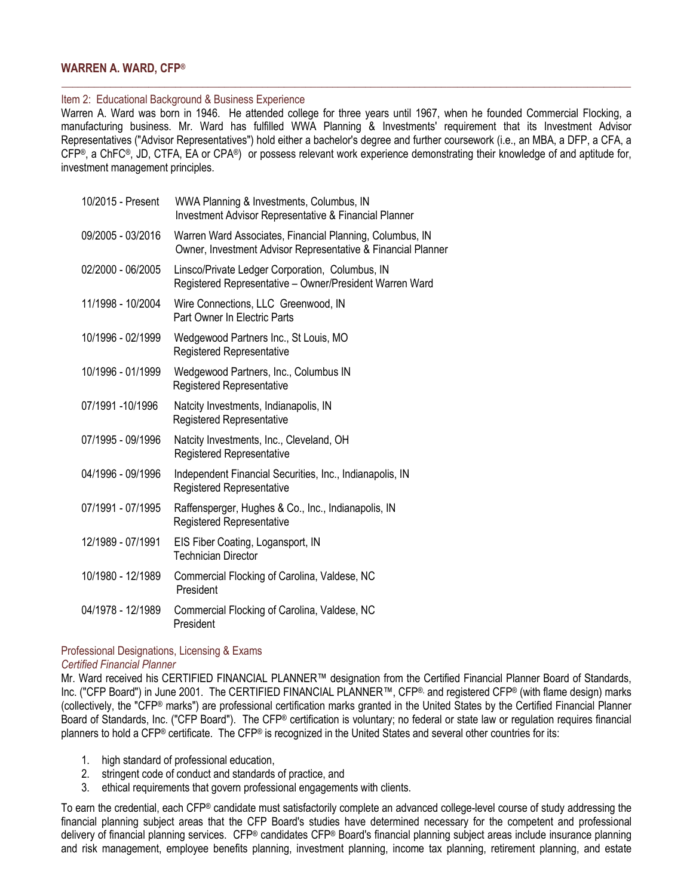# **WARREN A. WARD, CFP®**

#### Item 2: Educational Background & Business Experience

Warren A. Ward was born in 1946. He attended college for three years until 1967, when he founded Commercial Flocking, a manufacturing business. Mr. Ward has fulfilled WWA Planning & Investments' requirement that its Investment Advisor Representatives ("Advisor Representatives") hold either a bachelor's degree and further coursework (i.e., an MBA, a DFP, a CFA, a CFP®, a ChFC®, JD, CTFA, EA or CPA®) or possess relevant work experience demonstrating their knowledge of and aptitude for, investment management principles.

\_\_\_\_\_\_\_\_\_\_\_\_\_\_\_\_\_\_\_\_\_\_\_\_\_\_\_\_\_\_\_\_\_\_\_\_\_\_\_\_\_\_\_\_\_\_\_\_\_\_\_\_\_\_\_\_\_\_\_\_\_\_\_\_\_\_\_\_\_\_\_\_\_\_\_\_\_\_\_\_\_\_\_\_\_\_\_\_\_\_\_\_\_\_\_\_\_\_\_\_\_\_\_\_\_

| 10/2015 - Present | WWA Planning & Investments, Columbus, IN<br><b>Investment Advisor Representative &amp; Financial Planner</b>             |
|-------------------|--------------------------------------------------------------------------------------------------------------------------|
| 09/2005 - 03/2016 | Warren Ward Associates, Financial Planning, Columbus, IN<br>Owner, Investment Advisor Representative & Financial Planner |
| 02/2000 - 06/2005 | Linsco/Private Ledger Corporation, Columbus, IN<br>Registered Representative - Owner/President Warren Ward               |
| 11/1998 - 10/2004 | Wire Connections, LLC Greenwood, IN<br>Part Owner In Electric Parts                                                      |
| 10/1996 - 02/1999 | Wedgewood Partners Inc., St Louis, MO<br>Registered Representative                                                       |
| 10/1996 - 01/1999 | Wedgewood Partners, Inc., Columbus IN<br>Registered Representative                                                       |
| 07/1991 - 10/1996 | Natcity Investments, Indianapolis, IN<br>Registered Representative                                                       |
| 07/1995 - 09/1996 | Natcity Investments, Inc., Cleveland, OH<br>Registered Representative                                                    |
| 04/1996 - 09/1996 | Independent Financial Securities, Inc., Indianapolis, IN<br>Registered Representative                                    |
| 07/1991 - 07/1995 | Raffensperger, Hughes & Co., Inc., Indianapolis, IN<br>Registered Representative                                         |
| 12/1989 - 07/1991 | EIS Fiber Coating, Logansport, IN<br><b>Technician Director</b>                                                          |
| 10/1980 - 12/1989 | Commercial Flocking of Carolina, Valdese, NC<br>President                                                                |
| 04/1978 - 12/1989 | Commercial Flocking of Carolina, Valdese, NC<br>President                                                                |
|                   |                                                                                                                          |

#### Professional Designations, Licensing & Exams *Certified Financial Planner*

Mr. Ward received his CERTIFIED FINANCIAL PLANNER™ designation from the Certified Financial Planner Board of Standards, Inc. ("CFP Board") in June 2001. The CERTIFIED FINANCIAL PLANNER™, CFP® and registered CFP® (with flame design) marks (collectively, the "CFP® marks") are professional certification marks granted in the United States by the Certified Financial Planner Board of Standards, Inc. ("CFP Board"). The CFP® certification is voluntary; no federal or state law or regulation requires financial planners to hold a CFP® certificate. The CFP® is recognized in the United States and several other countries for its:

- 1. high standard of professional education,
- 2. stringent code of conduct and standards of practice, and
- 3. ethical requirements that govern professional engagements with clients.

To earn the credential, each CFP® candidate must satisfactorily complete an advanced college-level course of study addressing the financial planning subject areas that the CFP Board's studies have determined necessary for the competent and professional delivery of financial planning services. CFP® candidates CFP® Board's financial planning subject areas include insurance planning and risk management, employee benefits planning, investment planning, income tax planning, retirement planning, and estate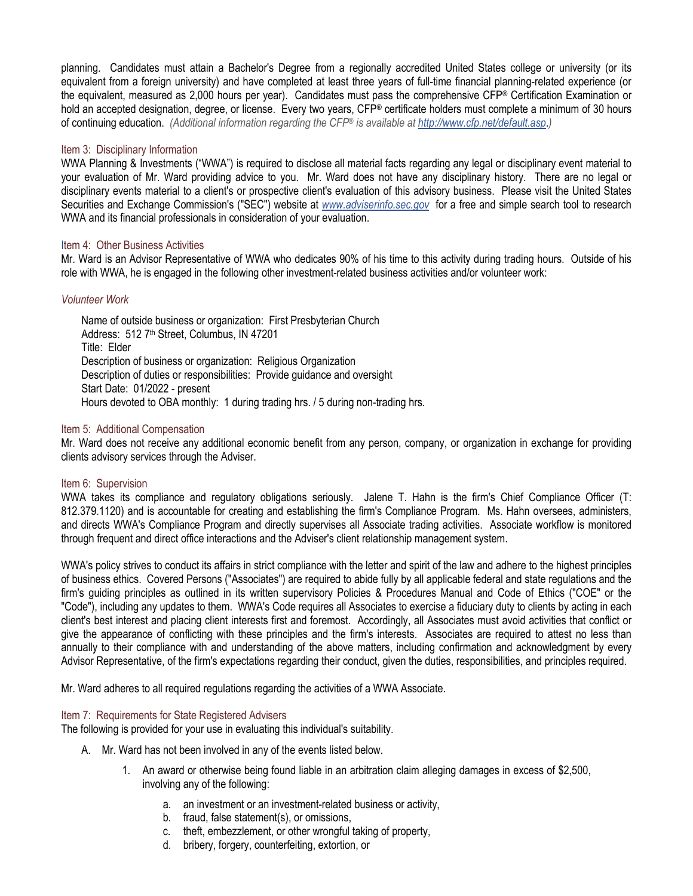planning. Candidates must attain a Bachelor's Degree from a regionally accredited United States college or university (or its equivalent from a foreign university) and have completed at least three years of full-time financial planning-related experience (or the equivalent, measured as 2,000 hours per year). Candidates must pass the comprehensive CFP® Certification Examination or hold an accepted designation, degree, or license. Every two years, CFP® certificate holders must complete a minimum of 30 hours of continuing education. *(Additional information regarding the CFP® is available at <http://www.cfp.net/default.asp>*.*)*

### Item 3: Disciplinary Information

WWA Planning & Investments ("WWA") is required to disclose all material facts regarding any legal or disciplinary event material to your evaluation of Mr. Ward providing advice to you. Mr. Ward does not have any disciplinary history. There are no legal or disciplinary events material to a client's or prospective client's evaluation of this advisory business. Please visit the United States Securities and Exchange Commission's ("SEC") website at *[www.adviserinfo.sec.gov](http://www.adviserinfo.sec.gov/)* for a free and simple search tool to research WWA and its financial professionals in consideration of your evaluation.

## Item 4: Other Business Activities

Mr. Ward is an Advisor Representative of WWA who dedicates 90% of his time to this activity during trading hours. Outside of his role with WWA, he is engaged in the following other investment-related business activities and/or volunteer work:

# *Volunteer Work*

Name of outside business or organization: First Presbyterian Church Address: 512 7<sup>th</sup> Street, Columbus, IN 47201 Title: Elder Description of business or organization: Religious Organization Description of duties or responsibilities: Provide guidance and oversight Start Date: 01/2022 - present Hours devoted to OBA monthly: 1 during trading hrs. / 5 during non-trading hrs.

## Item 5: Additional Compensation

Mr. Ward does not receive any additional economic benefit from any person, company, or organization in exchange for providing clients advisory services through the Adviser.

#### Item 6: Supervision

WWA takes its compliance and regulatory obligations seriously. Jalene T. Hahn is the firm's Chief Compliance Officer (T: 812.379.1120) and is accountable for creating and establishing the firm's Compliance Program. Ms. Hahn oversees, administers, and directs WWA's Compliance Program and directly supervises all Associate trading activities. Associate workflow is monitored through frequent and direct office interactions and the Adviser's client relationship management system.

WWA's policy strives to conduct its affairs in strict compliance with the letter and spirit of the law and adhere to the highest principles of business ethics. Covered Persons ("Associates") are required to abide fully by all applicable federal and state regulations and the firm's guiding principles as outlined in its written supervisory Policies & Procedures Manual and Code of Ethics ("COE" or the "Code"), including any updates to them. WWA's Code requires all Associates to exercise a fiduciary duty to clients by acting in each client's best interest and placing client interests first and foremost. Accordingly, all Associates must avoid activities that conflict or give the appearance of conflicting with these principles and the firm's interests. Associates are required to attest no less than annually to their compliance with and understanding of the above matters, including confirmation and acknowledgment by every Advisor Representative, of the firm's expectations regarding their conduct, given the duties, responsibilities, and principles required.

Mr. Ward adheres to all required regulations regarding the activities of a WWA Associate.

#### Item 7: Requirements for State Registered Advisers

The following is provided for your use in evaluating this individual's suitability.

- A. Mr. Ward has not been involved in any of the events listed below.
	- 1. An award or otherwise being found liable in an arbitration claim alleging damages in excess of \$2,500, involving any of the following:
		- a. an investment or an investment-related business or activity,
		- b. fraud, false statement(s), or omissions,
		- c. theft, embezzlement, or other wrongful taking of property,
		- d. bribery, forgery, counterfeiting, extortion, or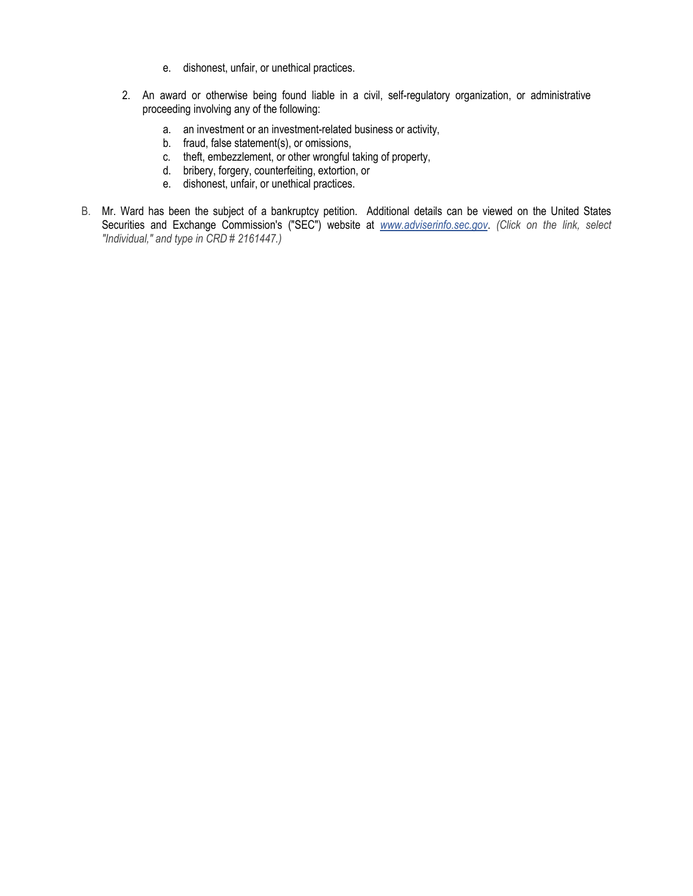- e. dishonest, unfair, or unethical practices.
- 2. An award or otherwise being found liable in a civil, self-regulatory organization, or administrative proceeding involving any of the following:
	- a. an investment or an investment-related business or activity,
	- b. fraud, false statement(s), or omissions,
	- c. theft, embezzlement, or other wrongful taking of property,
	- d. bribery, forgery, counterfeiting, extortion, or
	- e. dishonest, unfair, or unethical practices.
- B. Mr. Ward has been the subject of a bankruptcy petition. Additional details can be viewed on the United States Securities and Exchange Commission's ("SEC") website at *[www.adviserinfo.sec.gov](http://www.adviserinfo.sec.gov/)*. *(Click on the link, select "Individual," and type in CRD # 2161447.)*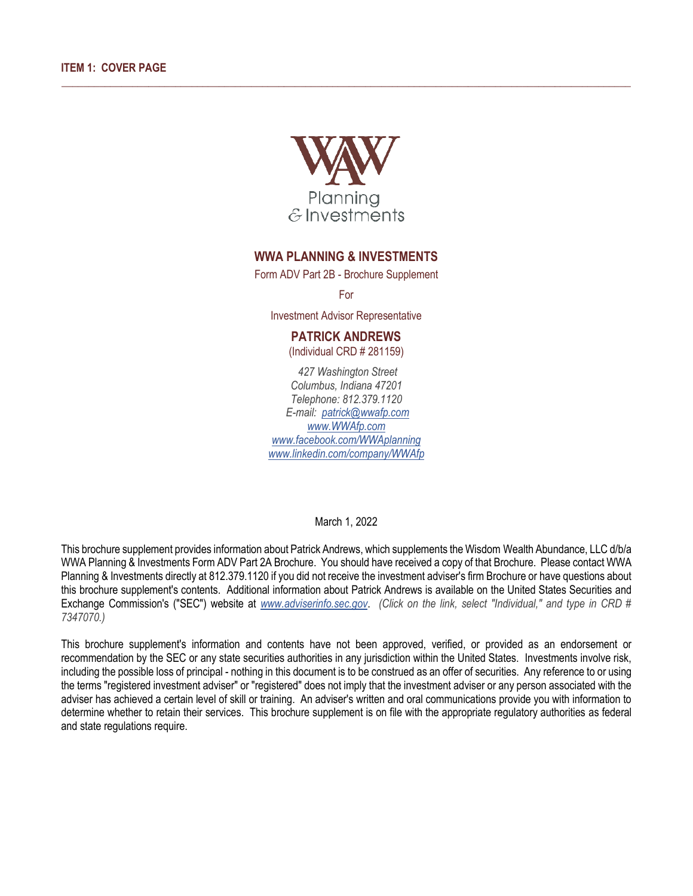

 $\_$  ,  $\_$  ,  $\_$  ,  $\_$  ,  $\_$  ,  $\_$  ,  $\_$  ,  $\_$  ,  $\_$  ,  $\_$  ,  $\_$  ,  $\_$  ,  $\_$  ,  $\_$  ,  $\_$  ,  $\_$  ,  $\_$  ,  $\_$  ,  $\_$  ,  $\_$  ,  $\_$  ,  $\_$  ,  $\_$  ,  $\_$  ,  $\_$  ,  $\_$  ,  $\_$  ,  $\_$  ,  $\_$  ,  $\_$  ,  $\_$  ,  $\_$  ,  $\_$  ,  $\_$  ,  $\_$  ,  $\_$  ,  $\_$  ,

# **WWA PLANNING & INVESTMENTS**

Form ADV Part 2B - Brochure Supplement

For

Investment Advisor Representative

# **PATRICK ANDREWS**

(Individual CRD # 281159)

*427 Washington Street Columbus, Indiana 47201 Telephone: 812.379.1120 E-mail: patric[k@wwafp.com](mailto:_____@wwafp.com) [www.WWAfp.com](http://www.wwafp.com/) [www.facebook.com/WWAplanning](http://www.facebook.com/wwaplanning) [www.linkedin.com/company/WWAfp](http://www.linkedin.com/company/wwafp)*

March 1, 2022

This brochure supplement provides information about Patrick Andrews, which supplements the Wisdom Wealth Abundance, LLC d/b/a WWA Planning & Investments Form ADV Part 2A Brochure. You should have received a copy of that Brochure. Please contact WWA Planning & Investments directly at 812.379.1120 if you did not receive the investment adviser's firm Brochure or have questions about this brochure supplement's contents. Additional information about Patrick Andrews is available on the United States Securities and Exchange Commission's ("SEC") website at *[www.adviserinfo.sec.gov](http://www.adviserinfo.sec.gov/)*. *(Click on the link, select "Individual," and type in CRD # 7347070.)*

This brochure supplement's information and contents have not been approved, verified, or provided as an endorsement or recommendation by the SEC or any state securities authorities in any jurisdiction within the United States. Investments involve risk, including the possible loss of principal - nothing in this document is to be construed as an offer of securities. Any reference to or using the terms "registered investment adviser" or "registered" does not imply that the investment adviser or any person associated with the adviser has achieved a certain level of skill or training. An adviser's written and oral communications provide you with information to determine whether to retain their services. This brochure supplement is on file with the appropriate regulatory authorities as federal and state regulations require.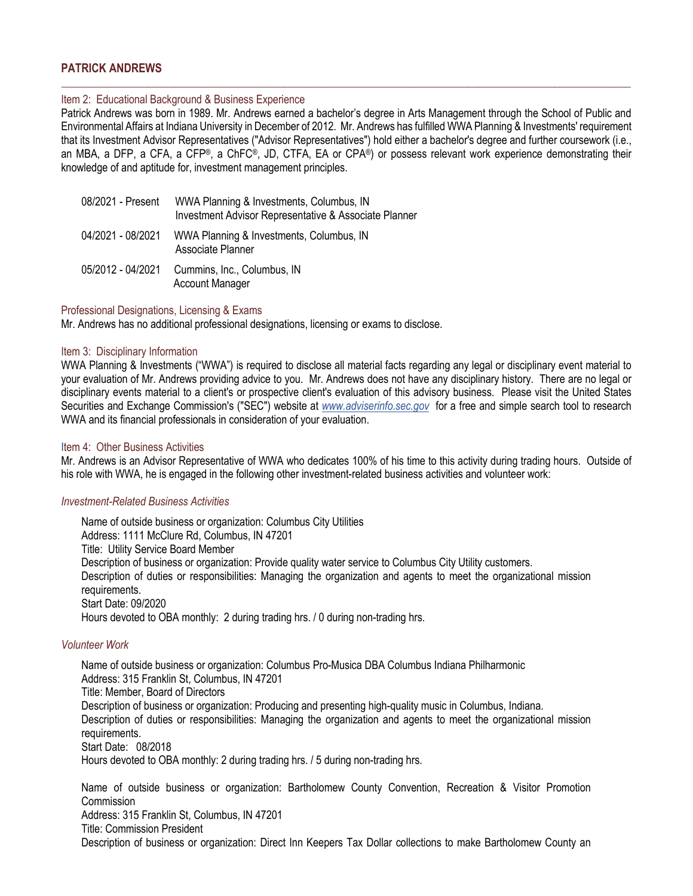# **PATRICK ANDREWS**

### Item 2: Educational Background & Business Experience

Patrick Andrews was born in 1989. Mr. Andrews earned a bachelor's degree in Arts Management through the School of Public and Environmental Affairs at Indiana University in December of 2012. Mr. Andrews has fulfilled WWA Planning & Investments' requirement that its Investment Advisor Representatives ("Advisor Representatives") hold either a bachelor's degree and further coursework (i.e., an MBA, a DFP, a CFA, a CFP®, a ChFC®, JD, CTFA, EA or CPA®) or possess relevant work experience demonstrating their knowledge of and aptitude for, investment management principles.

\_\_\_\_\_\_\_\_\_\_\_\_\_\_\_\_\_\_\_\_\_\_\_\_\_\_\_\_\_\_\_\_\_\_\_\_\_\_\_\_\_\_\_\_\_\_\_\_\_\_\_\_\_\_\_\_\_\_\_\_\_\_\_\_\_\_\_\_\_\_\_\_\_\_\_\_\_\_\_\_\_\_\_\_\_\_\_\_\_\_\_\_\_\_\_\_\_\_\_\_\_\_\_\_\_

| 08/2021 - Present | WWA Planning & Investments, Columbus, IN<br>Investment Advisor Representative & Associate Planner |
|-------------------|---------------------------------------------------------------------------------------------------|
| 04/2021 - 08/2021 | WWA Planning & Investments, Columbus, IN<br>Associate Planner                                     |
| 05/2012 - 04/2021 | Cummins, Inc., Columbus, IN<br><b>Account Manager</b>                                             |

#### Professional Designations, Licensing & Exams

Mr. Andrews has no additional professional designations, licensing or exams to disclose.

#### Item 3: Disciplinary Information

WWA Planning & Investments ("WWA") is required to disclose all material facts regarding any legal or disciplinary event material to your evaluation of Mr. Andrews providing advice to you. Mr. Andrews does not have any disciplinary history. There are no legal or disciplinary events material to a client's or prospective client's evaluation of this advisory business. Please visit the United States Securities and Exchange Commission's ("SEC") website at *[www.adviserinfo.sec.gov](http://www.adviserinfo.sec.gov/)* for a free and simple search tool to research WWA and its financial professionals in consideration of your evaluation.

#### Item 4: Other Business Activities

Mr. Andrews is an Advisor Representative of WWA who dedicates 100% of his time to this activity during trading hours. Outside of his role with WWA, he is engaged in the following other investment-related business activities and volunteer work:

#### *Investment-Related Business Activities*

Name of outside business or organization: Columbus City Utilities Address: 1111 McClure Rd, Columbus, IN 47201 Title: Utility Service Board Member Description of business or organization: Provide quality water service to Columbus City Utility customers. Description of duties or responsibilities: Managing the organization and agents to meet the organizational mission requirements. Start Date: 09/2020 Hours devoted to OBA monthly: 2 during trading hrs. / 0 during non-trading hrs.

#### *Volunteer Work*

Name of outside business or organization: Columbus Pro-Musica DBA Columbus Indiana Philharmonic Address: 315 Franklin St, Columbus, IN 47201 Title: Member, Board of Directors Description of business or organization: Producing and presenting high-quality music in Columbus, Indiana. Description of duties or responsibilities: Managing the organization and agents to meet the organizational mission requirements. Start Date: 08/2018 Hours devoted to OBA monthly: 2 during trading hrs. / 5 during non-trading hrs.

Name of outside business or organization: Bartholomew County Convention, Recreation & Visitor Promotion Commission Address: 315 Franklin St, Columbus, IN 47201 Title: Commission President Description of business or organization: Direct Inn Keepers Tax Dollar collections to make Bartholomew County an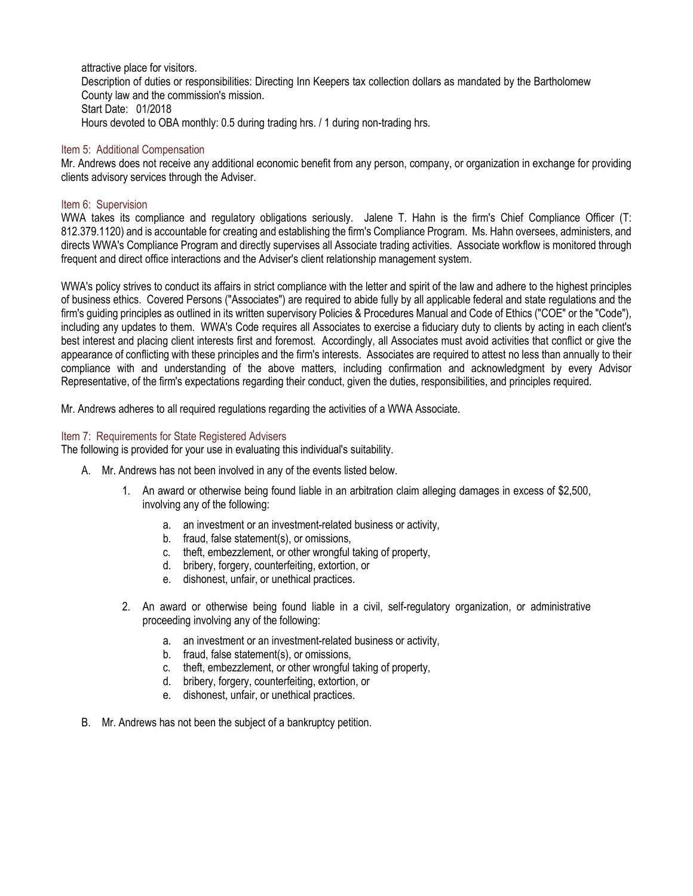attractive place for visitors.

Description of duties or responsibilities: Directing Inn Keepers tax collection dollars as mandated by the Bartholomew County law and the commission's mission. Start Date: 01/2018 Hours devoted to OBA monthly: 0.5 during trading hrs. / 1 during non-trading hrs.

# Item 5: Additional Compensation

Mr. Andrews does not receive any additional economic benefit from any person, company, or organization in exchange for providing clients advisory services through the Adviser.

## Item 6: Supervision

WWA takes its compliance and regulatory obligations seriously. Jalene T. Hahn is the firm's Chief Compliance Officer (T: 812.379.1120) and is accountable for creating and establishing the firm's Compliance Program. Ms. Hahn oversees, administers, and directs WWA's Compliance Program and directly supervises all Associate trading activities. Associate workflow is monitored through frequent and direct office interactions and the Adviser's client relationship management system.

WWA's policy strives to conduct its affairs in strict compliance with the letter and spirit of the law and adhere to the highest principles of business ethics. Covered Persons ("Associates") are required to abide fully by all applicable federal and state regulations and the firm's guiding principles as outlined in its written supervisory Policies & Procedures Manual and Code of Ethics ("COE" or the "Code"), including any updates to them. WWA's Code requires all Associates to exercise a fiduciary duty to clients by acting in each client's best interest and placing client interests first and foremost. Accordingly, all Associates must avoid activities that conflict or give the appearance of conflicting with these principles and the firm's interests. Associates are required to attest no less than annually to their compliance with and understanding of the above matters, including confirmation and acknowledgment by every Advisor Representative, of the firm's expectations regarding their conduct, given the duties, responsibilities, and principles required.

Mr. Andrews adheres to all required regulations regarding the activities of a WWA Associate.

## Item 7: Requirements for State Registered Advisers

The following is provided for your use in evaluating this individual's suitability.

- A. Mr. Andrews has not been involved in any of the events listed below.
	- 1. An award or otherwise being found liable in an arbitration claim alleging damages in excess of \$2,500, involving any of the following:
		- a. an investment or an investment-related business or activity,
		- b. fraud, false statement(s), or omissions,
		- c. theft, embezzlement, or other wrongful taking of property,
		- d. bribery, forgery, counterfeiting, extortion, or
		- e. dishonest, unfair, or unethical practices.
	- 2. An award or otherwise being found liable in a civil, self-regulatory organization, or administrative proceeding involving any of the following:
		- a. an investment or an investment-related business or activity,
		- b. fraud, false statement(s), or omissions,
		- c. theft, embezzlement, or other wrongful taking of property,
		- d. bribery, forgery, counterfeiting, extortion, or
		- e. dishonest, unfair, or unethical practices.
- B. Mr. Andrews has not been the subject of a bankruptcy petition.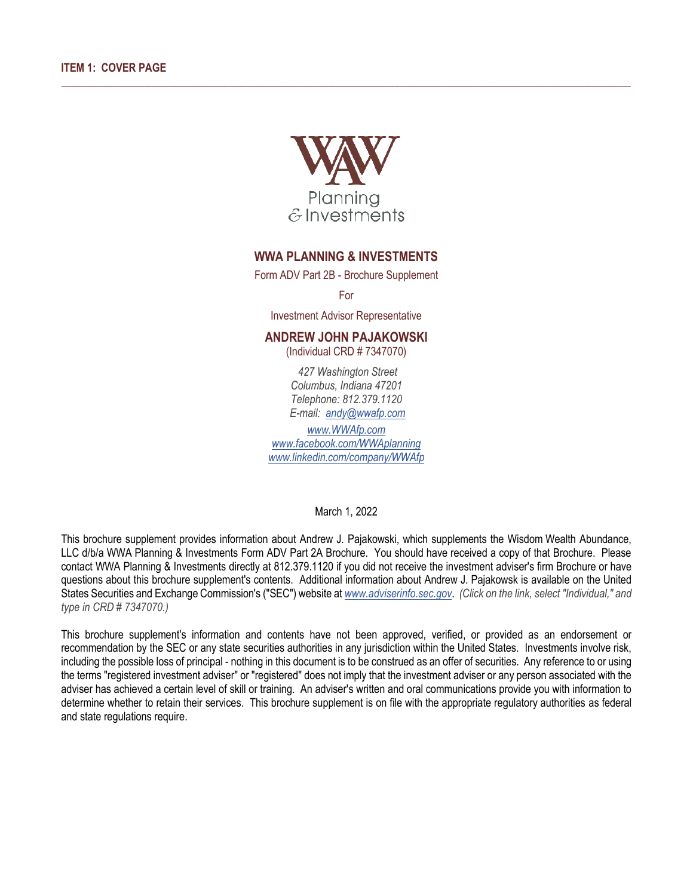

 $\_$  ,  $\_$  ,  $\_$  ,  $\_$  ,  $\_$  ,  $\_$  ,  $\_$  ,  $\_$  ,  $\_$  ,  $\_$  ,  $\_$  ,  $\_$  ,  $\_$  ,  $\_$  ,  $\_$  ,  $\_$  ,  $\_$  ,  $\_$  ,  $\_$  ,  $\_$  ,  $\_$  ,  $\_$  ,  $\_$  ,  $\_$  ,  $\_$  ,  $\_$  ,  $\_$  ,  $\_$  ,  $\_$  ,  $\_$  ,  $\_$  ,  $\_$  ,  $\_$  ,  $\_$  ,  $\_$  ,  $\_$  ,  $\_$  ,

# **WWA PLANNING & INVESTMENTS**

Form ADV Part 2B - Brochure Supplement

For

Investment Advisor Representative

# **ANDREW JOHN PAJAKOWSKI**

(Individual CRD # 7347070)

*427 Washington Street Columbus, Indiana 47201 Telephone: 812.379.1120 E-mail: [andy@wwafp.com](mailto:andy@wwafp.com)*

*[www.WWAfp.com](http://www.wwafp.com/) [www.facebook.com/WWAplanning](http://www.facebook.com/wwaplanning) [www.linkedin.com/company/WWAfp](http://www.linkedin.com/company/wwafp)*

March 1, 2022

This brochure supplement provides information about Andrew J. Pajakowski, which supplements the Wisdom Wealth Abundance, LLC d/b/a WWA Planning & Investments Form ADV Part 2A Brochure. You should have received a copy of that Brochure. Please contact WWA Planning & Investments directly at 812.379.1120 if you did not receive the investment adviser's firm Brochure or have questions about this brochure supplement's contents. Additional information about Andrew J. Pajakowsk is available on the United States Securities and Exchange Commission's ("SEC") website at *[www.adviserinfo.sec.gov](http://www.adviserinfo.sec.gov/)*. *(Click on the link, select "Individual," and type in CRD # 7347070.)*

This brochure supplement's information and contents have not been approved, verified, or provided as an endorsement or recommendation by the SEC or any state securities authorities in any jurisdiction within the United States. Investments involve risk, including the possible loss of principal - nothing in this document is to be construed as an offer of securities. Any reference to or using the terms "registered investment adviser" or "registered" does not imply that the investment adviser or any person associated with the adviser has achieved a certain level of skill or training. An adviser's written and oral communications provide you with information to determine whether to retain their services. This brochure supplement is on file with the appropriate regulatory authorities as federal and state regulations require.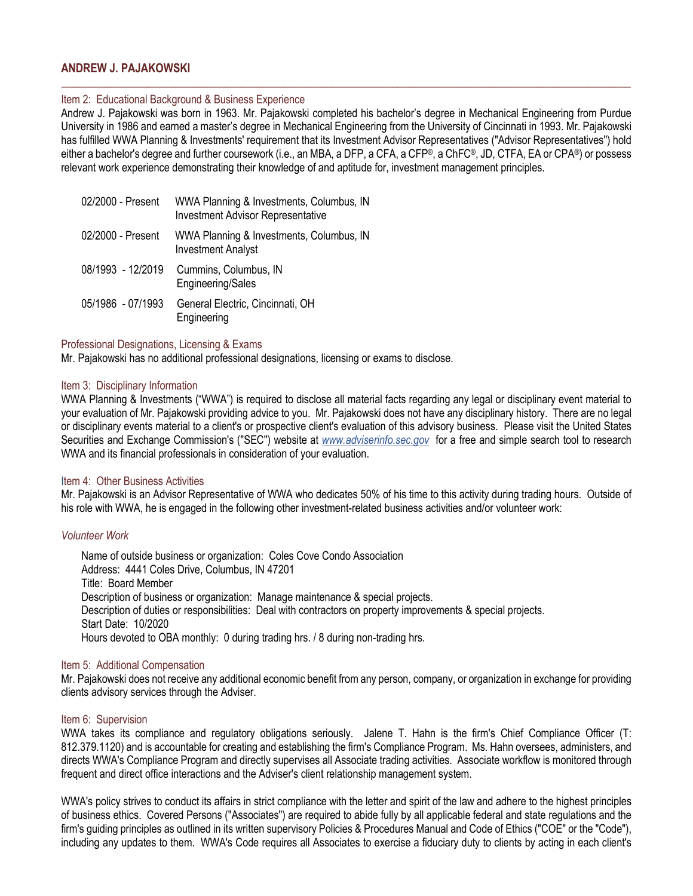# **ANDREW J. PAJAKOWSKI**

#### Item 2: Educational Background & Business Experience

Andrew J. Pajakowski was born in 1963. Mr. Pajakowski completed his bachelor's degree in Mechanical Engineering from Purdue University in 1986 and earned a master's degree in Mechanical Engineering from the University of Cincinnati in 1993. Mr. Pajakowski has fulfilled WWA Planning & Investments' requirement that its Investment Advisor Representatives ("Advisor Representatives") hold either a bachelor's degree and further coursework (i.e., an MBA, a DFP, a CFA, a CFP®, a ChFC®, JD, CTFA, EA or CPA®) or possess relevant work experience demonstrating their knowledge of and aptitude for, investment management principles.

\_\_\_\_\_\_\_\_\_\_\_\_\_\_\_\_\_\_\_\_\_\_\_\_\_\_\_\_\_\_\_\_\_\_\_\_\_\_\_\_\_\_\_\_\_\_\_\_\_\_\_\_\_\_\_\_\_\_\_\_\_\_\_\_\_\_\_\_\_\_\_\_\_\_\_\_\_\_\_\_\_\_\_\_\_\_\_\_\_\_\_\_\_\_\_\_\_\_\_\_\_\_\_\_\_

| 02/2000 - Present | WWA Planning & Investments, Columbus, IN<br><b>Investment Advisor Representative</b> |
|-------------------|--------------------------------------------------------------------------------------|
| 02/2000 - Present | WWA Planning & Investments, Columbus, IN<br><b>Investment Analyst</b>                |
| 08/1993 - 12/2019 | Cummins, Columbus, IN<br>Engineering/Sales                                           |
| 05/1986 - 07/1993 | General Electric, Cincinnati, OH<br>Engineering                                      |

#### Professional Designations, Licensing & Exams

Mr. Pajakowski has no additional professional designations, licensing or exams to disclose.

#### Item 3: Disciplinary Information

WWA Planning & Investments ("WWA") is required to disclose all material facts regarding any legal or disciplinary event material to your evaluation of Mr. Pajakowski providing advice to you. Mr. Pajakowski does not have any disciplinary history. There are no legal or disciplinary events material to a client's or prospective client's evaluation of this advisory business. Please visit the United States Securities and Exchange Commission's ("SEC") website at *[www.adviserinfo.sec.gov](http://www.adviserinfo.sec.gov/)* for a free and simple search tool to research WWA and its financial professionals in consideration of your evaluation.

#### Item 4: Other Business Activities

Mr. Pajakowski is an Advisor Representative of WWA who dedicates 50% of his time to this activity during trading hours. Outside of his role with WWA, he is engaged in the following other investment-related business activities and/or volunteer work:

#### *Volunteer Work*

Name of outside business or organization: Coles Cove Condo Association Address: 4441 Coles Drive, Columbus, IN 47201 Title: Board Member Description of business or organization: Manage maintenance & special projects. Description of duties or responsibilities: Deal with contractors on property improvements & special projects. Start Date: 10/2020 Hours devoted to OBA monthly: 0 during trading hrs. / 8 during non-trading hrs.

#### Item 5: Additional Compensation

Mr. Pajakowski does not receive any additional economic benefit from any person, company, or organization in exchange for providing clients advisory services through the Adviser.

#### Item 6: Supervision

WWA takes its compliance and regulatory obligations seriously. Jalene T. Hahn is the firm's Chief Compliance Officer (T: 812.379.1120) and is accountable for creating and establishing the firm's Compliance Program. Ms. Hahn oversees, administers, and directs WWA's Compliance Program and directly supervises all Associate trading activities. Associate workflow is monitored through frequent and direct office interactions and the Adviser's client relationship management system.

WWA's policy strives to conduct its affairs in strict compliance with the letter and spirit of the law and adhere to the highest principles of business ethics. Covered Persons ("Associates") are required to abide fully by all applicable federal and state regulations and the firm's guiding principles as outlined in its written supervisory Policies & Procedures Manual and Code of Ethics ("COE" or the "Code"), including any updates to them. WWA's Code requires all Associates to exercise a fiduciary duty to clients by acting in each client's